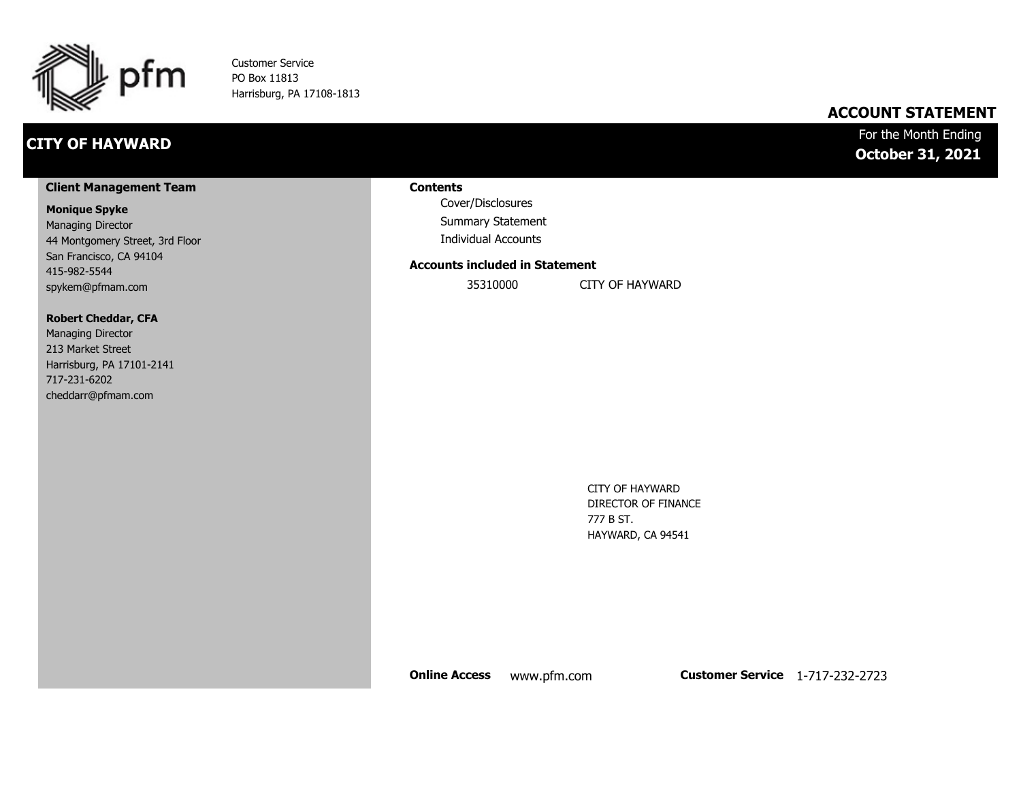

Customer Service PO Box 11813 Harrisburg, PA 17108-1813

## **CITY OF HAYWARD**

### **ACCOUNT STATEMENT**

### For the Month Ending **October 31, 2021**

#### **Client Management Team**

#### **Monique Spyke**

Managing Director 44 Montgomery Street, 3rd Floor San Francisco, CA 94104 415-982-5544 spykem@pfmam.com

#### **Robert Cheddar, CFA**

| <b>Managing Director</b>  |
|---------------------------|
| 213 Market Street         |
| Harrisburg, PA 17101-2141 |
| 717-231-6202              |
| cheddarr@pfmam.com        |

#### **Contents**

Cover/Disclosures Summary Statement Individual Accounts

#### **Accounts included in Statement**

35310000 CITY OF HAYWARD

CITY OF HAYWARD DIRECTOR OF FINANCE 777 B ST. HAYWARD, CA 94541

**Online Access** www.pfm.com **Customer Service** 1-717-232-2723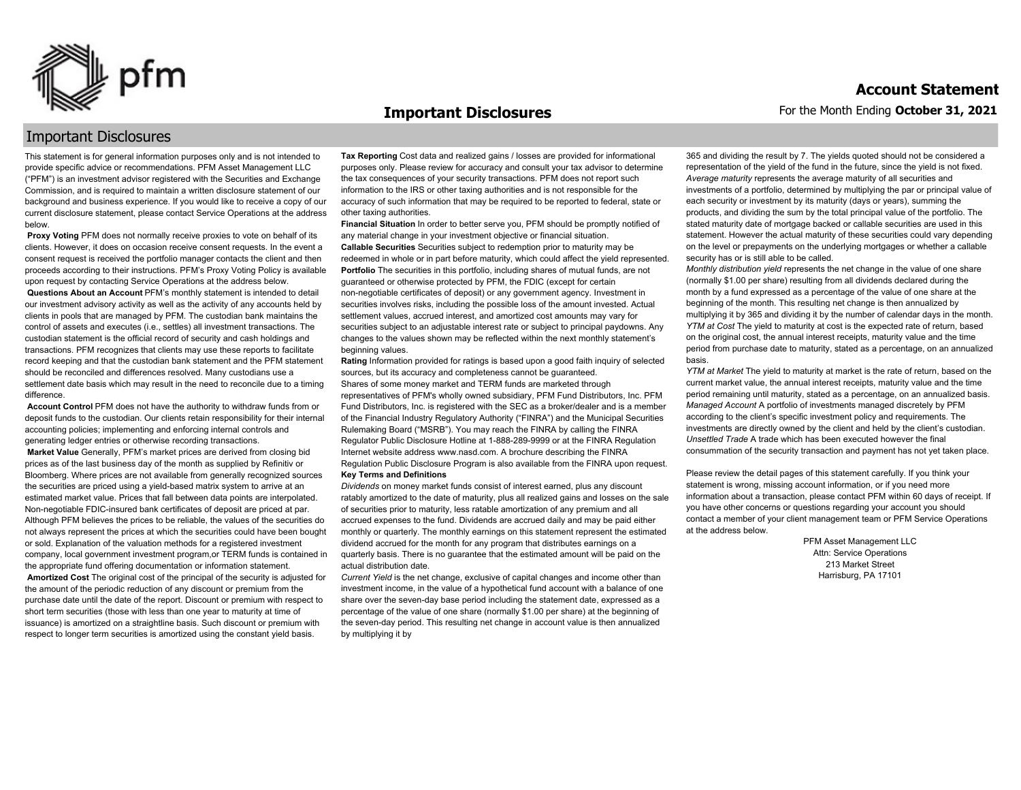

#### **Important Disclosures**

### Important Disclosures

This statement is for general information purposes only and is not intended to provide specific advice or recommendations. PFM Asset Management LLC ("PFM") is an investment advisor registered with the Securities and Exchange Commission, and is required to maintain a written disclosure statement of our background and business experience. If you would like to receive a copy of our current disclosure statement, please contact Service Operations at the address below.

**Proxy Voting** PFM does not normally receive proxies to vote on behalf of its clients. However, it does on occasion receive consent requests. In the event a consent request is received the portfolio manager contacts the client and then proceeds according to their instructions. PFM's Proxy Voting Policy is available upon request by contacting Service Operations at the address below. **Questions About an Account** PFM's monthly statement is intended to detail our investment advisory activity as well as the activity of any accounts held by clients in pools that are managed by PFM. The custodian bank maintains the control of assets and executes (i.e., settles) all investment transactions. The custodian statement is the official record of security and cash holdings and transactions. PFM recognizes that clients may use these reports to facilitate record keeping and that the custodian bank statement and the PFM statement should be reconciled and differences resolved. Many custodians use a settlement date basis which may result in the need to reconcile due to a timing

difference. **Account Control** PFM does not have the authority to withdraw funds from or deposit funds to the custodian. Our clients retain responsibility for their internal accounting policies; implementing and enforcing internal controls and

generating ledger entries or otherwise recording transactions. **Market Value** Generally, PFM's market prices are derived from closing bid prices as of the last business day of the month as supplied by Refinitiv or Bloomberg. Where prices are not available from generally recognized sources the securities are priced using a yield-based matrix system to arrive at an estimated market value. Prices that fall between data points are interpolated. Non-negotiable FDIC-insured bank certificates of deposit are priced at par. Although PFM believes the prices to be reliable, the values of the securities do not always represent the prices at which the securities could have been bought or sold. Explanation of the valuation methods for a registered investment company, local government investment program,or TERM funds is contained in the appropriate fund offering documentation or information statement. **Amortized Cost** The original cost of the principal of the security is adjusted for the amount of the periodic reduction of any discount or premium from the purchase date until the date of the report. Discount or premium with respect to short term securities (those with less than one year to maturity at time of issuance) is amortized on a straightline basis. Such discount or premium with respect to longer term securities is amortized using the constant yield basis.

**Tax Reporting** Cost data and realized gains / losses are provided for informational purposes only. Please review for accuracy and consult your tax advisor to determine the tax consequences of your security transactions. PFM does not report such information to the IRS or other taxing authorities and is not responsible for the accuracy of such information that may be required to be reported to federal, state or other taxing authorities.

**Financial Situation** In order to better serve you, PFM should be promptly notified of any material change in your investment objective or financial situation. **Callable Securities** Securities subject to redemption prior to maturity may be redeemed in whole or in part before maturity, which could affect the yield represented. Portfolio The securities in this portfolio, including shares of mutual funds, are not guaranteed or otherwise protected by PFM, the FDIC (except for certain non-negotiable certificates of deposit) or any government agency. Investment in securities involves risks, including the possible loss of the amount invested. Actual settlement values, accrued interest, and amortized cost amounts may vary for securities subject to an adjustable interest rate or subject to principal paydowns. Any changes to the values shown may be reflected within the next monthly statement's beginning values.

**Rating** Information provided for ratings is based upon a good faith inquiry of selected sources, but its accuracy and completeness cannot be guaranteed. Shares of some money market and TERM funds are marketed through representatives of PFM's wholly owned subsidiary, PFM Fund Distributors, Inc. PFM Fund Distributors, Inc. is registered with the SEC as a broker/dealer and is a member of the Financial Industry Regulatory Authority ("FINRA") and the Municipal Securities Rulemaking Board ("MSRB"). You may reach the FINRA by calling the FINRA Regulator Public Disclosure Hotline at 1-888-289-9999 or at the FINRA Regulation Internet website address www.nasd.com. A brochure describing the FINRA Regulation Public Disclosure Program is also available from the FINRA upon request. **Key Terms and Definitions**

*Dividends* on money market funds consist of interest earned, plus any discount ratably amortized to the date of maturity, plus all realized gains and losses on the sale of securities prior to maturity, less ratable amortization of any premium and all accrued expenses to the fund. Dividends are accrued daily and may be paid either monthly or quarterly. The monthly earnings on this statement represent the estimated dividend accrued for the month for any program that distributes earnings on a quarterly basis. There is no guarantee that the estimated amount will be paid on the actual distribution date.

*Current Yield* is the net change, exclusive of capital changes and income other than investment income, in the value of a hypothetical fund account with a balance of one share over the seven-day base period including the statement date, expressed as a percentage of the value of one share (normally \$1.00 per share) at the beginning of the seven-day period. This resulting net change in account value is then annualized by multiplying it by

365 and dividing the result by 7. The yields quoted should not be considered a representation of the yield of the fund in the future, since the yield is not fixed. *Average maturity* represents the average maturity of all securities and investments of a portfolio, determined by multiplying the par or principal value of each security or investment by its maturity (days or years), summing the products, and dividing the sum by the total principal value of the portfolio. The stated maturity date of mortgage backed or callable securities are used in this statement. However the actual maturity of these securities could vary depending on the level or prepayments on the underlying mortgages or whether a callable security has or is still able to be called.

*Monthly distribution yield* represents the net change in the value of one share (normally \$1.00 per share) resulting from all dividends declared during the month by a fund expressed as a percentage of the value of one share at the beginning of the month. This resulting net change is then annualized by multiplying it by 365 and dividing it by the number of calendar days in the month. *YTM at Cost* The yield to maturity at cost is the expected rate of return, based on the original cost, the annual interest receipts, maturity value and the time period from purchase date to maturity, stated as a percentage, on an annualized basis.

*YTM at Market* The yield to maturity at market is the rate of return, based on the current market value, the annual interest receipts, maturity value and the time period remaining until maturity, stated as a percentage, on an annualized basis. *Managed Account* A portfolio of investments managed discretely by PFM according to the client's specific investment policy and requirements. The investments are directly owned by the client and held by the client's custodian. *Unsettled Trade* A trade which has been executed however the final consummation of the security transaction and payment has not yet taken place.

Please review the detail pages of this statement carefully. If you think your statement is wrong, missing account information, or if you need more information about a transaction, please contact PFM within 60 days of receipt. If you have other concerns or questions regarding your account you should contact a member of your client management team or PFM Service Operations at the address below.

> PFM Asset Management LLC Attn: Service Operations 213 Market Street Harrisburg, PA 17101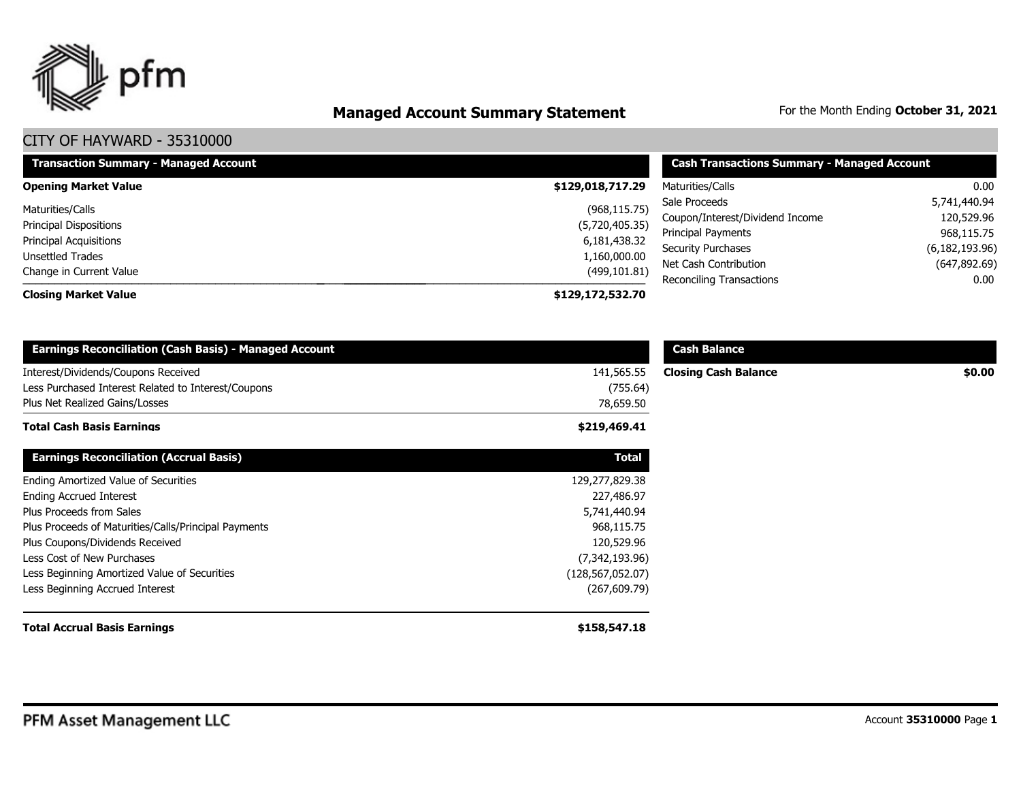

# **Managed Account Summary Statement** For the Month Ending October 31, 2021

| <b>Transaction Summary - Managed Account</b> | <b>Cash Transactions Summary - Managed Account</b> |                                                              |                          |
|----------------------------------------------|----------------------------------------------------|--------------------------------------------------------------|--------------------------|
| <b>Opening Market Value</b>                  | \$129,018,717.29                                   | Maturities/Calls                                             | $0.00\,$                 |
| Maturities/Calls                             | (968, 115.75)                                      | Sale Proceeds                                                | 5,741,440.94             |
| <b>Principal Dispositions</b>                | (5,720,405.35)                                     | Coupon/Interest/Dividend Income<br><b>Principal Payments</b> | 120,529.96<br>968,115.75 |
| <b>Principal Acquisitions</b>                | 6,181,438.32                                       | Security Purchases                                           | (6, 182, 193.96)         |
| Unsettled Trades<br>Change in Current Value  | 1,160,000.00<br>(499, 101.81)                      | Net Cash Contribution                                        | (647, 892.69)            |
| <b>Closing Market Value</b>                  | \$129,172,532.70                                   | Reconciling Transactions                                     | $0.00\,$                 |

| <b>Earnings Reconciliation (Cash Basis) - Managed Account</b>                                                                |                                     | <b>Cash Balance</b>         |        |
|------------------------------------------------------------------------------------------------------------------------------|-------------------------------------|-----------------------------|--------|
| Interest/Dividends/Coupons Received<br>Less Purchased Interest Related to Interest/Coupons<br>Plus Net Realized Gains/Losses | 141,565.55<br>(755.64)<br>78,659.50 | <b>Closing Cash Balance</b> | \$0.00 |
| <b>Total Cash Basis Earnings</b>                                                                                             | \$219,469.41                        |                             |        |
| <b>Earnings Reconciliation (Accrual Basis)</b>                                                                               | <b>Total</b>                        |                             |        |
| Ending Amortized Value of Securities                                                                                         | 129,277,829.38                      |                             |        |
| <b>Ending Accrued Interest</b>                                                                                               | 227,486.97                          |                             |        |
| Plus Proceeds from Sales                                                                                                     | 5,741,440.94                        |                             |        |
| Plus Proceeds of Maturities/Calls/Principal Payments                                                                         | 968,115.75                          |                             |        |
| Plus Coupons/Dividends Received                                                                                              | 120,529.96                          |                             |        |
| Less Cost of New Purchases                                                                                                   | (7,342,193.96)                      |                             |        |
| Less Beginning Amortized Value of Securities                                                                                 | (128,567,052.07)                    |                             |        |
| Less Beginning Accrued Interest                                                                                              | (267, 609.79)                       |                             |        |
| <b>Total Accrual Basis Earnings</b>                                                                                          | \$158,547.18                        |                             |        |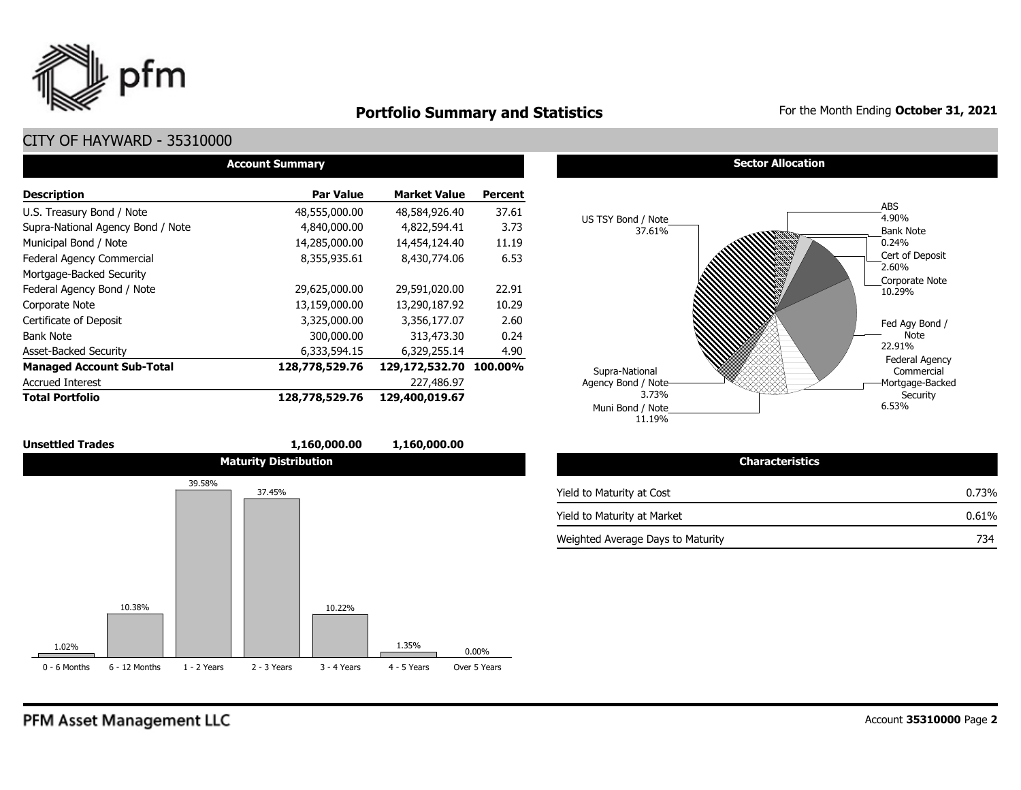

### **Portfolio Summary and Statistics** For the Month Ending October 31, 2021

### CITY OF HAYWARD - 35310000

| <b>Account Summary</b>            |                  |                     |                |  |  |  |  |  |  |
|-----------------------------------|------------------|---------------------|----------------|--|--|--|--|--|--|
| <b>Description</b>                | <b>Par Value</b> | <b>Market Value</b> | <b>Percent</b> |  |  |  |  |  |  |
| U.S. Treasury Bond / Note         | 48,555,000.00    | 48,584,926.40       | 37.61          |  |  |  |  |  |  |
| Supra-National Agency Bond / Note | 4,840,000.00     | 4,822,594.41        | 3.73           |  |  |  |  |  |  |
| Municipal Bond / Note             | 14,285,000.00    | 14,454,124.40       | 11.19          |  |  |  |  |  |  |
| Federal Agency Commercial         | 8,355,935.61     | 8,430,774.06        | 6.53           |  |  |  |  |  |  |
| Mortgage-Backed Security          |                  |                     |                |  |  |  |  |  |  |
| Federal Agency Bond / Note        | 29,625,000.00    | 29,591,020.00       | 22.91          |  |  |  |  |  |  |
| Corporate Note                    | 13,159,000.00    | 13,290,187.92       | 10.29          |  |  |  |  |  |  |
| Certificate of Deposit            | 3,325,000.00     | 3,356,177.07        | 2.60           |  |  |  |  |  |  |
| <b>Bank Note</b>                  | 300,000.00       | 313,473.30          | 0.24           |  |  |  |  |  |  |
| <b>Asset-Backed Security</b>      | 6,333,594.15     | 6,329,255.14        | 4.90           |  |  |  |  |  |  |
| <b>Managed Account Sub-Total</b>  | 128,778,529.76   | 129,172,532.70      | 100.00%        |  |  |  |  |  |  |
| <b>Accrued Interest</b>           |                  | 227,486.97          |                |  |  |  |  |  |  |
| <b>Total Portfolio</b>            | 128,778,529.76   | 129,400,019.67      |                |  |  |  |  |  |  |

#### **Sector Allocation**



| <b>Unsettled Trades</b> |                 |               |                              | 1,160,000.00  | 1,160,000.00  |              |                     |
|-------------------------|-----------------|---------------|------------------------------|---------------|---------------|--------------|---------------------|
|                         |                 |               | <b>Maturity Distribution</b> |               |               |              |                     |
|                         |                 | 39.58%        | 37.45%                       |               |               |              | Yield to Maturity a |
|                         |                 |               |                              |               |               |              | Yield to Maturity a |
|                         |                 |               |                              |               |               |              | Weighted Average    |
|                         |                 |               |                              |               |               |              |                     |
|                         |                 |               |                              |               |               |              |                     |
|                         | 10.38%          |               |                              | 10.22%        |               |              |                     |
| 1.02%                   |                 |               |                              |               | 1.35%         | $0.00\%$     |                     |
| 0 - 6 Months            | $6 - 12$ Months | $1 - 2$ Years | $2 - 3$ Years                | $3 - 4$ Years | $4 - 5$ Years | Over 5 Years |                     |

#### **Characteristics** at Cost at Market e Days to Maturity **734** 0.73% 0.61%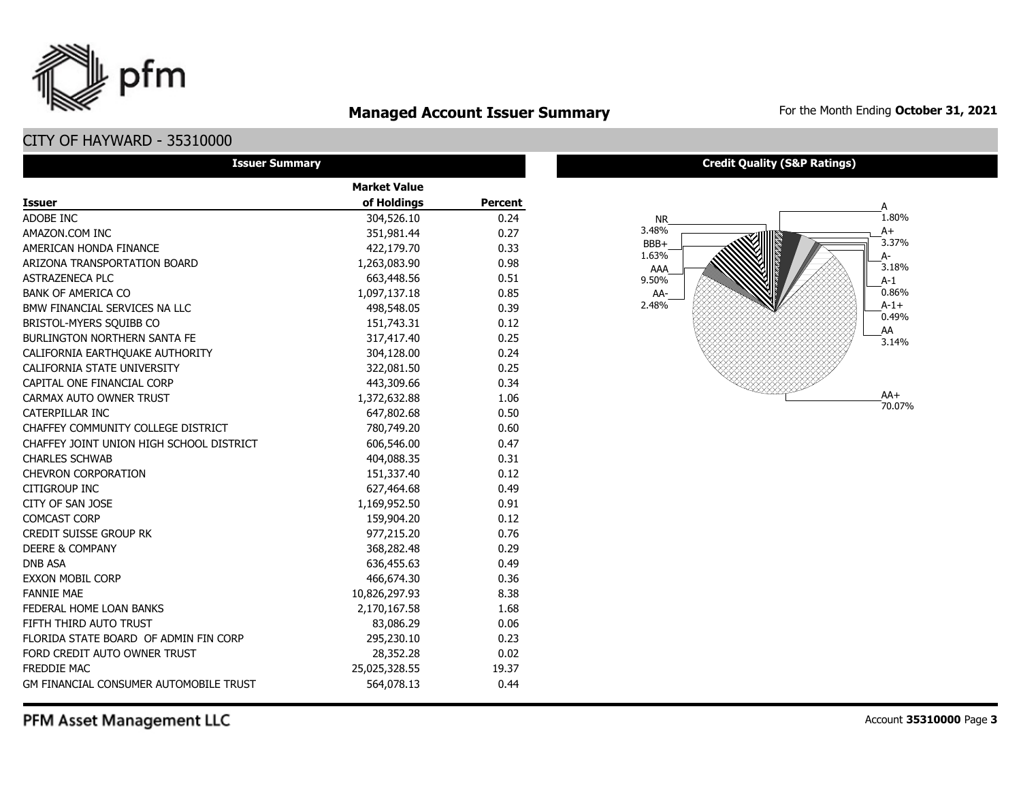

## **Managed Account Issuer Summary** For the Month Ending October 31, 2021

### CITY OF HAYWARD - 35310000

| <b>Issuer Summary</b>                         |                     |                |
|-----------------------------------------------|---------------------|----------------|
|                                               | <b>Market Value</b> |                |
| <b>Issuer</b>                                 | of Holdings         | <b>Percent</b> |
| ADOBE INC                                     | 304,526.10          | 0.24           |
| AMAZON.COM INC                                | 351,981.44          | 0.27           |
| AMERICAN HONDA FINANCE                        | 422,179.70          | 0.33           |
| ARIZONA TRANSPORTATION BOARD                  | 1,263,083.90        | 0.98           |
| ASTRAZENECA PLC                               | 663,448.56          | 0.51           |
| <b>BANK OF AMERICA CO</b>                     | 1,097,137.18        | 0.85           |
| BMW FINANCIAL SERVICES NA LLC                 | 498,548.05          | 0.39           |
| BRISTOL-MYERS SQUIBB CO                       | 151,743.31          | 0.12           |
| <b>BURLINGTON NORTHERN SANTA FE</b>           | 317,417.40          | 0.25           |
| CALIFORNIA EARTHQUAKE AUTHORITY               | 304,128.00          | 0.24           |
| CALIFORNIA STATE UNIVERSITY                   | 322,081.50          | 0.25           |
| CAPITAL ONE FINANCIAL CORP                    | 443,309.66          | 0.34           |
| CARMAX AUTO OWNER TRUST                       | 1,372,632.88        | 1.06           |
| CATERPILLAR INC                               | 647,802.68          | 0.50           |
| CHAFFEY COMMUNITY COLLEGE DISTRICT            | 780,749.20          | 0.60           |
| CHAFFEY JOINT UNION HIGH SCHOOL DISTRICT      | 606,546.00          | 0.47           |
| <b>CHARLES SCHWAB</b>                         | 404,088.35          | 0.31           |
| <b>CHEVRON CORPORATION</b>                    | 151,337.40          | 0.12           |
| CITIGROUP INC                                 | 627,464.68          | 0.49           |
| CITY OF SAN JOSE                              | 1,169,952.50        | 0.91           |
| <b>COMCAST CORP</b>                           | 159,904.20          | 0.12           |
| <b>CREDIT SUISSE GROUP RK</b>                 | 977,215.20          | 0.76           |
| <b>DEERE &amp; COMPANY</b>                    | 368,282.48          | 0.29           |
| <b>DNB ASA</b>                                | 636,455.63          | 0.49           |
| <b>EXXON MOBIL CORP</b>                       | 466,674.30          | 0.36           |
| <b>FANNIE MAE</b>                             | 10,826,297.93       | 8.38           |
| FEDERAL HOME LOAN BANKS                       | 2,170,167.58        | 1.68           |
| FIFTH THIRD AUTO TRUST                        | 83,086.29           | 0.06           |
| FLORIDA STATE BOARD OF ADMIN FIN CORP         | 295,230.10          | 0.23           |
| FORD CREDIT AUTO OWNER TRUST                  | 28,352.28           | 0.02           |
| <b>FREDDIE MAC</b>                            | 25,025,328.55       | 19.37          |
| <b>GM FINANCIAL CONSUMER AUTOMOBILE TRUST</b> | 564,078.13          | 0.44           |

#### **Credit Quality (S&P Ratings)**

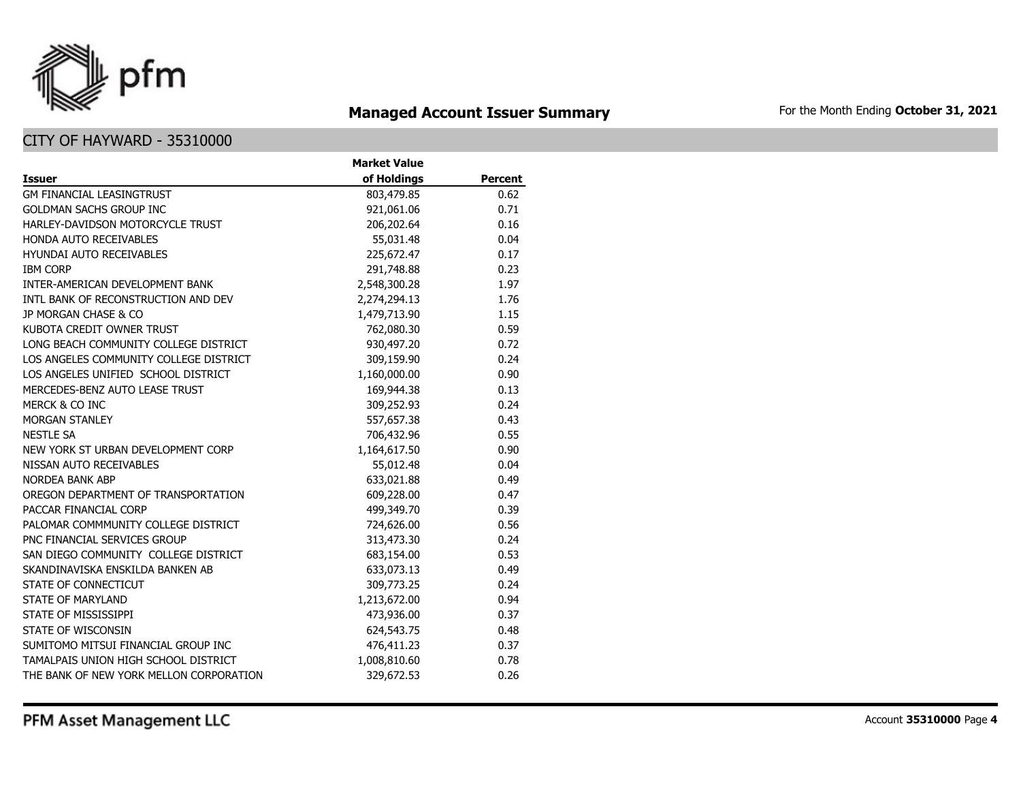

## **Managed Account Issuer Summary** For the Month Ending October 31, 2021

|                                         | <b>Market Value</b> |                |
|-----------------------------------------|---------------------|----------------|
| <b>Issuer</b>                           | of Holdings         | <b>Percent</b> |
| <b>GM FINANCIAL LEASINGTRUST</b>        | 803,479.85          | 0.62           |
| <b>GOLDMAN SACHS GROUP INC</b>          | 921,061.06          | 0.71           |
| HARLEY-DAVIDSON MOTORCYCLE TRUST        | 206,202.64          | 0.16           |
| HONDA AUTO RECEIVABLES                  | 55,031.48           | 0.04           |
| <b>HYUNDAI AUTO RECEIVABLES</b>         | 225,672.47          | 0.17           |
| <b>IBM CORP</b>                         | 291,748.88          | 0.23           |
| INTER-AMERICAN DEVELOPMENT BANK         | 2,548,300.28        | 1.97           |
| INTL BANK OF RECONSTRUCTION AND DEV     | 2,274,294.13        | 1.76           |
| JP MORGAN CHASE & CO                    | 1,479,713.90        | 1.15           |
| KUBOTA CREDIT OWNER TRUST               | 762,080.30          | 0.59           |
| LONG BEACH COMMUNITY COLLEGE DISTRICT   | 930,497.20          | 0.72           |
| LOS ANGELES COMMUNITY COLLEGE DISTRICT  | 309,159.90          | 0.24           |
| LOS ANGELES UNIFIED SCHOOL DISTRICT     | 1,160,000.00        | 0.90           |
| MERCEDES-BENZ AUTO LEASE TRUST          | 169,944.38          | 0.13           |
| MERCK & CO INC                          | 309,252.93          | 0.24           |
| <b>MORGAN STANLEY</b>                   | 557,657.38          | 0.43           |
| <b>NESTLE SA</b>                        | 706,432.96          | 0.55           |
| NEW YORK ST URBAN DEVELOPMENT CORP      | 1,164,617.50        | 0.90           |
| NISSAN AUTO RECEIVABLES                 | 55,012.48           | 0.04           |
| <b>NORDEA BANK ABP</b>                  | 633,021.88          | 0.49           |
| OREGON DEPARTMENT OF TRANSPORTATION     | 609,228.00          | 0.47           |
| PACCAR FINANCIAL CORP                   | 499,349.70          | 0.39           |
| PALOMAR COMMMUNITY COLLEGE DISTRICT     | 724,626.00          | 0.56           |
| PNC FINANCIAL SERVICES GROUP            | 313,473.30          | 0.24           |
| SAN DIEGO COMMUNITY COLLEGE DISTRICT    | 683,154.00          | 0.53           |
| SKANDINAVISKA ENSKILDA BANKEN AB        | 633,073.13          | 0.49           |
| STATE OF CONNECTICUT                    | 309,773.25          | 0.24           |
| <b>STATE OF MARYLAND</b>                | 1,213,672.00        | 0.94           |
| STATE OF MISSISSIPPI                    | 473,936.00          | 0.37           |
| STATE OF WISCONSIN                      | 624,543.75          | 0.48           |
| SUMITOMO MITSUI FINANCIAL GROUP INC     | 476,411.23          | 0.37           |
| TAMALPAIS UNION HIGH SCHOOL DISTRICT    | 1,008,810.60        | 0.78           |
| THE BANK OF NEW YORK MELLON CORPORATION | 329,672.53          | 0.26           |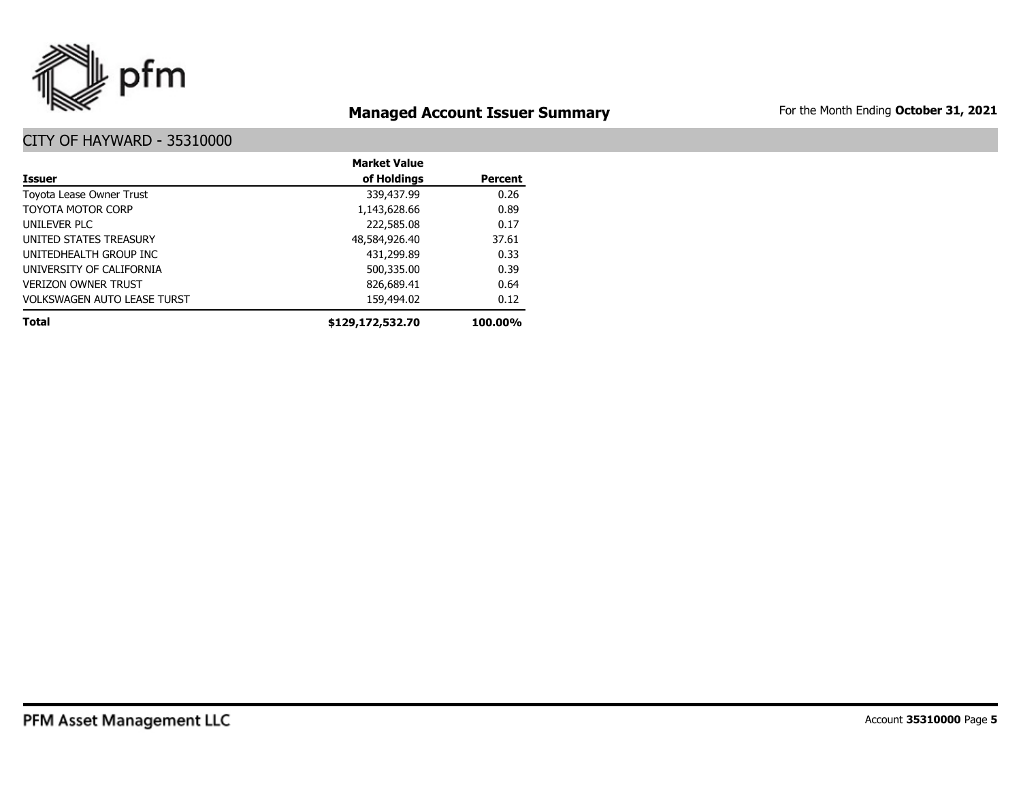

## **Managed Account Issuer Summary** For the Month Ending October 31, 2021

|                                    | <b>Market Value</b> |                |
|------------------------------------|---------------------|----------------|
| Issuer                             | of Holdings         | <b>Percent</b> |
| Toyota Lease Owner Trust           | 339,437.99          | 0.26           |
| <b>TOYOTA MOTOR CORP</b>           | 1,143,628.66        | 0.89           |
| UNILEVER PLC                       | 222,585.08          | 0.17           |
| UNITED STATES TREASURY             | 48,584,926.40       | 37.61          |
| UNITEDHEALTH GROUP INC             | 431,299.89          | 0.33           |
| UNIVERSITY OF CALIFORNIA           | 500,335.00          | 0.39           |
| <b>VERIZON OWNER TRUST</b>         | 826,689.41          | 0.64           |
| <b>VOLKSWAGEN AUTO LEASE TURST</b> | 159,494.02          | 0.12           |
| <b>Total</b>                       | \$129,172,532.70    | 100.00%        |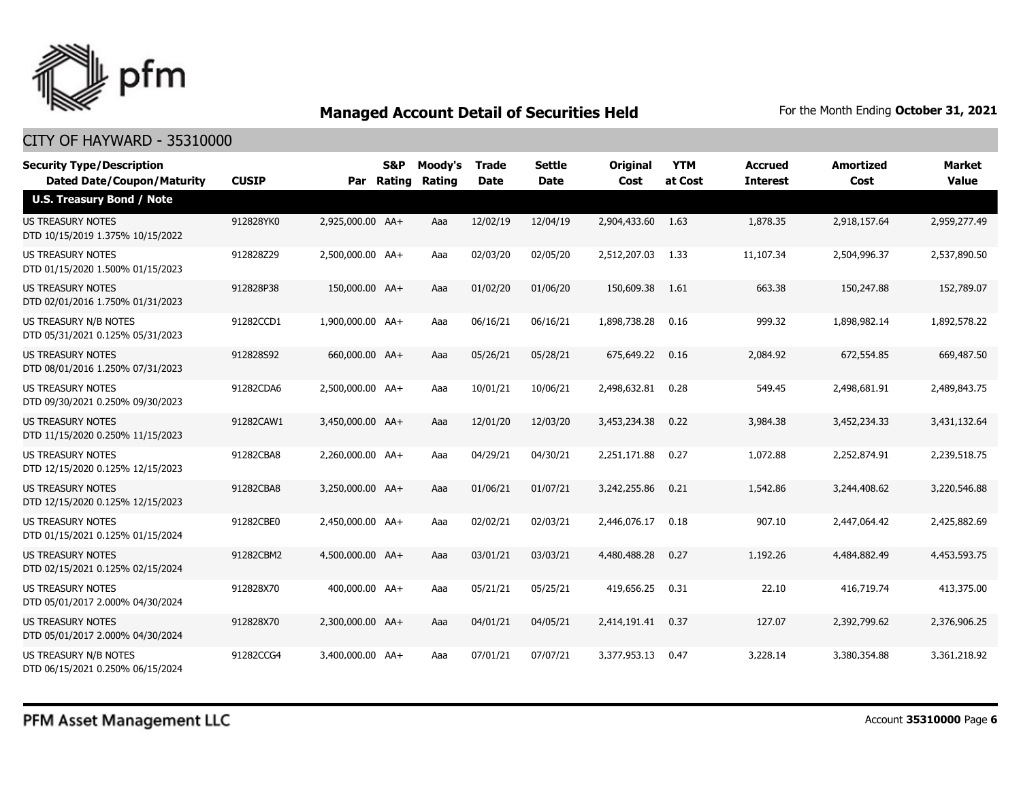

| <b>Security Type/Description</b><br><b>Dated Date/Coupon/Maturity</b> | <b>CUSIP</b> | Par              | S&P<br><b>Rating</b> | Moody's<br>Rating | <b>Trade</b><br><b>Date</b> | <b>Settle</b><br><b>Date</b> | <b>Original</b><br>Cost | <b>YTM</b><br>at Cost | <b>Accrued</b><br><b>Interest</b> | <b>Amortized</b><br>Cost | <b>Market</b><br><b>Value</b> |
|-----------------------------------------------------------------------|--------------|------------------|----------------------|-------------------|-----------------------------|------------------------------|-------------------------|-----------------------|-----------------------------------|--------------------------|-------------------------------|
| <b>U.S. Treasury Bond / Note</b>                                      |              |                  |                      |                   |                             |                              |                         |                       |                                   |                          |                               |
| <b>US TREASURY NOTES</b><br>DTD 10/15/2019 1.375% 10/15/2022          | 912828YK0    | 2,925,000.00 AA+ |                      | Aaa               | 12/02/19                    | 12/04/19                     | 2,904,433.60            | 1.63                  | 1,878.35                          | 2,918,157.64             | 2,959,277.49                  |
| US TREASURY NOTES<br>DTD 01/15/2020 1.500% 01/15/2023                 | 912828Z29    | 2,500,000.00 AA+ |                      | Aaa               | 02/03/20                    | 02/05/20                     | 2,512,207.03            | 1.33                  | 11,107.34                         | 2,504,996.37             | 2,537,890.50                  |
| <b>US TREASURY NOTES</b><br>DTD 02/01/2016 1.750% 01/31/2023          | 912828P38    | 150,000.00 AA+   |                      | Aaa               | 01/02/20                    | 01/06/20                     | 150,609.38              | 1.61                  | 663.38                            | 150,247.88               | 152,789.07                    |
| US TREASURY N/B NOTES<br>DTD 05/31/2021 0.125% 05/31/2023             | 91282CCD1    | 1,900,000.00 AA+ |                      | Aaa               | 06/16/21                    | 06/16/21                     | 1,898,738.28            | 0.16                  | 999.32                            | 1,898,982.14             | 1,892,578.22                  |
| <b>US TREASURY NOTES</b><br>DTD 08/01/2016 1.250% 07/31/2023          | 912828S92    | 660,000.00 AA+   |                      | Aaa               | 05/26/21                    | 05/28/21                     | 675,649.22              | 0.16                  | 2,084.92                          | 672,554.85               | 669,487.50                    |
| <b>US TREASURY NOTES</b><br>DTD 09/30/2021 0.250% 09/30/2023          | 91282CDA6    | 2,500,000.00 AA+ |                      | Aaa               | 10/01/21                    | 10/06/21                     | 2,498,632.81            | 0.28                  | 549.45                            | 2,498,681.91             | 2,489,843.75                  |
| <b>US TREASURY NOTES</b><br>DTD 11/15/2020 0.250% 11/15/2023          | 91282CAW1    | 3,450,000.00 AA+ |                      | Aaa               | 12/01/20                    | 12/03/20                     | 3,453,234.38            | 0.22                  | 3,984.38                          | 3,452,234.33             | 3,431,132.64                  |
| US TREASURY NOTES<br>DTD 12/15/2020 0.125% 12/15/2023                 | 91282CBA8    | 2,260,000.00 AA+ |                      | Aaa               | 04/29/21                    | 04/30/21                     | 2,251,171.88            | 0.27                  | 1,072.88                          | 2,252,874.91             | 2,239,518.75                  |
| US TREASURY NOTES<br>DTD 12/15/2020 0.125% 12/15/2023                 | 91282CBA8    | 3,250,000.00 AA+ |                      | Aaa               | 01/06/21                    | 01/07/21                     | 3,242,255.86            | 0.21                  | 1,542.86                          | 3,244,408.62             | 3,220,546.88                  |
| <b>US TREASURY NOTES</b><br>DTD 01/15/2021 0.125% 01/15/2024          | 91282CBE0    | 2,450,000.00 AA+ |                      | Aaa               | 02/02/21                    | 02/03/21                     | 2,446,076.17            | 0.18                  | 907.10                            | 2,447,064.42             | 2,425,882.69                  |
| US TREASURY NOTES<br>DTD 02/15/2021 0.125% 02/15/2024                 | 91282CBM2    | 4,500,000.00 AA+ |                      | Aaa               | 03/01/21                    | 03/03/21                     | 4,480,488.28            | 0.27                  | 1,192.26                          | 4,484,882.49             | 4,453,593.75                  |
| US TREASURY NOTES<br>DTD 05/01/2017 2.000% 04/30/2024                 | 912828X70    | 400,000.00 AA+   |                      | Aaa               | 05/21/21                    | 05/25/21                     | 419,656.25              | 0.31                  | 22.10                             | 416,719.74               | 413,375.00                    |
| <b>US TREASURY NOTES</b><br>DTD 05/01/2017 2.000% 04/30/2024          | 912828X70    | 2.300.000.00 AA+ |                      | Aaa               | 04/01/21                    | 04/05/21                     | 2,414,191.41            | 0.37                  | 127.07                            | 2,392,799.62             | 2,376,906.25                  |
| US TREASURY N/B NOTES<br>DTD 06/15/2021 0.250% 06/15/2024             | 91282CCG4    | 3,400,000.00 AA+ |                      | Aaa               | 07/01/21                    | 07/07/21                     | 3,377,953.13            | 0.47                  | 3,228.14                          | 3,380,354.88             | 3,361,218.92                  |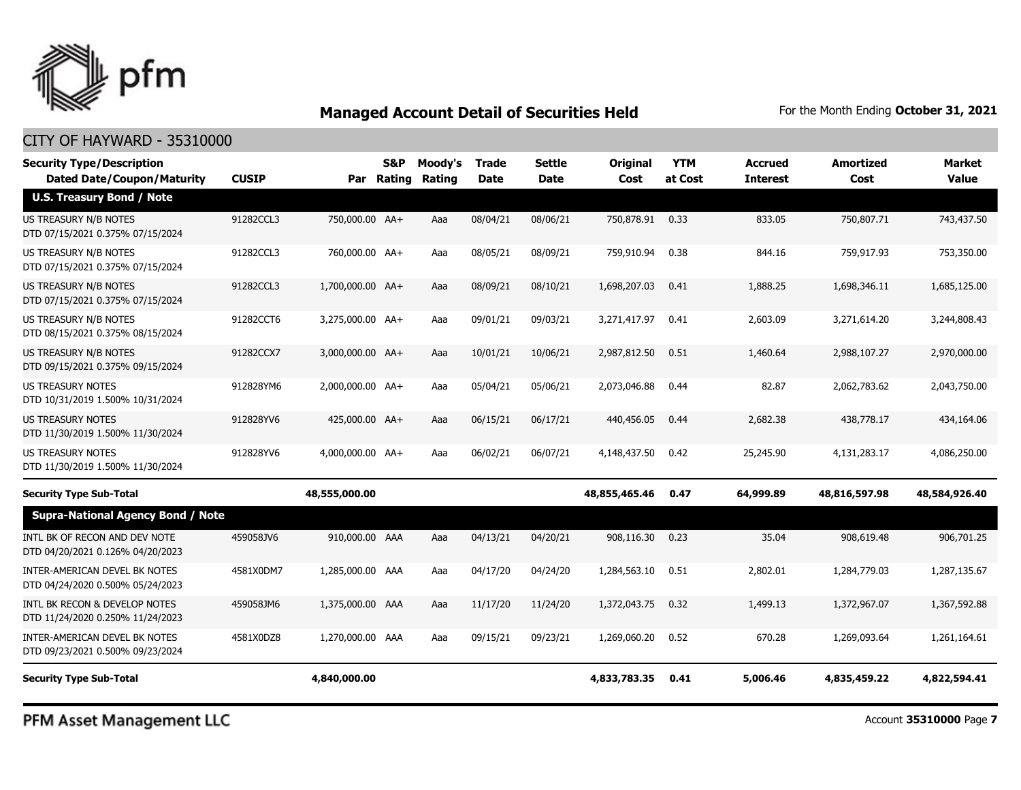

#### CITY OF HAYWARD - 35310000

| <b>Security Type/Description</b><br><b>Dated Date/Coupon/Maturity</b> | <b>CUSIP</b> |                  | S&P<br>Par Rating | Moody's<br>Rating | <b>Trade</b><br><b>Date</b> | <b>Settle</b><br><b>Date</b> | <b>Original</b><br>Cost | <b>YTM</b><br>at Cost | Accrued<br><b>Interest</b> | <b>Amortized</b><br>Cost | Market<br><b>Value</b> |
|-----------------------------------------------------------------------|--------------|------------------|-------------------|-------------------|-----------------------------|------------------------------|-------------------------|-----------------------|----------------------------|--------------------------|------------------------|
| <b>U.S. Treasury Bond / Note</b>                                      |              |                  |                   |                   |                             |                              |                         |                       |                            |                          |                        |
| <b>US TREASURY N/B NOTES</b><br>DTD 07/15/2021 0.375% 07/15/2024      | 91282CCL3    | 750,000.00 AA+   |                   | Aaa               | 08/04/21                    | 08/06/21                     | 750,878.91 0.33         |                       | 833.05                     | 750,807.71               | 743,437.50             |
| US TREASURY N/B NOTES<br>DTD 07/15/2021 0.375% 07/15/2024             | 91282CCL3    | 760,000.00 AA+   |                   | Aaa               | 08/05/21                    | 08/09/21                     | 759,910.94              | 0.38                  | 844.16                     | 759,917.93               | 753,350.00             |
| US TREASURY N/B NOTES<br>DTD 07/15/2021 0.375% 07/15/2024             | 91282CCL3    | 1,700,000.00 AA+ |                   | Aaa               | 08/09/21                    | 08/10/21                     | 1,698,207.03            | 0.41                  | 1,888.25                   | 1,698,346.11             | 1,685,125.00           |
| US TREASURY N/B NOTES<br>DTD 08/15/2021 0.375% 08/15/2024             | 91282CCT6    | 3,275,000.00 AA+ |                   | Aaa               | 09/01/21                    | 09/03/21                     | 3,271,417.97            | 0.41                  | 2,603.09                   | 3,271,614.20             | 3,244,808.43           |
| <b>US TREASURY N/B NOTES</b><br>DTD 09/15/2021 0.375% 09/15/2024      | 91282CCX7    | 3,000,000.00 AA+ |                   | Aaa               | 10/01/21                    | 10/06/21                     | 2,987,812.50            | 0.51                  | 1,460.64                   | 2,988,107.27             | 2,970,000.00           |
| <b>US TREASURY NOTES</b><br>DTD 10/31/2019 1.500% 10/31/2024          | 912828YM6    | 2,000,000.00 AA+ |                   | Aaa               | 05/04/21                    | 05/06/21                     | 2,073,046.88            | 0.44                  | 82.87                      | 2,062,783.62             | 2,043,750,00           |
| <b>US TREASURY NOTES</b><br>DTD 11/30/2019 1.500% 11/30/2024          | 912828YV6    | 425,000.00 AA+   |                   | Aaa               | 06/15/21                    | 06/17/21                     | 440,456.05              | 0.44                  | 2,682,38                   | 438,778.17               | 434,164.06             |
| US TREASURY NOTES<br>DTD 11/30/2019 1.500% 11/30/2024                 | 912828YV6    | 4,000,000.00 AA+ |                   | Aaa               | 06/02/21                    | 06/07/21                     | 4,148,437.50            | 0.42                  | 25,245.90                  | 4,131,283.17             | 4,086,250.00           |
| <b>Security Type Sub-Total</b>                                        |              | 48,555,000.00    |                   |                   |                             |                              | 48,855,465.46           | 0.47                  | 64,999.89                  | 48,816,597.98            | 48,584,926.40          |
| <b>Supra-National Agency Bond / Note</b>                              |              |                  |                   |                   |                             |                              |                         |                       |                            |                          |                        |
| INTL BK OF RECON AND DEV NOTE<br>DTD 04/20/2021 0.126% 04/20/2023     | 459058JV6    | 910,000.00 AAA   |                   | Aaa               | 04/13/21                    | 04/20/21                     | 908,116.30              | 0.23                  | 35.04                      | 908,619.48               | 906,701.25             |
| INTER-AMERICAN DEVEL BK NOTES<br>DTD 04/24/2020 0.500% 05/24/2023     | 4581X0DM7    | 1,285,000.00 AAA |                   | Aaa               | 04/17/20                    | 04/24/20                     | 1,284,563.10            | 0.51                  | 2,802.01                   | 1,284,779.03             | 1,287,135.67           |
| INTL BK RECON & DEVELOP NOTES<br>DTD 11/24/2020 0.250% 11/24/2023     | 459058JM6    | 1,375,000.00 AAA |                   | Aaa               | 11/17/20                    | 11/24/20                     | 1,372,043.75            | 0.32                  | 1,499.13                   | 1,372,967.07             | 1,367,592.88           |
| INTER-AMERICAN DEVEL BK NOTES<br>DTD 09/23/2021 0.500% 09/23/2024     | 4581X0DZ8    | 1,270,000.00 AAA |                   | Aaa               | 09/15/21                    | 09/23/21                     | 1,269,060.20            | 0.52                  | 670.28                     | 1,269,093.64             | 1,261,164.61           |
| <b>Security Type Sub-Total</b>                                        |              | 4,840,000.00     |                   |                   |                             |                              | 4,833,783.35            | 0.41                  | 5,006.46                   | 4,835,459.22             | 4,822,594.41           |

PFM Asset Management LLC

Account **35310000** Page **7**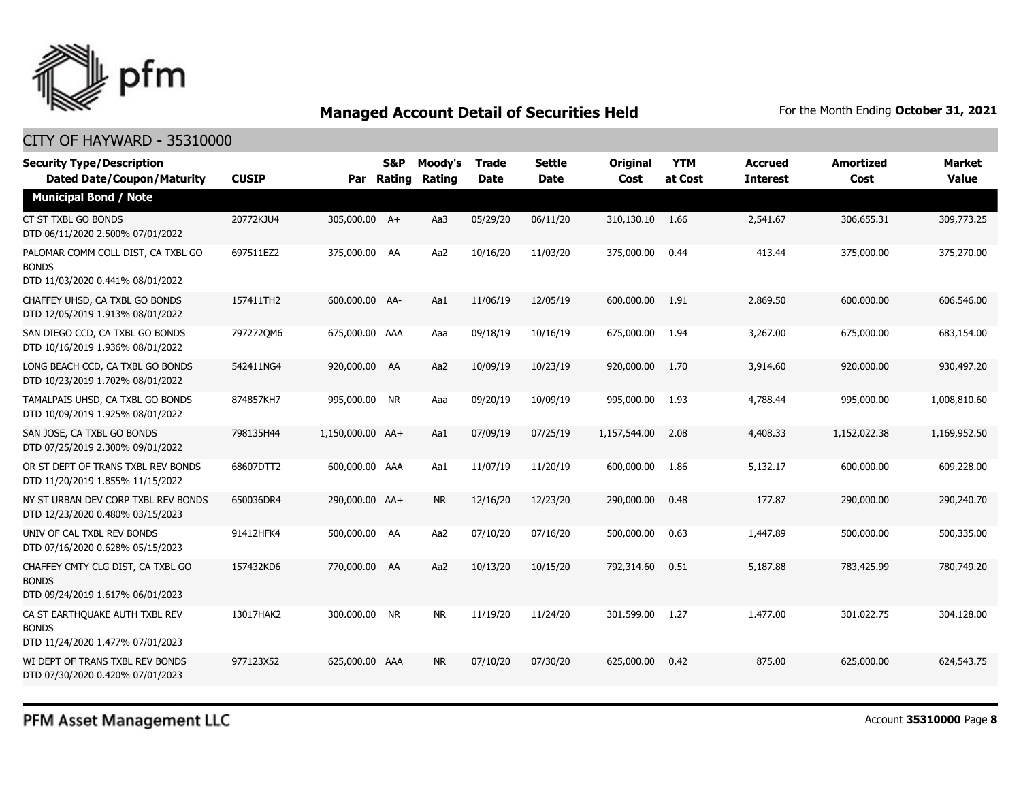

#### CITY OF HAYWARD - 35310000

| <b>Security Type/Description</b><br><b>Dated Date/Coupon/Maturity</b>                  | <b>CUSIP</b> |                  | <b>S&amp;P</b><br>Par Rating | Moody's<br>Rating | Trade<br><b>Date</b> | <b>Settle</b><br><b>Date</b> | <b>Original</b><br>Cost | <b>YTM</b><br>at Cost | <b>Accrued</b><br><b>Interest</b> | <b>Amortized</b><br>Cost | <b>Market</b><br><b>Value</b> |
|----------------------------------------------------------------------------------------|--------------|------------------|------------------------------|-------------------|----------------------|------------------------------|-------------------------|-----------------------|-----------------------------------|--------------------------|-------------------------------|
| <b>Municipal Bond / Note</b>                                                           |              |                  |                              |                   |                      |                              |                         |                       |                                   |                          |                               |
| CT ST TXBL GO BONDS<br>DTD 06/11/2020 2.500% 07/01/2022                                | 20772KJU4    | 305,000.00 A+    |                              | Aa3               | 05/29/20             | 06/11/20                     | 310,130.10              | 1.66                  | 2,541.67                          | 306,655.31               | 309,773.25                    |
| PALOMAR COMM COLL DIST, CA TXBL GO<br><b>BONDS</b><br>DTD 11/03/2020 0.441% 08/01/2022 | 697511EZ2    | 375,000.00 AA    |                              | Aa2               | 10/16/20             | 11/03/20                     | 375,000.00              | 0.44                  | 413.44                            | 375,000.00               | 375,270.00                    |
| CHAFFEY UHSD, CA TXBL GO BONDS<br>DTD 12/05/2019 1.913% 08/01/2022                     | 157411TH2    | 600,000.00 AA-   |                              | Aa1               | 11/06/19             | 12/05/19                     | 600,000.00              | 1.91                  | 2,869.50                          | 600,000.00               | 606,546.00                    |
| SAN DIEGO CCD, CA TXBL GO BONDS<br>DTD 10/16/2019 1.936% 08/01/2022                    | 7972720M6    | 675,000.00 AAA   |                              | Aaa               | 09/18/19             | 10/16/19                     | 675,000.00              | 1.94                  | 3,267.00                          | 675,000.00               | 683,154.00                    |
| LONG BEACH CCD, CA TXBL GO BONDS<br>DTD 10/23/2019 1.702% 08/01/2022                   | 542411NG4    | 920,000.00 AA    |                              | Aa2               | 10/09/19             | 10/23/19                     | 920,000.00              | 1.70                  | 3,914.60                          | 920,000.00               | 930,497.20                    |
| TAMALPAIS UHSD, CA TXBL GO BONDS<br>DTD 10/09/2019 1.925% 08/01/2022                   | 874857KH7    | 995,000.00 NR    |                              | Aaa               | 09/20/19             | 10/09/19                     | 995,000.00              | 1.93                  | 4,788.44                          | 995,000.00               | 1,008,810.60                  |
| SAN JOSE, CA TXBL GO BONDS<br>DTD 07/25/2019 2.300% 09/01/2022                         | 798135H44    | 1,150,000.00 AA+ |                              | Aa1               | 07/09/19             | 07/25/19                     | 1,157,544.00            | 2.08                  | 4,408.33                          | 1,152,022.38             | 1,169,952.50                  |
| OR ST DEPT OF TRANS TXBL REV BONDS<br>DTD 11/20/2019 1.855% 11/15/2022                 | 68607DTT2    | 600,000.00 AAA   |                              | Aa1               | 11/07/19             | 11/20/19                     | 600,000.00              | 1.86                  | 5,132.17                          | 600,000.00               | 609,228.00                    |
| NY ST URBAN DEV CORP TXBL REV BONDS<br>DTD 12/23/2020 0.480% 03/15/2023                | 650036DR4    | 290,000.00 AA+   |                              | <b>NR</b>         | 12/16/20             | 12/23/20                     | 290,000.00              | 0.48                  | 177.87                            | 290,000.00               | 290,240.70                    |
| UNIV OF CAL TXBL REV BONDS<br>DTD 07/16/2020 0.628% 05/15/2023                         | 91412HFK4    | 500,000.00 AA    |                              | Aa2               | 07/10/20             | 07/16/20                     | 500,000.00              | 0.63                  | 1,447.89                          | 500,000.00               | 500,335.00                    |
| CHAFFEY CMTY CLG DIST, CA TXBL GO<br><b>BONDS</b><br>DTD 09/24/2019 1.617% 06/01/2023  | 157432KD6    | 770,000.00 AA    |                              | Aa2               | 10/13/20             | 10/15/20                     | 792,314.60              | 0.51                  | 5,187.88                          | 783,425.99               | 780,749.20                    |
| CA ST EARTHOUAKE AUTH TXBL REV<br><b>BONDS</b><br>DTD 11/24/2020 1.477% 07/01/2023     | 13017HAK2    | 300,000.00 NR    |                              | <b>NR</b>         | 11/19/20             | 11/24/20                     | 301,599.00              | 1.27                  | 1,477.00                          | 301.022.75               | 304,128,00                    |
| WI DEPT OF TRANS TXBL REV BONDS<br>DTD 07/30/2020 0.420% 07/01/2023                    | 977123X52    | 625,000.00 AAA   |                              | <b>NR</b>         | 07/10/20             | 07/30/20                     | 625,000.00              | 0.42                  | 875.00                            | 625,000,00               | 624,543,75                    |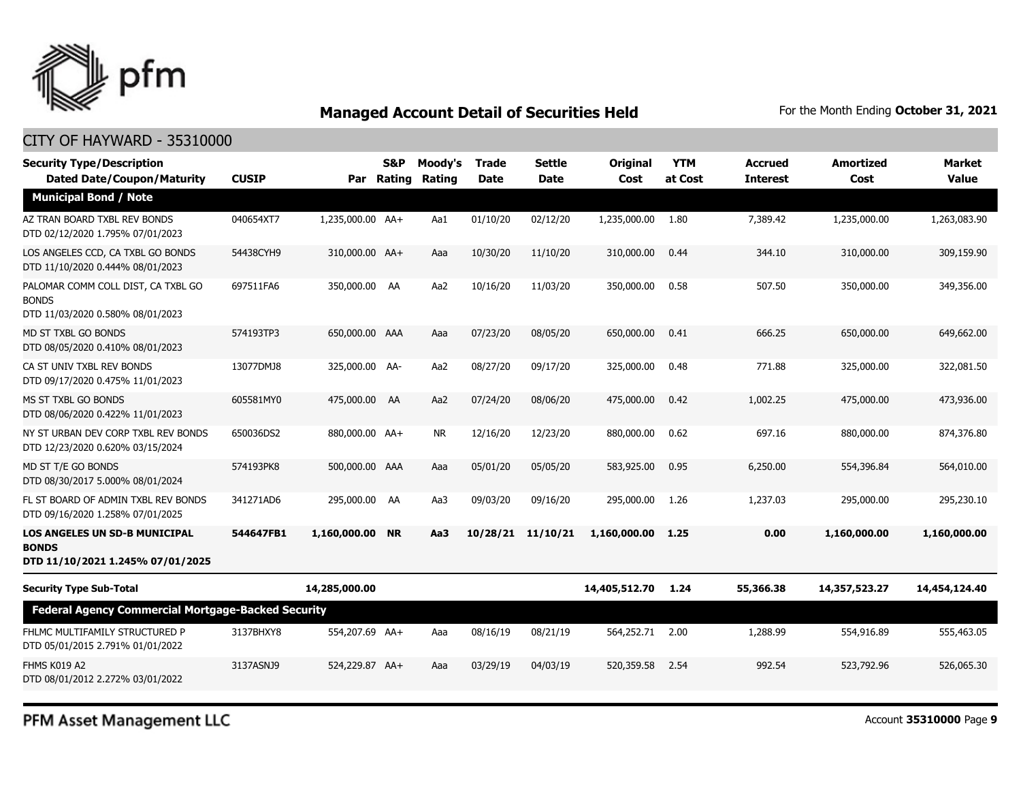

#### CITY OF HAYWARD - 35310000

| <b>Security Type/Description</b><br><b>Dated Date/Coupon/Maturity</b>                    | <b>CUSIP</b> |                  | <b>S&amp;P</b><br>Par Rating | Moody's<br>Rating | <b>Trade</b><br><b>Date</b> | Settle<br>Date | <b>Original</b><br>Cost | <b>YTM</b><br>at Cost | <b>Accrued</b><br><b>Interest</b> | Amortized<br>Cost | <b>Market</b><br><b>Value</b> |
|------------------------------------------------------------------------------------------|--------------|------------------|------------------------------|-------------------|-----------------------------|----------------|-------------------------|-----------------------|-----------------------------------|-------------------|-------------------------------|
| <b>Municipal Bond / Note</b>                                                             |              |                  |                              |                   |                             |                |                         |                       |                                   |                   |                               |
| AZ TRAN BOARD TXBL REV BONDS<br>DTD 02/12/2020 1.795% 07/01/2023                         | 040654XT7    | 1,235,000.00 AA+ |                              | Aa1               | 01/10/20                    | 02/12/20       | 1,235,000.00            | 1.80                  | 7,389.42                          | 1,235,000.00      | 1,263,083.90                  |
| LOS ANGELES CCD, CA TXBL GO BONDS<br>DTD 11/10/2020 0.444% 08/01/2023                    | 54438CYH9    | 310,000.00 AA+   |                              | Aaa               | 10/30/20                    | 11/10/20       | 310,000.00              | 0.44                  | 344.10                            | 310,000.00        | 309,159.90                    |
| PALOMAR COMM COLL DIST, CA TXBL GO<br><b>BONDS</b><br>DTD 11/03/2020 0.580% 08/01/2023   | 697511FA6    | 350,000.00 AA    |                              | Aa2               | 10/16/20                    | 11/03/20       | 350,000.00              | 0.58                  | 507.50                            | 350,000.00        | 349,356.00                    |
| MD ST TXBL GO BONDS<br>DTD 08/05/2020 0.410% 08/01/2023                                  | 574193TP3    | 650,000.00 AAA   |                              | Aaa               | 07/23/20                    | 08/05/20       | 650,000.00              | 0.41                  | 666.25                            | 650,000.00        | 649,662.00                    |
| CA ST UNIV TXBL REV BONDS<br>DTD 09/17/2020 0.475% 11/01/2023                            | 13077DMJ8    | 325,000.00 AA-   |                              | Aa2               | 08/27/20                    | 09/17/20       | 325,000.00              | 0.48                  | 771.88                            | 325,000.00        | 322,081.50                    |
| MS ST TXBL GO BONDS<br>DTD 08/06/2020 0.422% 11/01/2023                                  | 605581MY0    | 475,000.00 AA    |                              | Aa2               | 07/24/20                    | 08/06/20       | 475,000.00              | 0.42                  | 1,002.25                          | 475,000.00        | 473,936.00                    |
| NY ST URBAN DEV CORP TXBL REV BONDS<br>DTD 12/23/2020 0.620% 03/15/2024                  | 650036DS2    | 880,000.00 AA+   |                              | <b>NR</b>         | 12/16/20                    | 12/23/20       | 880,000.00              | 0.62                  | 697.16                            | 880,000.00        | 874,376.80                    |
| MD ST T/E GO BONDS<br>DTD 08/30/2017 5.000% 08/01/2024                                   | 574193PK8    | 500,000.00 AAA   |                              | Aaa               | 05/01/20                    | 05/05/20       | 583,925.00              | 0.95                  | 6,250.00                          | 554,396.84        | 564,010.00                    |
| FL ST BOARD OF ADMIN TXBL REV BONDS<br>DTD 09/16/2020 1.258% 07/01/2025                  | 341271AD6    | 295,000.00 AA    |                              | Aa3               | 09/03/20                    | 09/16/20       | 295,000.00              | 1.26                  | 1,237.03                          | 295,000.00        | 295,230.10                    |
| <b>LOS ANGELES UN SD-B MUNICIPAL</b><br><b>BONDS</b><br>DTD 11/10/2021 1.245% 07/01/2025 | 544647FB1    | 1.160.000.00 NR  |                              | Aa3               | 10/28/21                    | 11/10/21       | 1,160,000,00            | 1.25                  | 0.00                              | 1,160,000.00      | 1,160,000,00                  |
| <b>Security Type Sub-Total</b>                                                           |              | 14,285,000.00    |                              |                   |                             |                | 14,405,512.70           | 1.24                  | 55,366.38                         | 14,357,523.27     | 14,454,124.40                 |
| <b>Federal Agency Commercial Mortgage-Backed Security</b>                                |              |                  |                              |                   |                             |                |                         |                       |                                   |                   |                               |
| FHLMC MULTIFAMILY STRUCTURED P<br>DTD 05/01/2015 2.791% 01/01/2022                       | 3137BHXY8    | 554,207.69 AA+   |                              | Aaa               | 08/16/19                    | 08/21/19       | 564,252.71              | 2.00                  | 1,288.99                          | 554,916.89        | 555,463.05                    |
| FHMS K019 A2<br>DTD 08/01/2012 2.272% 03/01/2022                                         | 3137ASNJ9    | 524,229.87 AA+   |                              | Aaa               | 03/29/19                    | 04/03/19       | 520,359.58              | 2.54                  | 992.54                            | 523,792.96        | 526,065.30                    |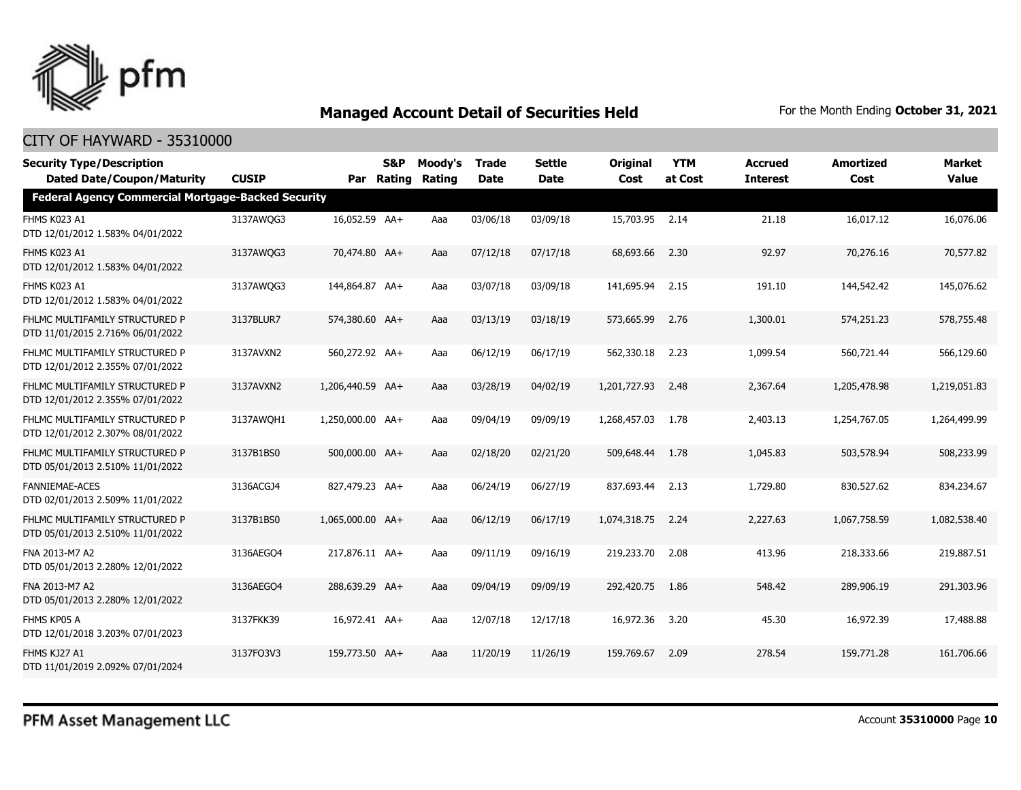

| <b>Security Type/Description</b>                                                               |              |                  | <b>S&amp;P</b> | Moody's | <b>Trade</b> | <b>Settle</b> | <b>Original</b> | <b>YTM</b> | <b>Accrued</b>  | <b>Amortized</b> | <b>Market</b> |
|------------------------------------------------------------------------------------------------|--------------|------------------|----------------|---------|--------------|---------------|-----------------|------------|-----------------|------------------|---------------|
| <b>Dated Date/Coupon/Maturity</b><br><b>Federal Agency Commercial Mortgage-Backed Security</b> | <b>CUSIP</b> | Par              | Rating         | Rating  | Date         | Date          | Cost            | at Cost    | <b>Interest</b> | Cost             | <b>Value</b>  |
|                                                                                                |              |                  |                |         |              |               |                 |            |                 |                  |               |
| FHMS K023 A1<br>DTD 12/01/2012 1.583% 04/01/2022                                               | 3137AWQG3    | 16,052.59 AA+    |                | Aaa     | 03/06/18     | 03/09/18      | 15,703.95 2.14  |            | 21.18           | 16,017.12        | 16,076.06     |
| FHMS K023 A1<br>DTD 12/01/2012 1.583% 04/01/2022                                               | 3137AWQG3    | 70,474.80 AA+    |                | Aaa     | 07/12/18     | 07/17/18      | 68,693.66       | 2.30       | 92.97           | 70,276.16        | 70,577.82     |
| FHMS K023 A1<br>DTD 12/01/2012 1.583% 04/01/2022                                               | 3137AWQG3    | 144,864.87 AA+   |                | Aaa     | 03/07/18     | 03/09/18      | 141,695.94      | 2.15       | 191.10          | 144,542,42       | 145,076.62    |
| FHLMC MULTIFAMILY STRUCTURED P<br>DTD 11/01/2015 2.716% 06/01/2022                             | 3137BLUR7    | 574,380.60 AA+   |                | Aaa     | 03/13/19     | 03/18/19      | 573,665.99      | 2.76       | 1,300.01        | 574,251.23       | 578,755.48    |
| FHLMC MULTIFAMILY STRUCTURED P<br>DTD 12/01/2012 2.355% 07/01/2022                             | 3137AVXN2    | 560,272.92 AA+   |                | Aaa     | 06/12/19     | 06/17/19      | 562,330.18      | 2.23       | 1,099.54        | 560,721.44       | 566,129.60    |
| FHLMC MULTIFAMILY STRUCTURED P<br>DTD 12/01/2012 2.355% 07/01/2022                             | 3137AVXN2    | 1,206,440.59 AA+ |                | Aaa     | 03/28/19     | 04/02/19      | 1,201,727.93    | 2.48       | 2,367.64        | 1,205,478.98     | 1,219,051.83  |
| FHLMC MULTIFAMILY STRUCTURED P<br>DTD 12/01/2012 2.307% 08/01/2022                             | 3137AWOH1    | 1,250,000.00 AA+ |                | Aaa     | 09/04/19     | 09/09/19      | 1,268,457.03    | 1.78       | 2,403.13        | 1,254,767.05     | 1,264,499.99  |
| FHLMC MULTIFAMILY STRUCTURED P<br>DTD 05/01/2013 2.510% 11/01/2022                             | 3137B1BS0    | 500,000.00 AA+   |                | Aaa     | 02/18/20     | 02/21/20      | 509,648,44      | 1.78       | 1,045.83        | 503,578.94       | 508,233.99    |
| <b>FANNIEMAE-ACES</b><br>DTD 02/01/2013 2.509% 11/01/2022                                      | 3136ACGJ4    | 827,479.23 AA+   |                | Aaa     | 06/24/19     | 06/27/19      | 837,693,44      | 2.13       | 1,729.80        | 830,527.62       | 834,234.67    |
| FHLMC MULTIFAMILY STRUCTURED P<br>DTD 05/01/2013 2.510% 11/01/2022                             | 3137B1BS0    | 1,065,000.00 AA+ |                | Aaa     | 06/12/19     | 06/17/19      | 1,074,318.75    | 2.24       | 2,227.63        | 1,067,758.59     | 1,082,538.40  |
| FNA 2013-M7 A2<br>DTD 05/01/2013 2.280% 12/01/2022                                             | 3136AEGO4    | 217,876.11 AA+   |                | Aaa     | 09/11/19     | 09/16/19      | 219,233.70      | 2.08       | 413.96          | 218,333.66       | 219,887.51    |
| FNA 2013-M7 A2<br>DTD 05/01/2013 2.280% 12/01/2022                                             | 3136AEGO4    | 288,639.29 AA+   |                | Aaa     | 09/04/19     | 09/09/19      | 292,420.75      | 1.86       | 548.42          | 289,906.19       | 291,303.96    |
| FHMS KP05 A<br>DTD 12/01/2018 3.203% 07/01/2023                                                | 3137FKK39    | 16,972.41 AA+    |                | Aaa     | 12/07/18     | 12/17/18      | 16,972.36       | 3.20       | 45.30           | 16,972.39        | 17,488.88     |
| FHMS KJ27 A1<br>DTD 11/01/2019 2.092% 07/01/2024                                               | 3137FQ3V3    | 159,773.50 AA+   |                | Aaa     | 11/20/19     | 11/26/19      | 159,769.67      | 2.09       | 278.54          | 159,771.28       | 161,706.66    |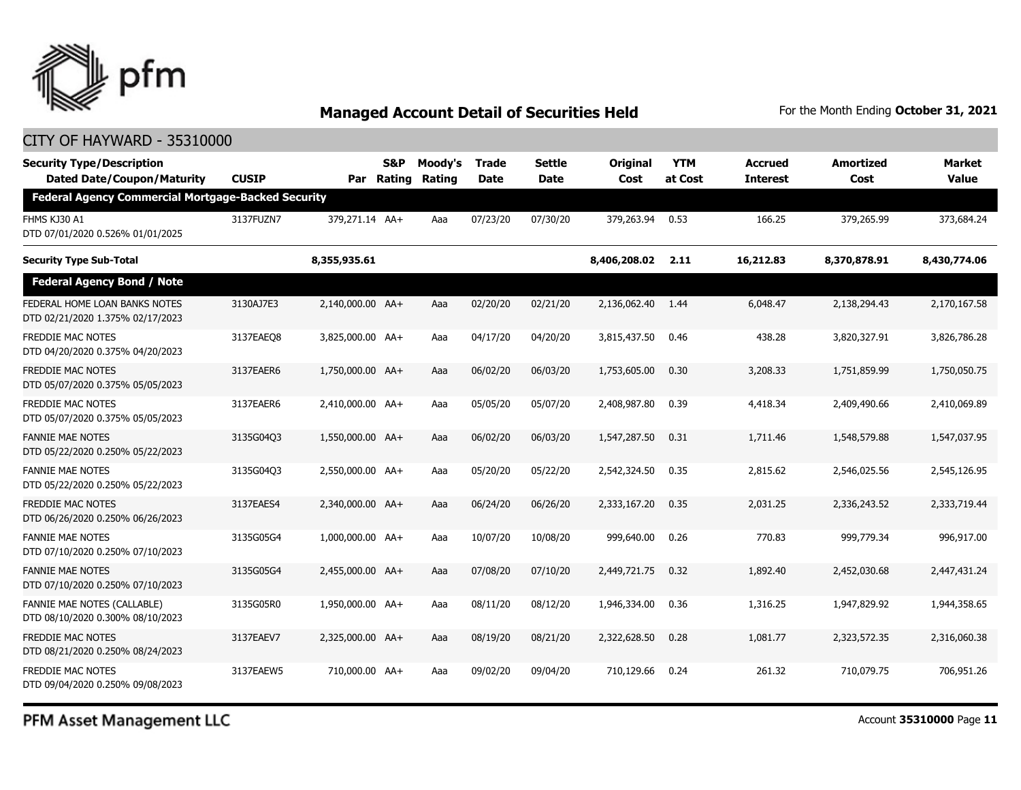

### CITY OF HAYWARD - 35310000

| <b>Security Type/Description</b><br><b>Dated Date/Coupon/Maturity</b> | <b>CUSIP</b> | Par              | S&P<br>Rating | Moody's<br><b>Rating</b> | Trade<br>Date | <b>Settle</b><br>Date | <b>Original</b><br>Cost | <b>YTM</b><br>at Cost | <b>Accrued</b><br><b>Interest</b> | <b>Amortized</b><br>Cost | Market<br><b>Value</b> |
|-----------------------------------------------------------------------|--------------|------------------|---------------|--------------------------|---------------|-----------------------|-------------------------|-----------------------|-----------------------------------|--------------------------|------------------------|
| <b>Federal Agency Commercial Mortgage-Backed Security</b>             |              |                  |               |                          |               |                       |                         |                       |                                   |                          |                        |
| FHMS KJ30 A1<br>DTD 07/01/2020 0.526% 01/01/2025                      | 3137FUZN7    | 379,271.14 AA+   |               | Aaa                      | 07/23/20      | 07/30/20              | 379,263.94              | 0.53                  | 166.25                            | 379,265.99               | 373,684.24             |
| <b>Security Type Sub-Total</b>                                        |              | 8,355,935.61     |               |                          |               |                       | 8,406,208.02            | 2.11                  | 16,212.83                         | 8,370,878.91             | 8,430,774.06           |
| <b>Federal Agency Bond / Note</b>                                     |              |                  |               |                          |               |                       |                         |                       |                                   |                          |                        |
| FEDERAL HOME LOAN BANKS NOTES<br>DTD 02/21/2020 1.375% 02/17/2023     | 3130AJ7E3    | 2,140,000.00 AA+ |               | Aaa                      | 02/20/20      | 02/21/20              | 2,136,062.40 1.44       |                       | 6,048.47                          | 2,138,294.43             | 2,170,167.58           |
| FREDDIE MAC NOTES<br>DTD 04/20/2020 0.375% 04/20/2023                 | 3137EAEO8    | 3,825,000.00 AA+ |               | Aaa                      | 04/17/20      | 04/20/20              | 3,815,437.50            | 0.46                  | 438.28                            | 3,820,327.91             | 3,826,786.28           |
| FREDDIE MAC NOTES<br>DTD 05/07/2020 0.375% 05/05/2023                 | 3137EAER6    | 1,750,000.00 AA+ |               | Aaa                      | 06/02/20      | 06/03/20              | 1,753,605.00            | 0.30                  | 3,208.33                          | 1,751,859.99             | 1,750,050.75           |
| FREDDIE MAC NOTES<br>DTD 05/07/2020 0.375% 05/05/2023                 | 3137EAER6    | 2,410,000.00 AA+ |               | Aaa                      | 05/05/20      | 05/07/20              | 2,408,987.80            | 0.39                  | 4,418.34                          | 2,409,490.66             | 2,410,069.89           |
| <b>FANNIE MAE NOTES</b><br>DTD 05/22/2020 0.250% 05/22/2023           | 3135G04Q3    | 1,550,000.00 AA+ |               | Aaa                      | 06/02/20      | 06/03/20              | 1,547,287.50            | 0.31                  | 1,711.46                          | 1,548,579.88             | 1,547,037.95           |
| FANNIE MAE NOTES<br>DTD 05/22/2020 0.250% 05/22/2023                  | 3135G04O3    | 2,550,000.00 AA+ |               | Aaa                      | 05/20/20      | 05/22/20              | 2,542,324.50            | 0.35                  | 2,815.62                          | 2,546,025.56             | 2,545,126.95           |
| <b>FREDDIE MAC NOTES</b><br>DTD 06/26/2020 0.250% 06/26/2023          | 3137EAES4    | 2.340.000.00 AA+ |               | Aaa                      | 06/24/20      | 06/26/20              | 2,333,167.20            | 0.35                  | 2.031.25                          | 2,336,243.52             | 2,333,719.44           |
| <b>FANNIE MAE NOTES</b><br>DTD 07/10/2020 0.250% 07/10/2023           | 3135G05G4    | 1,000,000,00 AA+ |               | Aaa                      | 10/07/20      | 10/08/20              | 999,640.00              | 0.26                  | 770.83                            | 999,779.34               | 996,917.00             |
| FANNIE MAE NOTES<br>DTD 07/10/2020 0.250% 07/10/2023                  | 3135G05G4    | 2,455,000.00 AA+ |               | Aaa                      | 07/08/20      | 07/10/20              | 2,449,721.75            | 0.32                  | 1,892.40                          | 2,452,030.68             | 2,447,431.24           |
| FANNIE MAE NOTES (CALLABLE)<br>DTD 08/10/2020 0.300% 08/10/2023       | 3135G05R0    | 1,950,000.00 AA+ |               | Aaa                      | 08/11/20      | 08/12/20              | 1,946,334.00            | 0.36                  | 1,316.25                          | 1,947,829.92             | 1,944,358.65           |
| <b>FREDDIE MAC NOTES</b><br>DTD 08/21/2020 0.250% 08/24/2023          | 3137EAEV7    | 2.325.000.00 AA+ |               | Aaa                      | 08/19/20      | 08/21/20              | 2,322,628.50            | 0.28                  | 1,081.77                          | 2,323,572.35             | 2,316,060.38           |
| FREDDIE MAC NOTES<br>DTD 09/04/2020 0.250% 09/08/2023                 | 3137EAEW5    | 710,000.00 AA+   |               | Aaa                      | 09/02/20      | 09/04/20              | 710,129.66              | 0.24                  | 261.32                            | 710,079.75               | 706.951.26             |

PFM Asset Management LLC

Account **35310000** Page **11**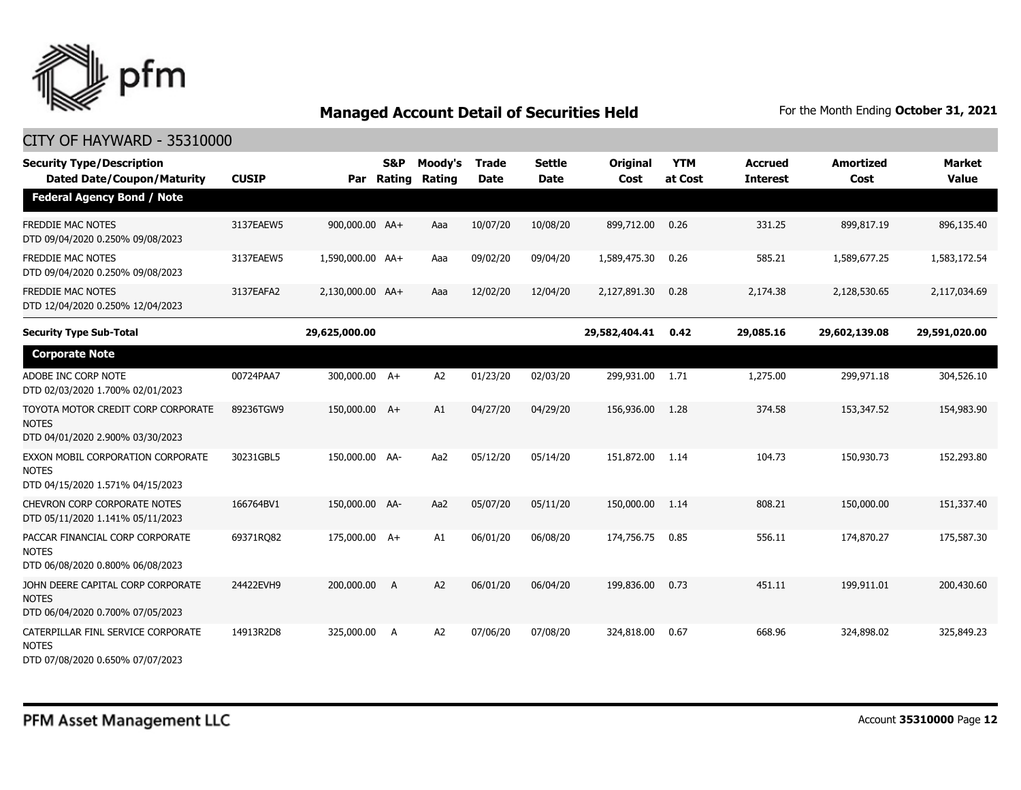

| <b>Security Type/Description</b><br><b>Dated Date/Coupon/Maturity</b>                  | <b>CUSIP</b> | Par              | <b>S&amp;P</b><br>Rating | Moody's<br>Rating | Trade<br><b>Date</b> | <b>Settle</b><br><b>Date</b> | Original<br>Cost | <b>YTM</b><br>at Cost | <b>Accrued</b><br><b>Interest</b> | <b>Amortized</b><br>Cost | <b>Market</b><br><b>Value</b> |
|----------------------------------------------------------------------------------------|--------------|------------------|--------------------------|-------------------|----------------------|------------------------------|------------------|-----------------------|-----------------------------------|--------------------------|-------------------------------|
| <b>Federal Agency Bond / Note</b>                                                      |              |                  |                          |                   |                      |                              |                  |                       |                                   |                          |                               |
| <b>FREDDIE MAC NOTES</b><br>DTD 09/04/2020 0.250% 09/08/2023                           | 3137EAEW5    | 900,000.00 AA+   |                          | Aaa               | 10/07/20             | 10/08/20                     | 899,712.00       | 0.26                  | 331.25                            | 899,817.19               | 896,135.40                    |
| <b>FREDDIE MAC NOTES</b><br>DTD 09/04/2020 0.250% 09/08/2023                           | 3137EAEW5    | 1,590,000.00 AA+ |                          | Aaa               | 09/02/20             | 09/04/20                     | 1,589,475.30     | 0.26                  | 585.21                            | 1,589,677.25             | 1,583,172.54                  |
| <b>FREDDIE MAC NOTES</b><br>DTD 12/04/2020 0.250% 12/04/2023                           | 3137EAFA2    | 2,130,000.00 AA+ |                          | Aaa               | 12/02/20             | 12/04/20                     | 2,127,891.30     | 0.28                  | 2,174.38                          | 2,128,530.65             | 2,117,034.69                  |
| <b>Security Type Sub-Total</b>                                                         |              | 29,625,000.00    |                          |                   |                      |                              | 29,582,404.41    | 0.42                  | 29,085.16                         | 29,602,139.08            | 29,591,020.00                 |
| <b>Corporate Note</b>                                                                  |              |                  |                          |                   |                      |                              |                  |                       |                                   |                          |                               |
| ADOBE INC CORP NOTE<br>DTD 02/03/2020 1.700% 02/01/2023                                | 00724PAA7    | 300,000.00 A+    |                          | A2                | 01/23/20             | 02/03/20                     | 299,931.00       | 1.71                  | 1,275.00                          | 299,971.18               | 304,526.10                    |
| TOYOTA MOTOR CREDIT CORP CORPORATE<br><b>NOTES</b><br>DTD 04/01/2020 2.900% 03/30/2023 | 89236TGW9    | 150,000.00 A+    |                          | A1                | 04/27/20             | 04/29/20                     | 156,936.00       | 1.28                  | 374.58                            | 153,347.52               | 154,983.90                    |
| EXXON MOBIL CORPORATION CORPORATE<br><b>NOTES</b><br>DTD 04/15/2020 1.571% 04/15/2023  | 30231GBL5    | 150,000.00 AA-   |                          | Aa2               | 05/12/20             | 05/14/20                     | 151,872.00       | 1.14                  | 104.73                            | 150,930.73               | 152,293.80                    |
| <b>CHEVRON CORP CORPORATE NOTES</b><br>DTD 05/11/2020 1.141% 05/11/2023                | 166764BV1    | 150,000.00 AA-   |                          | Aa2               | 05/07/20             | 05/11/20                     | 150,000.00       | 1.14                  | 808.21                            | 150,000.00               | 151,337.40                    |
| PACCAR FINANCIAL CORP CORPORATE<br><b>NOTES</b><br>DTD 06/08/2020 0.800% 06/08/2023    | 69371RQ82    | 175,000.00 A+    |                          | A1                | 06/01/20             | 06/08/20                     | 174,756.75       | 0.85                  | 556.11                            | 174,870.27               | 175,587.30                    |
| JOHN DEERE CAPITAL CORP CORPORATE<br><b>NOTES</b><br>DTD 06/04/2020 0.700% 07/05/2023  | 24422EVH9    | 200,000.00       | A                        | A2                | 06/01/20             | 06/04/20                     | 199,836,00       | 0.73                  | 451.11                            | 199,911.01               | 200,430.60                    |
| CATERPILLAR FINL SERVICE CORPORATE<br><b>NOTES</b><br>DTD 07/08/2020 0.650% 07/07/2023 | 14913R2D8    | 325,000.00       | A                        | A2                | 07/06/20             | 07/08/20                     | 324,818.00       | 0.67                  | 668.96                            | 324,898.02               | 325,849.23                    |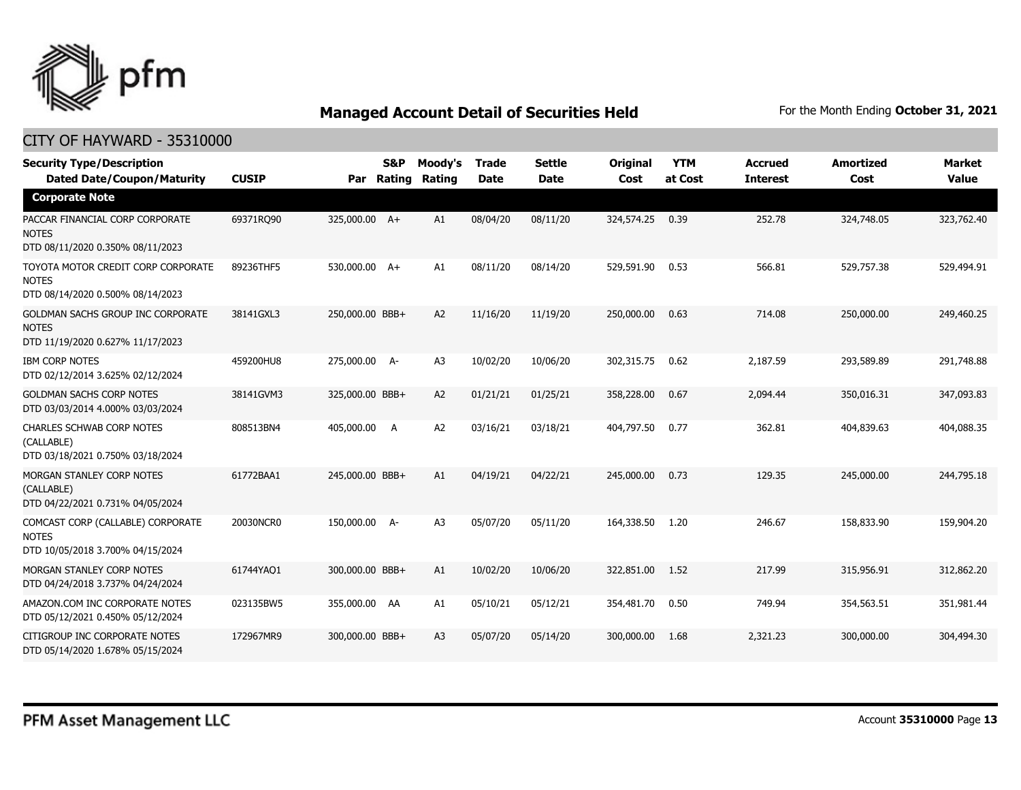

| <b>Security Type/Description</b><br><b>Dated Date/Coupon/Maturity</b>                  | <b>CUSIP</b> | Par             | <b>S&amp;P</b><br>Rating | Moody's<br>Rating | <b>Trade</b><br><b>Date</b> | <b>Settle</b><br><b>Date</b> | Original<br>Cost | <b>YTM</b><br>at Cost | <b>Accrued</b><br><b>Interest</b> | <b>Amortized</b><br>Cost | Market<br><b>Value</b> |
|----------------------------------------------------------------------------------------|--------------|-----------------|--------------------------|-------------------|-----------------------------|------------------------------|------------------|-----------------------|-----------------------------------|--------------------------|------------------------|
| <b>Corporate Note</b>                                                                  |              |                 |                          |                   |                             |                              |                  |                       |                                   |                          |                        |
| PACCAR FINANCIAL CORP CORPORATE<br><b>NOTES</b><br>DTD 08/11/2020 0.350% 08/11/2023    | 69371RQ90    | 325,000.00 A+   |                          | A1                | 08/04/20                    | 08/11/20                     | 324,574.25       | 0.39                  | 252.78                            | 324,748.05               | 323,762.40             |
| TOYOTA MOTOR CREDIT CORP CORPORATE<br><b>NOTES</b><br>DTD 08/14/2020 0.500% 08/14/2023 | 89236THF5    | 530,000.00 A+   |                          | A1                | 08/11/20                    | 08/14/20                     | 529,591.90       | 0.53                  | 566.81                            | 529,757.38               | 529,494.91             |
| GOLDMAN SACHS GROUP INC CORPORATE<br><b>NOTES</b><br>DTD 11/19/2020 0.627% 11/17/2023  | 38141GXL3    | 250,000.00 BBB+ |                          | A2                | 11/16/20                    | 11/19/20                     | 250,000.00       | 0.63                  | 714.08                            | 250,000.00               | 249,460.25             |
| <b>IBM CORP NOTES</b><br>DTD 02/12/2014 3.625% 02/12/2024                              | 459200HU8    | 275,000.00 A-   |                          | A <sub>3</sub>    | 10/02/20                    | 10/06/20                     | 302,315.75       | 0.62                  | 2,187.59                          | 293,589.89               | 291,748.88             |
| <b>GOLDMAN SACHS CORP NOTES</b><br>DTD 03/03/2014 4.000% 03/03/2024                    | 38141GVM3    | 325,000.00 BBB+ |                          | A2                | 01/21/21                    | 01/25/21                     | 358,228.00       | 0.67                  | 2,094.44                          | 350,016.31               | 347,093.83             |
| CHARLES SCHWAB CORP NOTES<br>(CALLABLE)<br>DTD 03/18/2021 0.750% 03/18/2024            | 808513BN4    | 405,000.00 A    |                          | A <sub>2</sub>    | 03/16/21                    | 03/18/21                     | 404,797.50       | 0.77                  | 362.81                            | 404,839.63               | 404,088.35             |
| MORGAN STANLEY CORP NOTES<br>(CALLABLE)<br>DTD 04/22/2021 0.731% 04/05/2024            | 61772BAA1    | 245,000.00 BBB+ |                          | A1                | 04/19/21                    | 04/22/21                     | 245,000.00       | 0.73                  | 129.35                            | 245,000.00               | 244,795.18             |
| COMCAST CORP (CALLABLE) CORPORATE<br><b>NOTES</b><br>DTD 10/05/2018 3.700% 04/15/2024  | 20030NCR0    | 150,000.00 A-   |                          | A <sub>3</sub>    | 05/07/20                    | 05/11/20                     | 164,338.50       | 1.20                  | 246.67                            | 158,833.90               | 159,904.20             |
| MORGAN STANLEY CORP NOTES<br>DTD 04/24/2018 3.737% 04/24/2024                          | 61744YAQ1    | 300,000.00 BBB+ |                          | A1                | 10/02/20                    | 10/06/20                     | 322,851.00       | 1.52                  | 217.99                            | 315,956.91               | 312,862.20             |
| AMAZON.COM INC CORPORATE NOTES<br>DTD 05/12/2021 0.450% 05/12/2024                     | 023135BW5    | 355,000.00 AA   |                          | A1                | 05/10/21                    | 05/12/21                     | 354,481.70       | 0.50                  | 749.94                            | 354,563.51               | 351,981.44             |
| CITIGROUP INC CORPORATE NOTES<br>DTD 05/14/2020 1.678% 05/15/2024                      | 172967MR9    | 300,000.00 BBB+ |                          | A <sub>3</sub>    | 05/07/20                    | 05/14/20                     | 300,000.00       | 1.68                  | 2,321.23                          | 300,000.00               | 304,494.30             |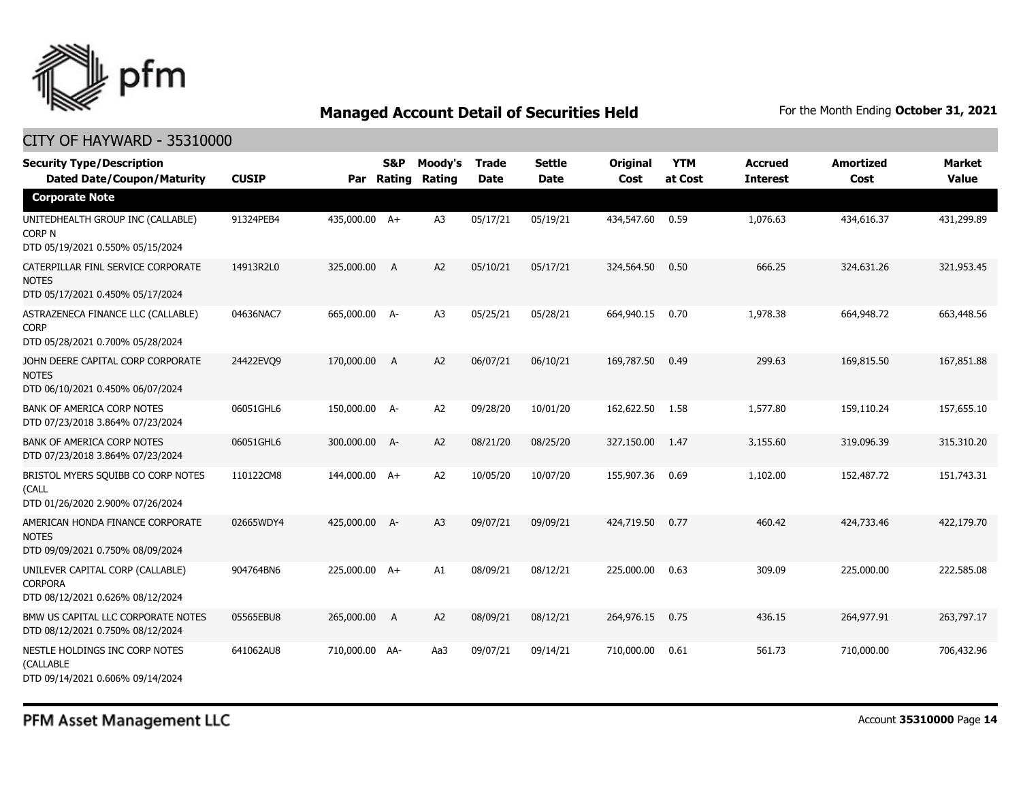

#### CITY OF HAYWARD - 35310000

| <b>Security Type/Description</b><br><b>Dated Date/Coupon/Maturity</b>                      | <b>CUSIP</b> | Par            | <b>S&amp;P</b><br>Rating | Moody's<br>Rating | <b>Trade</b><br><b>Date</b> | <b>Settle</b><br><b>Date</b> | Original<br>Cost | <b>YTM</b><br>at Cost | <b>Accrued</b><br><b>Interest</b> | <b>Amortized</b><br>Cost | Market<br><b>Value</b> |
|--------------------------------------------------------------------------------------------|--------------|----------------|--------------------------|-------------------|-----------------------------|------------------------------|------------------|-----------------------|-----------------------------------|--------------------------|------------------------|
| <b>Corporate Note</b>                                                                      |              |                |                          |                   |                             |                              |                  |                       |                                   |                          |                        |
| UNITEDHEALTH GROUP INC (CALLABLE)<br>CORP <sub>N</sub><br>DTD 05/19/2021 0.550% 05/15/2024 | 91324PEB4    | 435,000.00 A+  |                          | A <sub>3</sub>    | 05/17/21                    | 05/19/21                     | 434,547.60       | 0.59                  | 1.076.63                          | 434,616.37               | 431,299.89             |
| CATERPILLAR FINL SERVICE CORPORATE<br><b>NOTES</b><br>DTD 05/17/2021 0.450% 05/17/2024     | 14913R2L0    | 325,000.00     | $\overline{A}$           | A <sub>2</sub>    | 05/10/21                    | 05/17/21                     | 324,564.50       | 0.50                  | 666.25                            | 324,631.26               | 321,953.45             |
| ASTRAZENECA FINANCE LLC (CALLABLE)<br><b>CORP</b><br>DTD 05/28/2021 0.700% 05/28/2024      | 04636NAC7    | 665,000.00 A-  |                          | A <sub>3</sub>    | 05/25/21                    | 05/28/21                     | 664,940.15       | 0.70                  | 1,978.38                          | 664,948.72               | 663,448.56             |
| JOHN DEERE CAPITAL CORP CORPORATE<br><b>NOTES</b><br>DTD 06/10/2021 0.450% 06/07/2024      | 24422EVO9    | 170,000,00     | A                        | A2                | 06/07/21                    | 06/10/21                     | 169,787.50       | 0.49                  | 299.63                            | 169,815.50               | 167,851.88             |
| <b>BANK OF AMERICA CORP NOTES</b><br>DTD 07/23/2018 3.864% 07/23/2024                      | 06051GHL6    | 150,000.00 A-  |                          | A <sub>2</sub>    | 09/28/20                    | 10/01/20                     | 162,622.50       | 1.58                  | 1,577.80                          | 159,110.24               | 157,655.10             |
| <b>BANK OF AMERICA CORP NOTES</b><br>DTD 07/23/2018 3.864% 07/23/2024                      | 06051GHL6    | 300,000.00 A-  |                          | A <sub>2</sub>    | 08/21/20                    | 08/25/20                     | 327,150.00       | 1.47                  | 3,155.60                          | 319,096.39               | 315,310.20             |
| BRISTOL MYERS SQUIBB CO CORP NOTES<br>(CALL<br>DTD 01/26/2020 2.900% 07/26/2024            | 110122CM8    | 144,000.00 A+  |                          | A <sub>2</sub>    | 10/05/20                    | 10/07/20                     | 155,907.36       | 0.69                  | 1,102.00                          | 152,487.72               | 151,743.31             |
| AMERICAN HONDA FINANCE CORPORATE<br><b>NOTES</b><br>DTD 09/09/2021 0.750% 08/09/2024       | 02665WDY4    | 425,000.00 A-  |                          | A <sub>3</sub>    | 09/07/21                    | 09/09/21                     | 424,719.50       | 0.77                  | 460.42                            | 424,733,46               | 422,179.70             |
| UNILEVER CAPITAL CORP (CALLABLE)<br><b>CORPORA</b><br>DTD 08/12/2021 0.626% 08/12/2024     | 904764BN6    | 225,000.00 A+  |                          | A1                | 08/09/21                    | 08/12/21                     | 225,000.00       | 0.63                  | 309.09                            | 225,000.00               | 222,585.08             |
| BMW US CAPITAL LLC CORPORATE NOTES<br>DTD 08/12/2021 0.750% 08/12/2024                     | 05565EBU8    | 265,000.00     | A                        | A <sub>2</sub>    | 08/09/21                    | 08/12/21                     | 264,976.15       | 0.75                  | 436.15                            | 264,977.91               | 263,797.17             |
| NESTLE HOLDINGS INC CORP NOTES<br>(CALLABLE<br>DTD 09/14/2021 0.606% 09/14/2024            | 641062AU8    | 710,000.00 AA- |                          | Aa3               | 09/07/21                    | 09/14/21                     | 710,000.00       | 0.61                  | 561.73                            | 710,000.00               | 706,432.96             |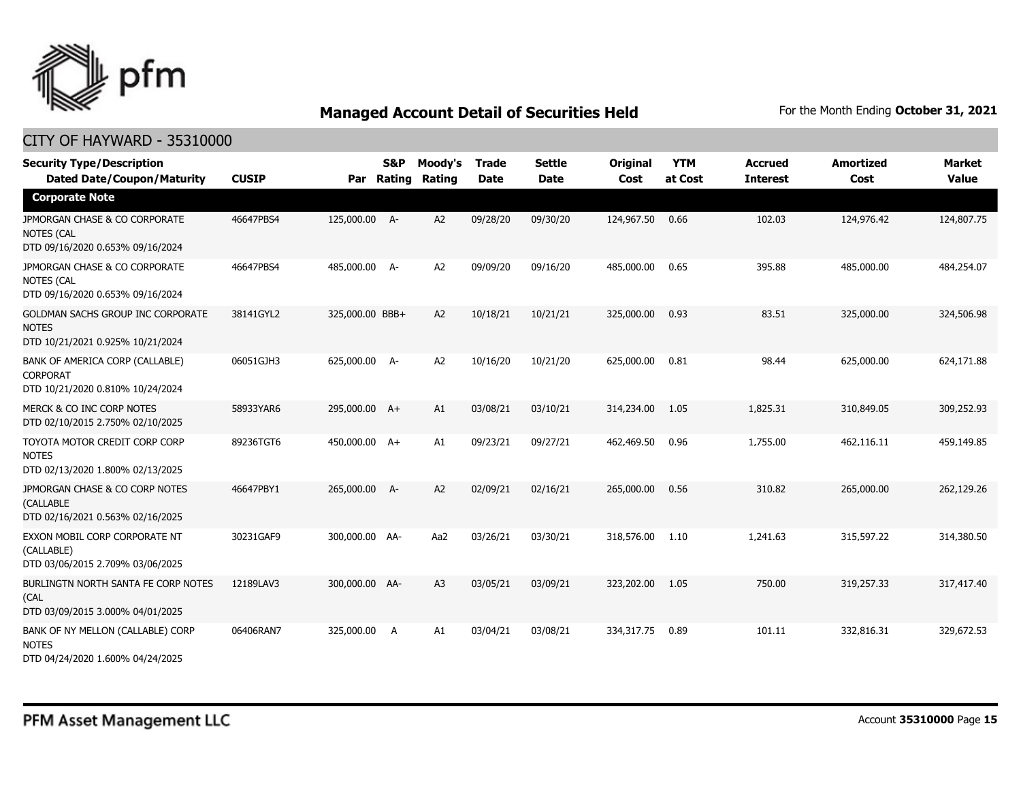

| <b>Security Type/Description</b><br><b>Dated Date/Coupon/Maturity</b>                  | <b>CUSIP</b> | Par             | <b>S&amp;P</b><br>Rating | Moody's<br>Rating | <b>Trade</b><br><b>Date</b> | <b>Settle</b><br><b>Date</b> | Original<br>Cost | <b>YTM</b><br>at Cost | <b>Accrued</b><br><b>Interest</b> | <b>Amortized</b><br>Cost | <b>Market</b><br><b>Value</b> |
|----------------------------------------------------------------------------------------|--------------|-----------------|--------------------------|-------------------|-----------------------------|------------------------------|------------------|-----------------------|-----------------------------------|--------------------------|-------------------------------|
| <b>Corporate Note</b>                                                                  |              |                 |                          |                   |                             |                              |                  |                       |                                   |                          |                               |
| JPMORGAN CHASE & CO CORPORATE<br><b>NOTES (CAL</b><br>DTD 09/16/2020 0.653% 09/16/2024 | 46647PBS4    | 125,000.00 A-   |                          | A <sub>2</sub>    | 09/28/20                    | 09/30/20                     | 124,967.50       | 0.66                  | 102.03                            | 124,976.42               | 124,807.75                    |
| JPMORGAN CHASE & CO CORPORATE<br><b>NOTES (CAL</b><br>DTD 09/16/2020 0.653% 09/16/2024 | 46647PBS4    | 485,000.00      | - A                      | A <sub>2</sub>    | 09/09/20                    | 09/16/20                     | 485,000.00       | 0.65                  | 395.88                            | 485,000.00               | 484,254.07                    |
| GOLDMAN SACHS GROUP INC CORPORATE<br><b>NOTES</b><br>DTD 10/21/2021 0.925% 10/21/2024  | 38141GYL2    | 325,000.00 BBB+ |                          | A2                | 10/18/21                    | 10/21/21                     | 325,000.00       | 0.93                  | 83.51                             | 325,000.00               | 324,506.98                    |
| BANK OF AMERICA CORP (CALLABLE)<br><b>CORPORAT</b><br>DTD 10/21/2020 0.810% 10/24/2024 | 06051GJH3    | 625,000.00      | - A                      | A <sub>2</sub>    | 10/16/20                    | 10/21/20                     | 625,000.00       | 0.81                  | 98.44                             | 625,000.00               | 624,171.88                    |
| MERCK & CO INC CORP NOTES<br>DTD 02/10/2015 2.750% 02/10/2025                          | 58933YAR6    | 295,000.00 A+   |                          | A1                | 03/08/21                    | 03/10/21                     | 314,234.00       | 1.05                  | 1,825.31                          | 310,849.05               | 309,252.93                    |
| TOYOTA MOTOR CREDIT CORP CORP<br><b>NOTES</b><br>DTD 02/13/2020 1.800% 02/13/2025      | 89236TGT6    | 450,000.00 A+   |                          | A1                | 09/23/21                    | 09/27/21                     | 462,469.50       | 0.96                  | 1,755.00                          | 462,116.11               | 459,149.85                    |
| JPMORGAN CHASE & CO CORP NOTES<br><b>(CALLABLE</b><br>DTD 02/16/2021 0.563% 02/16/2025 | 46647PBY1    | 265,000.00 A-   |                          | A2                | 02/09/21                    | 02/16/21                     | 265,000.00       | 0.56                  | 310.82                            | 265,000.00               | 262,129.26                    |
| EXXON MOBIL CORP CORPORATE NT<br>(CALLABLE)<br>DTD 03/06/2015 2.709% 03/06/2025        | 30231GAF9    | 300,000.00 AA-  |                          | Aa2               | 03/26/21                    | 03/30/21                     | 318,576.00       | 1.10                  | 1,241.63                          | 315,597.22               | 314,380.50                    |
| BURLINGTN NORTH SANTA FE CORP NOTES<br>(CAL<br>DTD 03/09/2015 3.000% 04/01/2025        | 12189LAV3    | 300,000.00 AA-  |                          | A <sub>3</sub>    | 03/05/21                    | 03/09/21                     | 323,202.00       | 1.05                  | 750.00                            | 319,257.33               | 317,417.40                    |
| BANK OF NY MELLON (CALLABLE) CORP<br><b>NOTES</b><br>DTD 04/24/2020 1.600% 04/24/2025  | 06406RAN7    | 325,000.00      | A                        | A1                | 03/04/21                    | 03/08/21                     | 334,317.75       | 0.89                  | 101.11                            | 332,816.31               | 329,672.53                    |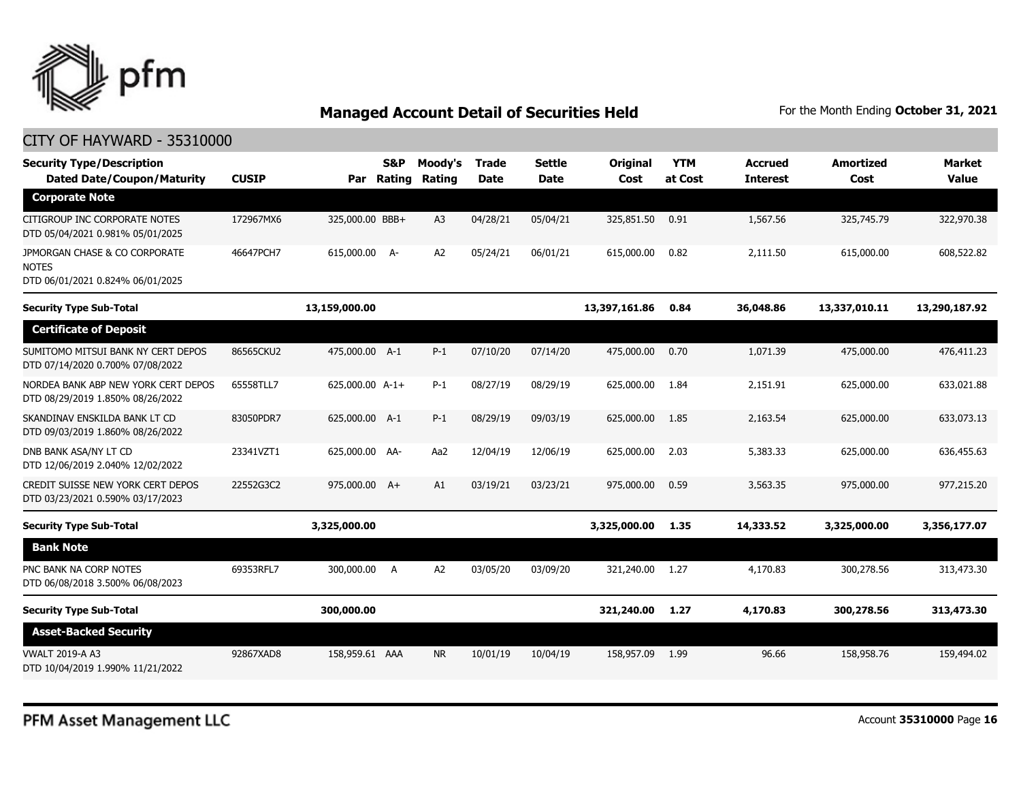

| <b>Security Type/Description</b><br><b>Dated Date/Coupon/Maturity</b>             | <b>CUSIP</b> |                 | S&P<br>Par Rating | Moody's<br>Rating | <b>Trade</b><br><b>Date</b> | <b>Settle</b><br><b>Date</b> | Original<br>Cost | <b>YTM</b><br>at Cost | <b>Accrued</b><br><b>Interest</b> | <b>Amortized</b><br>Cost | <b>Market</b><br><b>Value</b> |
|-----------------------------------------------------------------------------------|--------------|-----------------|-------------------|-------------------|-----------------------------|------------------------------|------------------|-----------------------|-----------------------------------|--------------------------|-------------------------------|
| <b>Corporate Note</b>                                                             |              |                 |                   |                   |                             |                              |                  |                       |                                   |                          |                               |
| CITIGROUP INC CORPORATE NOTES<br>DTD 05/04/2021 0.981% 05/01/2025                 | 172967MX6    | 325,000.00 BBB+ |                   | A <sub>3</sub>    | 04/28/21                    | 05/04/21                     | 325,851.50       | 0.91                  | 1,567.56                          | 325,745.79               | 322,970.38                    |
| JPMORGAN CHASE & CO CORPORATE<br><b>NOTES</b><br>DTD 06/01/2021 0.824% 06/01/2025 | 46647PCH7    | 615,000.00 A-   |                   | A2                | 05/24/21                    | 06/01/21                     | 615,000.00       | 0.82                  | 2,111.50                          | 615,000.00               | 608,522.82                    |
| <b>Security Type Sub-Total</b>                                                    |              | 13,159,000.00   |                   |                   |                             |                              | 13,397,161.86    | 0.84                  | 36,048.86                         | 13,337,010.11            | 13,290,187.92                 |
| <b>Certificate of Deposit</b>                                                     |              |                 |                   |                   |                             |                              |                  |                       |                                   |                          |                               |
| SUMITOMO MITSUI BANK NY CERT DEPOS<br>DTD 07/14/2020 0.700% 07/08/2022            | 86565CKU2    | 475,000.00 A-1  |                   | $P-1$             | 07/10/20                    | 07/14/20                     | 475,000.00       | 0.70                  | 1,071.39                          | 475,000,00               | 476,411.23                    |
| NORDEA BANK ABP NEW YORK CERT DEPOS<br>DTD 08/29/2019 1.850% 08/26/2022           | 65558TLL7    | 625,000.00 A-1+ |                   | $P-1$             | 08/27/19                    | 08/29/19                     | 625,000.00       | 1.84                  | 2,151.91                          | 625,000.00               | 633,021.88                    |
| SKANDINAV ENSKILDA BANK LT CD<br>DTD 09/03/2019 1.860% 08/26/2022                 | 83050PDR7    | 625,000.00 A-1  |                   | $P-1$             | 08/29/19                    | 09/03/19                     | 625,000.00       | 1.85                  | 2,163.54                          | 625,000.00               | 633,073.13                    |
| DNB BANK ASA/NY LT CD<br>DTD 12/06/2019 2.040% 12/02/2022                         | 23341VZT1    | 625,000.00 AA-  |                   | Aa2               | 12/04/19                    | 12/06/19                     | 625,000.00       | 2.03                  | 5,383.33                          | 625,000.00               | 636,455.63                    |
| CREDIT SUISSE NEW YORK CERT DEPOS<br>DTD 03/23/2021 0.590% 03/17/2023             | 22552G3C2    | 975,000.00 A+   |                   | A1                | 03/19/21                    | 03/23/21                     | 975,000.00       | 0.59                  | 3,563.35                          | 975,000.00               | 977,215.20                    |
| <b>Security Type Sub-Total</b>                                                    |              | 3,325,000.00    |                   |                   |                             |                              | 3,325,000.00     | 1.35                  | 14,333.52                         | 3,325,000.00             | 3,356,177.07                  |
| <b>Bank Note</b>                                                                  |              |                 |                   |                   |                             |                              |                  |                       |                                   |                          |                               |
| PNC BANK NA CORP NOTES<br>DTD 06/08/2018 3.500% 06/08/2023                        | 69353RFL7    | 300,000.00      | A                 | A2                | 03/05/20                    | 03/09/20                     | 321,240.00       | 1.27                  | 4,170.83                          | 300,278.56               | 313,473.30                    |
| <b>Security Type Sub-Total</b>                                                    |              | 300,000.00      |                   |                   |                             |                              | 321,240.00       | 1.27                  | 4,170.83                          | 300,278.56               | 313,473.30                    |
| <b>Asset-Backed Security</b>                                                      |              |                 |                   |                   |                             |                              |                  |                       |                                   |                          |                               |
| <b>VWALT 2019-A A3</b><br>DTD 10/04/2019 1.990% 11/21/2022                        | 92867XAD8    | 158,959.61 AAA  |                   | <b>NR</b>         | 10/01/19                    | 10/04/19                     | 158,957.09       | 1.99                  | 96.66                             | 158,958.76               | 159,494.02                    |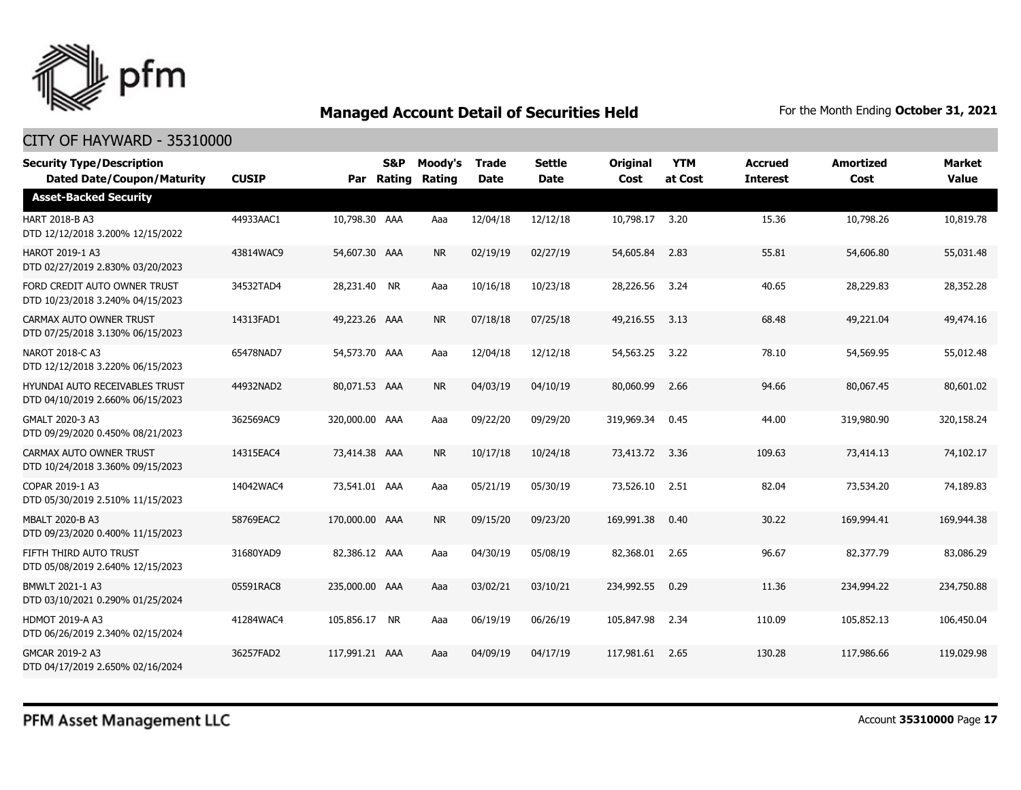

| <b>Security Type/Description</b><br><b>Dated Date/Coupon/Maturity</b>     | <b>CUSIP</b> |                | S&P<br>Par Rating | Moody's<br>Rating | <b>Trade</b><br><b>Date</b> | <b>Settle</b><br><b>Date</b> | <b>Original</b><br>Cost | <b>YTM</b><br>at Cost | <b>Accrued</b><br><b>Interest</b> | <b>Amortized</b><br>Cost | Market<br><b>Value</b> |
|---------------------------------------------------------------------------|--------------|----------------|-------------------|-------------------|-----------------------------|------------------------------|-------------------------|-----------------------|-----------------------------------|--------------------------|------------------------|
| <b>Asset-Backed Security</b>                                              |              |                |                   |                   |                             |                              |                         |                       |                                   |                          |                        |
| HART 2018-B A3<br>DTD 12/12/2018 3.200% 12/15/2022                        | 44933AAC1    | 10,798.30 AAA  |                   | Aaa               | 12/04/18                    | 12/12/18                     | 10,798.17               | 3.20                  | 15.36                             | 10,798.26                | 10,819.78              |
| <b>HAROT 2019-1 A3</b><br>DTD 02/27/2019 2.830% 03/20/2023                | 43814WAC9    | 54,607.30 AAA  |                   | <b>NR</b>         | 02/19/19                    | 02/27/19                     | 54,605.84               | 2.83                  | 55.81                             | 54,606.80                | 55,031.48              |
| FORD CREDIT AUTO OWNER TRUST<br>DTD 10/23/2018 3.240% 04/15/2023          | 34532TAD4    | 28,231.40 NR   |                   | Aaa               | 10/16/18                    | 10/23/18                     | 28,226.56               | 3.24                  | 40.65                             | 28,229.83                | 28,352.28              |
| CARMAX AUTO OWNER TRUST<br>DTD 07/25/2018 3.130% 06/15/2023               | 14313FAD1    | 49,223.26 AAA  |                   | <b>NR</b>         | 07/18/18                    | 07/25/18                     | 49,216.55               | 3.13                  | 68.48                             | 49,221.04                | 49,474.16              |
| NAROT 2018-C A3<br>DTD 12/12/2018 3.220% 06/15/2023                       | 65478NAD7    | 54,573.70 AAA  |                   | Aaa               | 12/04/18                    | 12/12/18                     | 54,563.25               | 3.22                  | 78.10                             | 54,569.95                | 55,012.48              |
| <b>HYUNDAI AUTO RECEIVABLES TRUST</b><br>DTD 04/10/2019 2.660% 06/15/2023 | 44932NAD2    | 80,071.53 AAA  |                   | <b>NR</b>         | 04/03/19                    | 04/10/19                     | 80,060.99               | 2.66                  | 94.66                             | 80,067.45                | 80,601.02              |
| GMALT 2020-3 A3<br>DTD 09/29/2020 0.450% 08/21/2023                       | 362569AC9    | 320,000.00 AAA |                   | Aaa               | 09/22/20                    | 09/29/20                     | 319,969.34              | 0.45                  | 44.00                             | 319,980.90               | 320,158.24             |
| CARMAX AUTO OWNER TRUST<br>DTD 10/24/2018 3.360% 09/15/2023               | 14315EAC4    | 73,414.38 AAA  |                   | <b>NR</b>         | 10/17/18                    | 10/24/18                     | 73,413.72               | 3.36                  | 109.63                            | 73,414.13                | 74,102.17              |
| COPAR 2019-1 A3<br>DTD 05/30/2019 2.510% 11/15/2023                       | 14042WAC4    | 73,541.01 AAA  |                   | Aaa               | 05/21/19                    | 05/30/19                     | 73,526.10               | 2.51                  | 82.04                             | 73,534.20                | 74,189.83              |
| <b>MBALT 2020-B A3</b><br>DTD 09/23/2020 0.400% 11/15/2023                | 58769EAC2    | 170,000.00 AAA |                   | <b>NR</b>         | 09/15/20                    | 09/23/20                     | 169,991.38              | 0.40                  | 30.22                             | 169,994.41               | 169,944.38             |
| FIFTH THIRD AUTO TRUST<br>DTD 05/08/2019 2.640% 12/15/2023                | 31680YAD9    | 82,386.12 AAA  |                   | Aaa               | 04/30/19                    | 05/08/19                     | 82,368.01               | 2.65                  | 96.67                             | 82,377.79                | 83,086.29              |
| BMWLT 2021-1 A3<br>DTD 03/10/2021 0.290% 01/25/2024                       | 05591RAC8    | 235,000.00 AAA |                   | Aaa               | 03/02/21                    | 03/10/21                     | 234,992.55              | 0.29                  | 11.36                             | 234,994.22               | 234,750.88             |
| <b>HDMOT 2019-A A3</b><br>DTD 06/26/2019 2.340% 02/15/2024                | 41284WAC4    | 105,856.17 NR  |                   | Aaa               | 06/19/19                    | 06/26/19                     | 105,847.98              | 2.34                  | 110.09                            | 105,852.13               | 106,450.04             |
| GMCAR 2019-2 A3<br>DTD 04/17/2019 2.650% 02/16/2024                       | 36257FAD2    | 117,991.21 AAA |                   | Aaa               | 04/09/19                    | 04/17/19                     | 117,981.61              | 2.65                  | 130.28                            | 117,986.66               | 119,029.98             |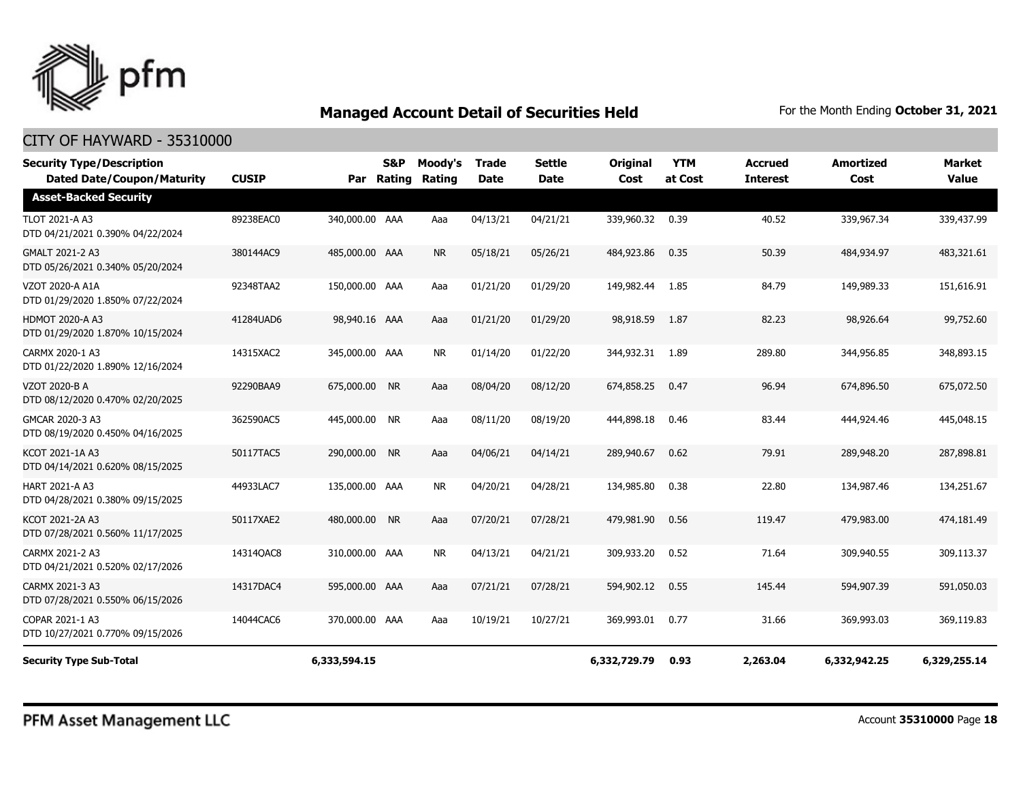

#### CITY OF HAYWARD - 35310000

| <b>Security Type/Description</b><br><b>Dated Date/Coupon/Maturity</b> | <b>CUSIP</b> |                | <b>S&amp;P</b><br>Par Rating | Moody's<br>Rating | <b>Trade</b><br><b>Date</b> | <b>Settle</b><br><b>Date</b> | Original<br>Cost | <b>YTM</b><br>at Cost | <b>Accrued</b><br><b>Interest</b> | <b>Amortized</b><br>Cost | <b>Market</b><br><b>Value</b> |
|-----------------------------------------------------------------------|--------------|----------------|------------------------------|-------------------|-----------------------------|------------------------------|------------------|-----------------------|-----------------------------------|--------------------------|-------------------------------|
| <b>Asset-Backed Security</b>                                          |              |                |                              |                   |                             |                              |                  |                       |                                   |                          |                               |
| <b>TLOT 2021-A A3</b><br>DTD 04/21/2021 0.390% 04/22/2024             | 89238EAC0    | 340,000.00 AAA |                              | Aaa               | 04/13/21                    | 04/21/21                     | 339,960.32       | 0.39                  | 40.52                             | 339,967.34               | 339,437.99                    |
| GMALT 2021-2 A3<br>DTD 05/26/2021 0.340% 05/20/2024                   | 380144AC9    | 485,000.00 AAA |                              | <b>NR</b>         | 05/18/21                    | 05/26/21                     | 484,923.86       | 0.35                  | 50.39                             | 484,934.97               | 483,321.61                    |
| VZOT 2020-A A1A<br>DTD 01/29/2020 1.850% 07/22/2024                   | 92348TAA2    | 150,000.00 AAA |                              | Aaa               | 01/21/20                    | 01/29/20                     | 149,982.44       | 1.85                  | 84.79                             | 149,989.33               | 151,616.91                    |
| <b>HDMOT 2020-A A3</b><br>DTD 01/29/2020 1.870% 10/15/2024            | 41284UAD6    | 98,940.16 AAA  |                              | Aaa               | 01/21/20                    | 01/29/20                     | 98,918.59        | 1.87                  | 82.23                             | 98,926.64                | 99,752.60                     |
| CARMX 2020-1 A3<br>DTD 01/22/2020 1.890% 12/16/2024                   | 14315XAC2    | 345,000.00 AAA |                              | <b>NR</b>         | 01/14/20                    | 01/22/20                     | 344,932.31       | 1.89                  | 289.80                            | 344,956.85               | 348,893.15                    |
| <b>VZOT 2020-B A</b><br>DTD 08/12/2020 0.470% 02/20/2025              | 92290BAA9    | 675,000.00 NR  |                              | Aaa               | 08/04/20                    | 08/12/20                     | 674,858.25       | 0.47                  | 96.94                             | 674,896.50               | 675,072.50                    |
| GMCAR 2020-3 A3<br>DTD 08/19/2020 0.450% 04/16/2025                   | 362590AC5    | 445,000.00 NR  |                              | Aaa               | 08/11/20                    | 08/19/20                     | 444,898.18       | 0.46                  | 83.44                             | 444,924.46               | 445,048.15                    |
| KCOT 2021-1A A3<br>DTD 04/14/2021 0.620% 08/15/2025                   | 50117TAC5    | 290,000.00 NR  |                              | Aaa               | 04/06/21                    | 04/14/21                     | 289,940.67       | 0.62                  | 79.91                             | 289,948.20               | 287,898.81                    |
| HART 2021-A A3<br>DTD 04/28/2021 0.380% 09/15/2025                    | 44933LAC7    | 135,000.00 AAA |                              | <b>NR</b>         | 04/20/21                    | 04/28/21                     | 134,985.80       | 0.38                  | 22.80                             | 134,987.46               | 134,251.67                    |
| KCOT 2021-2A A3<br>DTD 07/28/2021 0.560% 11/17/2025                   | 50117XAE2    | 480,000.00 NR  |                              | Aaa               | 07/20/21                    | 07/28/21                     | 479,981.90       | 0.56                  | 119.47                            | 479,983.00               | 474,181.49                    |
| CARMX 2021-2 A3<br>DTD 04/21/2021 0.520% 02/17/2026                   | 14314QAC8    | 310,000.00 AAA |                              | <b>NR</b>         | 04/13/21                    | 04/21/21                     | 309,933.20       | 0.52                  | 71.64                             | 309,940.55               | 309,113.37                    |
| CARMX 2021-3 A3<br>DTD 07/28/2021 0.550% 06/15/2026                   | 14317DAC4    | 595,000.00 AAA |                              | Aaa               | 07/21/21                    | 07/28/21                     | 594,902.12       | 0.55                  | 145.44                            | 594,907.39               | 591.050.03                    |
| COPAR 2021-1 A3<br>DTD 10/27/2021 0.770% 09/15/2026                   | 14044CAC6    | 370,000.00 AAA |                              | Aaa               | 10/19/21                    | 10/27/21                     | 369,993.01       | 0.77                  | 31.66                             | 369,993.03               | 369,119.83                    |
| <b>Security Type Sub-Total</b>                                        |              | 6,333,594.15   |                              |                   |                             |                              | 6,332,729.79     | 0.93                  | 2,263.04                          | 6,332,942.25             | 6,329,255.14                  |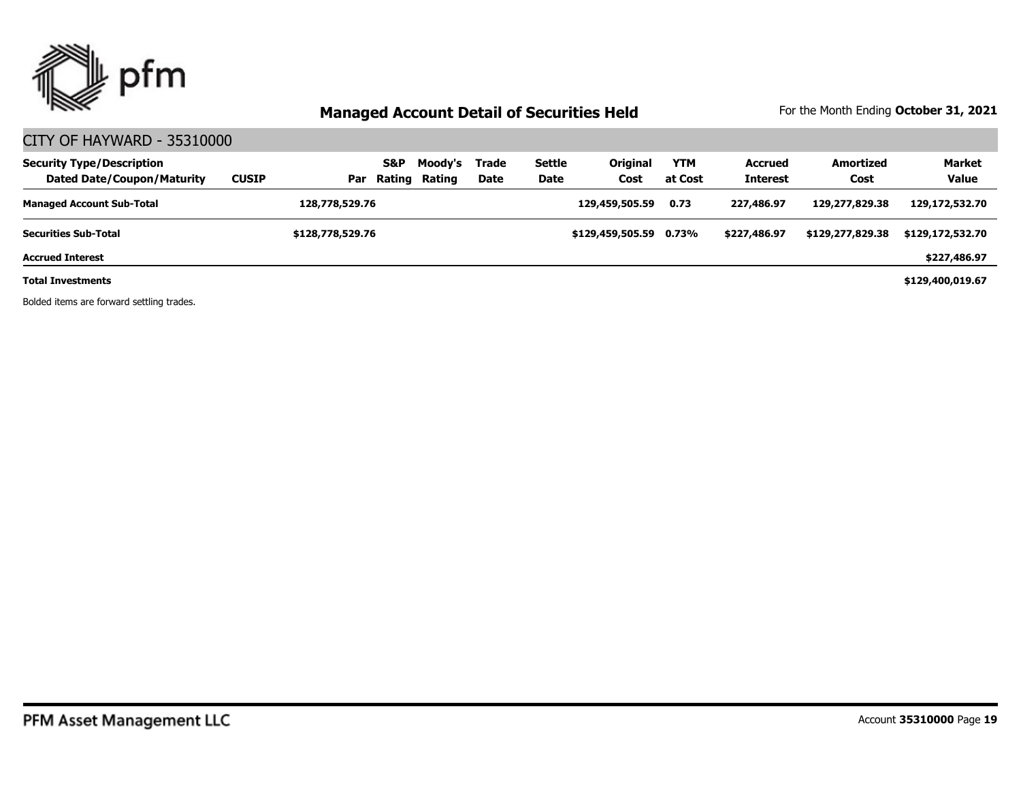

#### CITY OF HAYWARD - 35310000

| <b>Security Type/Description</b><br><b>Dated Date/Coupon/Maturity</b> | <b>CUSIP</b> | Par              | S&P | Moody's<br>Rating Rating | Trade<br>Date | <b>Settle</b><br><b>Date</b> | Original<br>Cost       | <b>YTM</b><br>at Cost | <b>Accrued</b><br><b>Interest</b> | Amortized<br>Cost | <b>Market</b><br><b>Value</b> |
|-----------------------------------------------------------------------|--------------|------------------|-----|--------------------------|---------------|------------------------------|------------------------|-----------------------|-----------------------------------|-------------------|-------------------------------|
| <b>Managed Account Sub-Total</b>                                      |              | 128,778,529.76   |     |                          |               |                              | 129,459,505.59         | 0.73                  | 227,486.97                        | 129,277,829.38    | 129,172,532.70                |
| <b>Securities Sub-Total</b>                                           |              | \$128,778,529.76 |     |                          |               |                              | \$129,459,505,59 0.73% |                       | \$227,486.97                      | \$129,277,829.38  | \$129,172,532.70              |
| <b>Accrued Interest</b>                                               |              |                  |     |                          |               |                              |                        |                       |                                   |                   | \$227,486.97                  |
| <b>Total Investments</b>                                              |              |                  |     |                          |               |                              |                        |                       |                                   |                   | \$129,400,019.67              |

Bolded items are forward settling trades.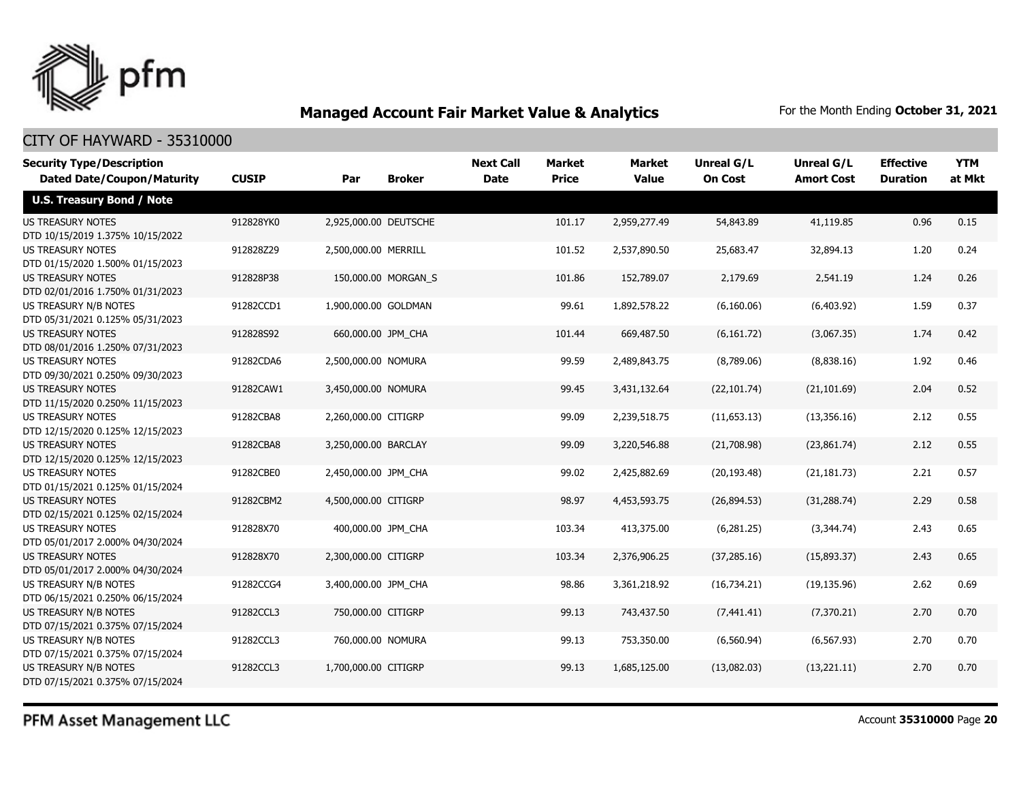

#### CITY OF HAYWARD - 35310000

| <b>Security Type/Description</b><br><b>Dated Date/Coupon/Maturity</b> | <b>CUSIP</b> | Par                   | <b>Broker</b>       | <b>Next Call</b><br><b>Date</b> | Market<br><b>Price</b> | <b>Market</b><br><b>Value</b> | <b>Unreal G/L</b><br><b>On Cost</b> | Unreal G/L<br><b>Amort Cost</b> | <b>Effective</b><br><b>Duration</b> | <b>YTM</b><br>at Mkt |
|-----------------------------------------------------------------------|--------------|-----------------------|---------------------|---------------------------------|------------------------|-------------------------------|-------------------------------------|---------------------------------|-------------------------------------|----------------------|
| <b>U.S. Treasury Bond / Note</b>                                      |              |                       |                     |                                 |                        |                               |                                     |                                 |                                     |                      |
| <b>US TREASURY NOTES</b><br>DTD 10/15/2019 1.375% 10/15/2022          | 912828YK0    | 2,925,000.00 DEUTSCHE |                     |                                 | 101.17                 | 2,959,277.49                  | 54,843.89                           | 41,119.85                       | 0.96                                | 0.15                 |
| <b>US TREASURY NOTES</b><br>DTD 01/15/2020 1.500% 01/15/2023          | 912828Z29    | 2,500,000.00 MERRILL  |                     |                                 | 101.52                 | 2,537,890.50                  | 25,683.47                           | 32,894.13                       | 1.20                                | 0.24                 |
| <b>US TREASURY NOTES</b><br>DTD 02/01/2016 1.750% 01/31/2023          | 912828P38    |                       | 150,000.00 MORGAN_S |                                 | 101.86                 | 152,789.07                    | 2,179.69                            | 2,541.19                        | 1.24                                | 0.26                 |
| US TREASURY N/B NOTES<br>DTD 05/31/2021 0.125% 05/31/2023             | 91282CCD1    | 1,900,000.00 GOLDMAN  |                     |                                 | 99.61                  | 1,892,578.22                  | (6,160.06)                          | (6,403.92)                      | 1.59                                | 0.37                 |
| <b>US TREASURY NOTES</b><br>DTD 08/01/2016 1.250% 07/31/2023          | 912828S92    | 660,000.00 JPM_CHA    |                     |                                 | 101.44                 | 669,487.50                    | (6, 161.72)                         | (3,067.35)                      | 1.74                                | 0.42                 |
| <b>US TREASURY NOTES</b><br>DTD 09/30/2021 0.250% 09/30/2023          | 91282CDA6    | 2,500,000.00 NOMURA   |                     |                                 | 99.59                  | 2,489,843.75                  | (8,789.06)                          | (8,838.16)                      | 1.92                                | 0.46                 |
| <b>US TREASURY NOTES</b><br>DTD 11/15/2020 0.250% 11/15/2023          | 91282CAW1    | 3,450,000.00 NOMURA   |                     |                                 | 99.45                  | 3,431,132.64                  | (22, 101.74)                        | (21, 101.69)                    | 2.04                                | 0.52                 |
| <b>US TREASURY NOTES</b><br>DTD 12/15/2020 0.125% 12/15/2023          | 91282CBA8    | 2,260,000.00 CITIGRP  |                     |                                 | 99.09                  | 2,239,518.75                  | (11,653.13)                         | (13, 356.16)                    | 2.12                                | 0.55                 |
| <b>US TREASURY NOTES</b><br>DTD 12/15/2020 0.125% 12/15/2023          | 91282CBA8    | 3,250,000.00 BARCLAY  |                     |                                 | 99.09                  | 3,220,546.88                  | (21,708.98)                         | (23,861.74)                     | 2.12                                | 0.55                 |
| <b>US TREASURY NOTES</b><br>DTD 01/15/2021 0.125% 01/15/2024          | 91282CBE0    | 2,450,000.00 JPM CHA  |                     |                                 | 99.02                  | 2,425,882.69                  | (20, 193.48)                        | (21, 181.73)                    | 2.21                                | 0.57                 |
| <b>US TREASURY NOTES</b><br>DTD 02/15/2021 0.125% 02/15/2024          | 91282CBM2    | 4,500,000.00 CITIGRP  |                     |                                 | 98.97                  | 4,453,593.75                  | (26,894.53)                         | (31, 288.74)                    | 2.29                                | 0.58                 |
| <b>US TREASURY NOTES</b><br>DTD 05/01/2017 2.000% 04/30/2024          | 912828X70    | 400,000.00 JPM CHA    |                     |                                 | 103.34                 | 413,375.00                    | (6,281.25)                          | (3,344.74)                      | 2.43                                | 0.65                 |
| <b>US TREASURY NOTES</b><br>DTD 05/01/2017 2.000% 04/30/2024          | 912828X70    | 2,300,000.00 CITIGRP  |                     |                                 | 103.34                 | 2,376,906.25                  | (37, 285.16)                        | (15,893.37)                     | 2.43                                | 0.65                 |
| US TREASURY N/B NOTES<br>DTD 06/15/2021 0.250% 06/15/2024             | 91282CCG4    | 3,400,000.00 JPM CHA  |                     |                                 | 98.86                  | 3,361,218.92                  | (16,734.21)                         | (19, 135.96)                    | 2.62                                | 0.69                 |
| US TREASURY N/B NOTES<br>DTD 07/15/2021 0.375% 07/15/2024             | 91282CCL3    | 750,000.00 CITIGRP    |                     |                                 | 99.13                  | 743,437.50                    | (7, 441.41)                         | (7,370.21)                      | 2.70                                | 0.70                 |
| US TREASURY N/B NOTES<br>DTD 07/15/2021 0.375% 07/15/2024             | 91282CCL3    | 760,000.00 NOMURA     |                     |                                 | 99.13                  | 753,350.00                    | (6, 560.94)                         | (6, 567.93)                     | 2.70                                | 0.70                 |
| US TREASURY N/B NOTES<br>DTD 07/15/2021 0.375% 07/15/2024             | 91282CCL3    | 1,700,000.00 CITIGRP  |                     |                                 | 99.13                  | 1,685,125.00                  | (13,082.03)                         | (13, 221.11)                    | 2.70                                | 0.70                 |

PFM Asset Management LLC

Account **35310000** Page **20**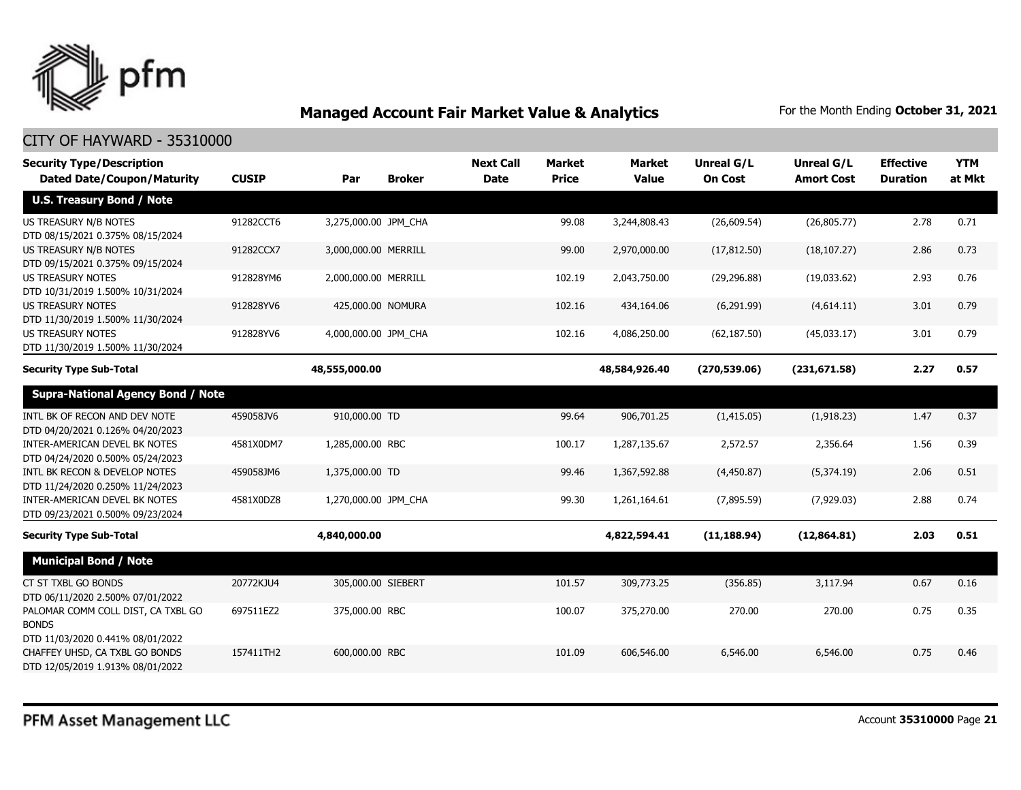

| <b>Security Type/Description</b><br><b>Dated Date/Coupon/Maturity</b>                                  | <b>CUSIP</b> | Par                  | <b>Broker</b> | <b>Next Call</b><br><b>Date</b> | <b>Market</b><br><b>Price</b> | Market<br><b>Value</b> | <b>Unreal G/L</b><br><b>On Cost</b> | Unreal G/L<br><b>Amort Cost</b> | <b>Effective</b><br><b>Duration</b> | <b>YTM</b><br>at Mkt |
|--------------------------------------------------------------------------------------------------------|--------------|----------------------|---------------|---------------------------------|-------------------------------|------------------------|-------------------------------------|---------------------------------|-------------------------------------|----------------------|
| <b>U.S. Treasury Bond / Note</b>                                                                       |              |                      |               |                                 |                               |                        |                                     |                                 |                                     |                      |
| US TREASURY N/B NOTES<br>DTD 08/15/2021 0.375% 08/15/2024                                              | 91282CCT6    | 3,275,000.00 JPM_CHA |               |                                 | 99.08                         | 3,244,808.43           | (26,609.54)                         | (26,805.77)                     | 2.78                                | 0.71                 |
| US TREASURY N/B NOTES<br>DTD 09/15/2021 0.375% 09/15/2024                                              | 91282CCX7    | 3,000,000.00 MERRILL |               |                                 | 99.00                         | 2,970,000.00           | (17, 812.50)                        | (18, 107.27)                    | 2.86                                | 0.73                 |
| <b>US TREASURY NOTES</b><br>DTD 10/31/2019 1.500% 10/31/2024                                           | 912828YM6    | 2,000,000.00 MERRILL |               |                                 | 102.19                        | 2,043,750.00           | (29, 296.88)                        | (19,033.62)                     | 2.93                                | 0.76                 |
| <b>US TREASURY NOTES</b><br>DTD 11/30/2019 1.500% 11/30/2024                                           | 912828YV6    | 425,000.00 NOMURA    |               |                                 | 102.16                        | 434,164.06             | (6,291.99)                          | (4,614.11)                      | 3.01                                | 0.79                 |
| <b>US TREASURY NOTES</b><br>DTD 11/30/2019 1.500% 11/30/2024                                           | 912828YV6    | 4,000,000.00 JPM_CHA |               |                                 | 102.16                        | 4,086,250.00           | (62, 187.50)                        | (45,033.17)                     | 3.01                                | 0.79                 |
| <b>Security Type Sub-Total</b>                                                                         |              | 48,555,000.00        |               |                                 |                               | 48,584,926.40          | (270, 539.06)                       | (231, 671.58)                   | 2.27                                | 0.57                 |
| <b>Supra-National Agency Bond / Note</b>                                                               |              |                      |               |                                 |                               |                        |                                     |                                 |                                     |                      |
| INTL BK OF RECON AND DEV NOTE<br>DTD 04/20/2021 0.126% 04/20/2023                                      | 459058JV6    | 910,000.00 TD        |               |                                 | 99.64                         | 906,701.25             | (1,415.05)                          | (1,918.23)                      | 1.47                                | 0.37                 |
| INTER-AMERICAN DEVEL BK NOTES<br>DTD 04/24/2020 0.500% 05/24/2023                                      | 4581X0DM7    | 1,285,000.00 RBC     |               |                                 | 100.17                        | 1,287,135.67           | 2,572.57                            | 2,356.64                        | 1.56                                | 0.39                 |
| INTL BK RECON & DEVELOP NOTES<br>DTD 11/24/2020 0.250% 11/24/2023                                      | 459058JM6    | 1,375,000.00 TD      |               |                                 | 99.46                         | 1,367,592.88           | (4,450.87)                          | (5,374.19)                      | 2.06                                | 0.51                 |
| INTER-AMERICAN DEVEL BK NOTES<br>DTD 09/23/2021 0.500% 09/23/2024                                      | 4581X0DZ8    | 1,270,000.00 JPM_CHA |               |                                 | 99.30                         | 1,261,164.61           | (7,895.59)                          | (7,929.03)                      | 2.88                                | 0.74                 |
| <b>Security Type Sub-Total</b>                                                                         |              | 4,840,000.00         |               |                                 |                               | 4,822,594.41           | (11, 188.94)                        | (12,864.81)                     | 2.03                                | 0.51                 |
| <b>Municipal Bond / Note</b>                                                                           |              |                      |               |                                 |                               |                        |                                     |                                 |                                     |                      |
| CT ST TXBL GO BONDS<br>DTD 06/11/2020 2.500% 07/01/2022                                                | 20772KJU4    | 305,000.00 SIEBERT   |               |                                 | 101.57                        | 309,773.25             | (356.85)                            | 3,117.94                        | 0.67                                | 0.16                 |
| PALOMAR COMM COLL DIST, CA TXBL GO<br><b>BONDS</b>                                                     | 697511EZ2    | 375,000.00 RBC       |               |                                 | 100.07                        | 375,270.00             | 270.00                              | 270.00                          | 0.75                                | 0.35                 |
| DTD 11/03/2020 0.441% 08/01/2022<br>CHAFFEY UHSD, CA TXBL GO BONDS<br>DTD 12/05/2019 1.913% 08/01/2022 | 157411TH2    | 600,000.00 RBC       |               |                                 | 101.09                        | 606,546.00             | 6,546.00                            | 6,546.00                        | 0.75                                | 0.46                 |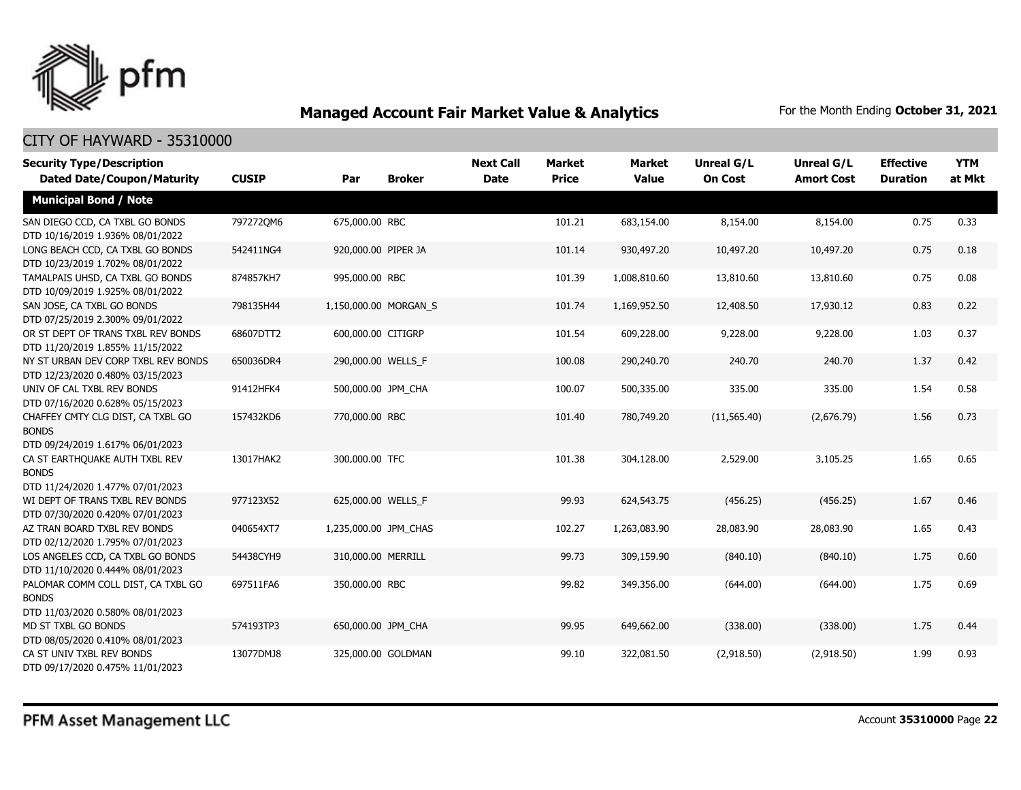

| <b>Security Type/Description</b>                                                       | <b>CUSIP</b> | Par                   | <b>Broker</b> | <b>Next Call</b><br><b>Date</b> | <b>Market</b><br><b>Price</b> | <b>Market</b><br><b>Value</b> | <b>Unreal G/L</b><br><b>On Cost</b> | Unreal G/L<br><b>Amort Cost</b> | <b>Effective</b><br><b>Duration</b> | <b>YTM</b><br>at Mkt |
|----------------------------------------------------------------------------------------|--------------|-----------------------|---------------|---------------------------------|-------------------------------|-------------------------------|-------------------------------------|---------------------------------|-------------------------------------|----------------------|
| <b>Dated Date/Coupon/Maturity</b>                                                      |              |                       |               |                                 |                               |                               |                                     |                                 |                                     |                      |
| <b>Municipal Bond / Note</b>                                                           |              |                       |               |                                 |                               |                               |                                     |                                 |                                     |                      |
| SAN DIEGO CCD, CA TXBL GO BONDS<br>DTD 10/16/2019 1.936% 08/01/2022                    | 7972720M6    | 675,000.00 RBC        |               |                                 | 101.21                        | 683,154.00                    | 8,154.00                            | 8,154.00                        | 0.75                                | 0.33                 |
| LONG BEACH CCD, CA TXBL GO BONDS<br>DTD 10/23/2019 1.702% 08/01/2022                   | 542411NG4    | 920,000.00 PIPER JA   |               |                                 | 101.14                        | 930,497.20                    | 10,497.20                           | 10,497.20                       | 0.75                                | 0.18                 |
| TAMALPAIS UHSD, CA TXBL GO BONDS<br>DTD 10/09/2019 1.925% 08/01/2022                   | 874857KH7    | 995,000.00 RBC        |               |                                 | 101.39                        | 1,008,810.60                  | 13,810.60                           | 13,810.60                       | 0.75                                | 0.08                 |
| SAN JOSE, CA TXBL GO BONDS<br>DTD 07/25/2019 2.300% 09/01/2022                         | 798135H44    | 1,150,000.00 MORGAN_S |               |                                 | 101.74                        | 1,169,952.50                  | 12,408.50                           | 17,930.12                       | 0.83                                | 0.22                 |
| OR ST DEPT OF TRANS TXBL REV BONDS<br>DTD 11/20/2019 1.855% 11/15/2022                 | 68607DTT2    | 600,000.00 CITIGRP    |               |                                 | 101.54                        | 609,228.00                    | 9,228.00                            | 9,228.00                        | 1.03                                | 0.37                 |
| NY ST URBAN DEV CORP TXBL REV BONDS<br>DTD 12/23/2020 0.480% 03/15/2023                | 650036DR4    | 290,000.00 WELLS F    |               |                                 | 100.08                        | 290,240.70                    | 240.70                              | 240.70                          | 1.37                                | 0.42                 |
| UNIV OF CAL TXBL REV BONDS<br>DTD 07/16/2020 0.628% 05/15/2023                         | 91412HFK4    | 500,000.00 JPM_CHA    |               |                                 | 100.07                        | 500,335.00                    | 335.00                              | 335.00                          | 1.54                                | 0.58                 |
| CHAFFEY CMTY CLG DIST, CA TXBL GO<br><b>BONDS</b><br>DTD 09/24/2019 1.617% 06/01/2023  | 157432KD6    | 770,000.00 RBC        |               |                                 | 101.40                        | 780,749.20                    | (11, 565.40)                        | (2,676.79)                      | 1.56                                | 0.73                 |
| CA ST EARTHQUAKE AUTH TXBL REV<br><b>BONDS</b><br>DTD 11/24/2020 1.477% 07/01/2023     | 13017HAK2    | 300,000.00 TFC        |               |                                 | 101.38                        | 304,128.00                    | 2,529.00                            | 3,105.25                        | 1.65                                | 0.65                 |
| WI DEPT OF TRANS TXBL REV BONDS<br>DTD 07/30/2020 0.420% 07/01/2023                    | 977123X52    | 625,000.00 WELLS_F    |               |                                 | 99.93                         | 624,543.75                    | (456.25)                            | (456.25)                        | 1.67                                | 0.46                 |
| AZ TRAN BOARD TXBL REV BONDS<br>DTD 02/12/2020 1.795% 07/01/2023                       | 040654XT7    | 1,235,000.00 JPM_CHAS |               |                                 | 102.27                        | 1,263,083.90                  | 28,083.90                           | 28,083.90                       | 1.65                                | 0.43                 |
| LOS ANGELES CCD, CA TXBL GO BONDS<br>DTD 11/10/2020 0.444% 08/01/2023                  | 54438CYH9    | 310,000.00 MERRILL    |               |                                 | 99.73                         | 309,159.90                    | (840.10)                            | (840.10)                        | 1.75                                | 0.60                 |
| PALOMAR COMM COLL DIST, CA TXBL GO<br><b>BONDS</b><br>DTD 11/03/2020 0.580% 08/01/2023 | 697511FA6    | 350,000.00 RBC        |               |                                 | 99.82                         | 349,356.00                    | (644.00)                            | (644.00)                        | 1.75                                | 0.69                 |
| MD ST TXBL GO BONDS<br>DTD 08/05/2020 0.410% 08/01/2023                                | 574193TP3    | 650,000.00 JPM_CHA    |               |                                 | 99.95                         | 649,662.00                    | (338.00)                            | (338.00)                        | 1.75                                | 0.44                 |
| CA ST UNIV TXBL REV BONDS<br>DTD 09/17/2020 0.475% 11/01/2023                          | 13077DMJ8    | 325,000.00 GOLDMAN    |               |                                 | 99.10                         | 322,081.50                    | (2,918.50)                          | (2,918.50)                      | 1.99                                | 0.93                 |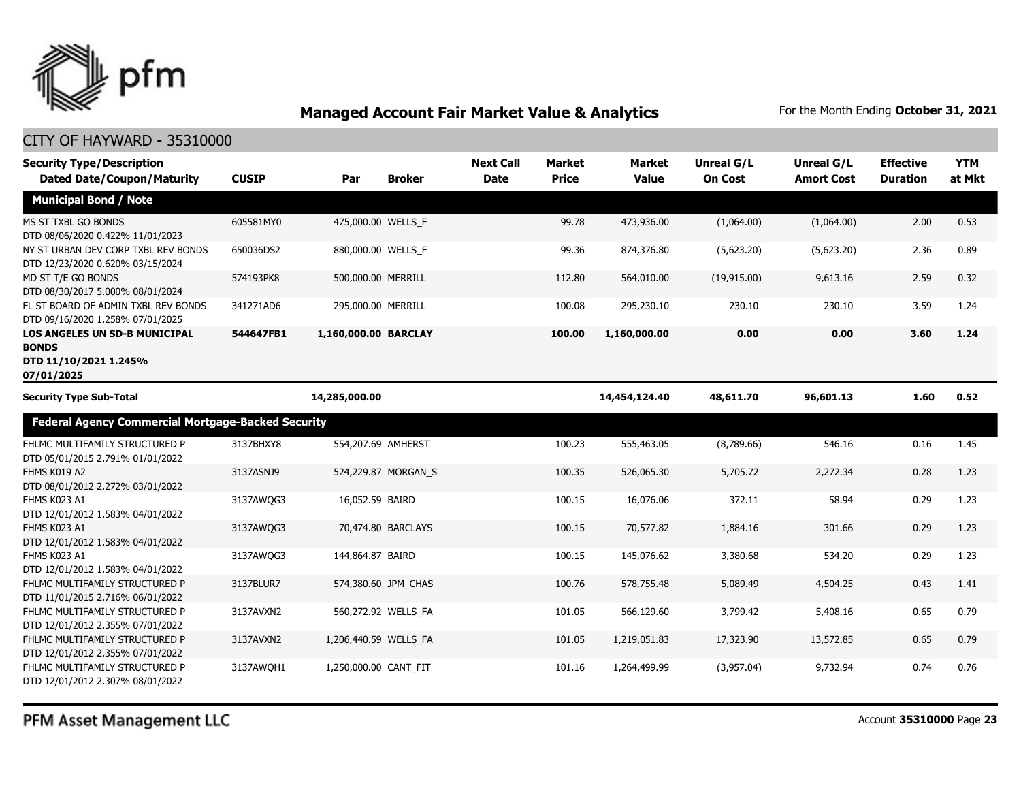

| <b>Security Type/Description</b><br><b>Dated Date/Coupon/Maturity</b>                | <b>CUSIP</b> | Par                   | <b>Broker</b>       | <b>Next Call</b><br><b>Date</b> | <b>Market</b><br><b>Price</b> | <b>Market</b><br><b>Value</b> | <b>Unreal G/L</b><br><b>On Cost</b> | Unreal G/L<br><b>Amort Cost</b> | <b>Effective</b><br><b>Duration</b> | <b>YTM</b><br>at Mkt |
|--------------------------------------------------------------------------------------|--------------|-----------------------|---------------------|---------------------------------|-------------------------------|-------------------------------|-------------------------------------|---------------------------------|-------------------------------------|----------------------|
| <b>Municipal Bond / Note</b>                                                         |              |                       |                     |                                 |                               |                               |                                     |                                 |                                     |                      |
| MS ST TXBL GO BONDS<br>DTD 08/06/2020 0.422% 11/01/2023                              | 605581MY0    | 475,000.00 WELLS_F    |                     |                                 | 99.78                         | 473,936.00                    | (1,064.00)                          | (1,064.00)                      | 2.00                                | 0.53                 |
| NY ST URBAN DEV CORP TXBL REV BONDS<br>DTD 12/23/2020 0.620% 03/15/2024              | 650036DS2    | 880,000.00 WELLS_F    |                     |                                 | 99.36                         | 874,376.80                    | (5,623.20)                          | (5,623.20)                      | 2.36                                | 0.89                 |
| MD ST T/E GO BONDS<br>DTD 08/30/2017 5.000% 08/01/2024                               | 574193PK8    | 500,000.00 MERRILL    |                     |                                 | 112.80                        | 564,010.00                    | (19, 915.00)                        | 9,613.16                        | 2.59                                | 0.32                 |
| FL ST BOARD OF ADMIN TXBL REV BONDS<br>DTD 09/16/2020 1.258% 07/01/2025              | 341271AD6    | 295,000.00 MERRILL    |                     |                                 | 100.08                        | 295,230.10                    | 230.10                              | 230.10                          | 3.59                                | 1.24                 |
| LOS ANGELES UN SD-B MUNICIPAL<br><b>BONDS</b><br>DTD 11/10/2021 1.245%<br>07/01/2025 | 544647FB1    | 1,160,000.00 BARCLAY  |                     |                                 | 100.00                        | 1,160,000.00                  | 0.00                                | 0.00                            | 3.60                                | 1.24                 |
| <b>Security Type Sub-Total</b>                                                       |              | 14,285,000.00         |                     |                                 |                               | 14,454,124.40                 | 48,611.70                           | 96,601.13                       | 1.60                                | 0.52                 |
| <b>Federal Agency Commercial Mortgage-Backed Security</b>                            |              |                       |                     |                                 |                               |                               |                                     |                                 |                                     |                      |
| FHLMC MULTIFAMILY STRUCTURED P<br>DTD 05/01/2015 2.791% 01/01/2022                   | 3137BHXY8    | 554,207.69 AMHERST    |                     |                                 | 100.23                        | 555,463.05                    | (8,789.66)                          | 546.16                          | 0.16                                | 1.45                 |
| FHMS K019 A2<br>DTD 08/01/2012 2.272% 03/01/2022                                     | 3137ASNJ9    |                       | 524,229.87 MORGAN S |                                 | 100.35                        | 526,065.30                    | 5,705.72                            | 2,272,34                        | 0.28                                | 1.23                 |
| FHMS K023 A1<br>DTD 12/01/2012 1.583% 04/01/2022                                     | 3137AWQG3    | 16,052.59 BAIRD       |                     |                                 | 100.15                        | 16,076.06                     | 372.11                              | 58.94                           | 0.29                                | 1.23                 |
| FHMS K023 A1<br>DTD 12/01/2012 1.583% 04/01/2022                                     | 3137AWQG3    |                       | 70,474.80 BARCLAYS  |                                 | 100.15                        | 70,577.82                     | 1,884.16                            | 301.66                          | 0.29                                | 1.23                 |
| FHMS K023 A1<br>DTD 12/01/2012 1.583% 04/01/2022                                     | 3137AWQG3    | 144,864.87 BAIRD      |                     |                                 | 100.15                        | 145,076.62                    | 3,380.68                            | 534.20                          | 0.29                                | 1.23                 |
| FHLMC MULTIFAMILY STRUCTURED P<br>DTD 11/01/2015 2.716% 06/01/2022                   | 3137BLUR7    |                       | 574,380.60 JPM_CHAS |                                 | 100.76                        | 578,755.48                    | 5,089.49                            | 4,504.25                        | 0.43                                | 1.41                 |
| FHLMC MULTIFAMILY STRUCTURED P<br>DTD 12/01/2012 2.355% 07/01/2022                   | 3137AVXN2    |                       | 560,272.92 WELLS_FA |                                 | 101.05                        | 566,129.60                    | 3,799.42                            | 5,408.16                        | 0.65                                | 0.79                 |
| FHLMC MULTIFAMILY STRUCTURED P<br>DTD 12/01/2012 2.355% 07/01/2022                   | 3137AVXN2    | 1,206,440.59 WELLS_FA |                     |                                 | 101.05                        | 1,219,051.83                  | 17,323.90                           | 13,572.85                       | 0.65                                | 0.79                 |
| FHLMC MULTIFAMILY STRUCTURED P<br>DTD 12/01/2012 2.307% 08/01/2022                   | 3137AWOH1    | 1,250,000.00 CANT FIT |                     |                                 | 101.16                        | 1,264,499.99                  | (3,957.04)                          | 9,732.94                        | 0.74                                | 0.76                 |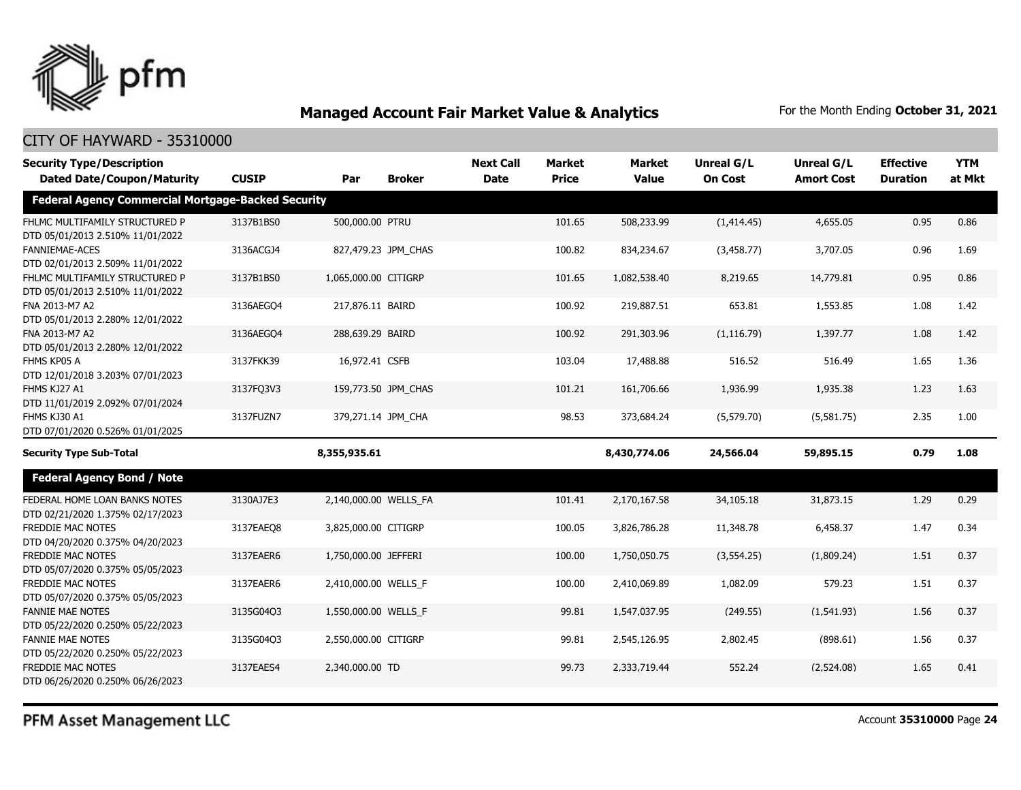

#### CITY OF HAYWARD - 35310000

| <b>Security Type/Description</b>                                   |              |                       |                     | <b>Next Call</b> | <b>Market</b> | <b>Market</b> | <b>Unreal G/L</b> | Unreal G/L        | <b>Effective</b> | <b>YTM</b> |
|--------------------------------------------------------------------|--------------|-----------------------|---------------------|------------------|---------------|---------------|-------------------|-------------------|------------------|------------|
| <b>Dated Date/Coupon/Maturity</b>                                  | <b>CUSIP</b> | Par                   | <b>Broker</b>       | <b>Date</b>      | <b>Price</b>  | <b>Value</b>  | <b>On Cost</b>    | <b>Amort Cost</b> | <b>Duration</b>  | at Mkt     |
| <b>Federal Agency Commercial Mortgage-Backed Security</b>          |              |                       |                     |                  |               |               |                   |                   |                  |            |
| FHLMC MULTIFAMILY STRUCTURED P<br>DTD 05/01/2013 2.510% 11/01/2022 | 3137B1BS0    | 500,000.00 PTRU       |                     |                  | 101.65        | 508,233.99    | (1,414.45)        | 4,655.05          | 0.95             | 0.86       |
| <b>FANNIEMAE-ACES</b><br>DTD 02/01/2013 2.509% 11/01/2022          | 3136ACGJ4    |                       | 827,479.23 JPM_CHAS |                  | 100.82        | 834,234.67    | (3,458.77)        | 3,707.05          | 0.96             | 1.69       |
| FHLMC MULTIFAMILY STRUCTURED P<br>DTD 05/01/2013 2.510% 11/01/2022 | 3137B1BS0    | 1,065,000.00 CITIGRP  |                     |                  | 101.65        | 1,082,538.40  | 8,219.65          | 14,779.81         | 0.95             | 0.86       |
| FNA 2013-M7 A2<br>DTD 05/01/2013 2.280% 12/01/2022                 | 3136AEGO4    | 217,876.11 BAIRD      |                     |                  | 100.92        | 219,887.51    | 653.81            | 1,553.85          | 1.08             | 1.42       |
| FNA 2013-M7 A2<br>DTD 05/01/2013 2.280% 12/01/2022                 | 3136AEGO4    | 288,639.29 BAIRD      |                     |                  | 100.92        | 291,303.96    | (1, 116.79)       | 1,397.77          | 1.08             | 1.42       |
| FHMS KP05 A<br>DTD 12/01/2018 3.203% 07/01/2023                    | 3137FKK39    | 16,972.41 CSFB        |                     |                  | 103.04        | 17,488.88     | 516.52            | 516.49            | 1.65             | 1.36       |
| FHMS KJ27 A1<br>DTD 11/01/2019 2.092% 07/01/2024                   | 3137FQ3V3    |                       | 159,773.50 JPM_CHAS |                  | 101.21        | 161,706.66    | 1,936.99          | 1,935.38          | 1.23             | 1.63       |
| FHMS KJ30 A1<br>DTD 07/01/2020 0.526% 01/01/2025                   | 3137FUZN7    |                       | 379,271.14 JPM CHA  |                  | 98.53         | 373,684.24    | (5,579.70)        | (5,581.75)        | 2.35             | 1.00       |
| <b>Security Type Sub-Total</b>                                     |              | 8,355,935.61          |                     |                  |               | 8,430,774.06  | 24,566.04         | 59,895.15         | 0.79             | 1.08       |
| <b>Federal Agency Bond / Note</b>                                  |              |                       |                     |                  |               |               |                   |                   |                  |            |
| FEDERAL HOME LOAN BANKS NOTES<br>DTD 02/21/2020 1.375% 02/17/2023  | 3130AJ7E3    | 2,140,000.00 WELLS_FA |                     |                  | 101.41        | 2,170,167.58  | 34,105.18         | 31,873.15         | 1.29             | 0.29       |
| FREDDIE MAC NOTES<br>DTD 04/20/2020 0.375% 04/20/2023              | 3137EAEO8    | 3,825,000.00 CITIGRP  |                     |                  | 100.05        | 3,826,786.28  | 11,348.78         | 6,458.37          | 1.47             | 0.34       |
| FREDDIE MAC NOTES<br>DTD 05/07/2020 0.375% 05/05/2023              | 3137EAER6    | 1,750,000.00 JEFFERI  |                     |                  | 100.00        | 1,750,050.75  | (3, 554.25)       | (1,809.24)        | 1.51             | 0.37       |
| FREDDIE MAC NOTES<br>DTD 05/07/2020 0.375% 05/05/2023              | 3137EAER6    | 2,410,000.00 WELLS_F  |                     |                  | 100.00        | 2,410,069.89  | 1,082.09          | 579.23            | 1.51             | 0.37       |
| <b>FANNIE MAE NOTES</b><br>DTD 05/22/2020 0.250% 05/22/2023        | 3135G04Q3    | 1,550,000.00 WELLS_F  |                     |                  | 99.81         | 1,547,037.95  | (249.55)          | (1,541.93)        | 1.56             | 0.37       |
| <b>FANNIE MAE NOTES</b><br>DTD 05/22/2020 0.250% 05/22/2023        | 3135G04Q3    | 2,550,000.00 CITIGRP  |                     |                  | 99.81         | 2,545,126.95  | 2,802.45          | (898.61)          | 1.56             | 0.37       |
| FREDDIE MAC NOTES<br>DTD 06/26/2020 0.250% 06/26/2023              | 3137EAES4    | 2,340,000.00 TD       |                     |                  | 99.73         | 2,333,719.44  | 552.24            | (2,524.08)        | 1.65             | 0.41       |

PFM Asset Management LLC

Account **35310000** Page **24**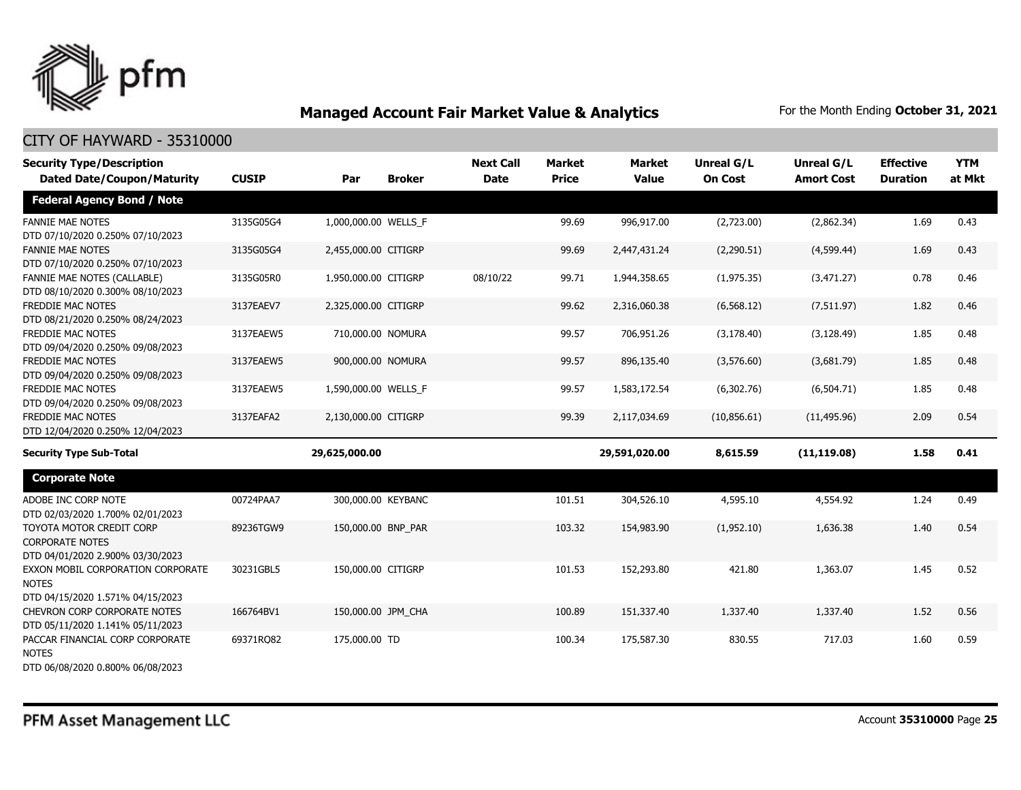

| <b>Security Type/Description</b><br><b>Dated Date/Coupon/Maturity</b>                  | <b>CUSIP</b> | Par                  | <b>Broker</b> | <b>Next Call</b><br><b>Date</b> | <b>Market</b><br><b>Price</b> | <b>Market</b><br><b>Value</b> | <b>Unreal G/L</b><br><b>On Cost</b> | Unreal G/L<br><b>Amort Cost</b> | <b>Effective</b><br><b>Duration</b> | <b>YTM</b><br>at Mkt |
|----------------------------------------------------------------------------------------|--------------|----------------------|---------------|---------------------------------|-------------------------------|-------------------------------|-------------------------------------|---------------------------------|-------------------------------------|----------------------|
| <b>Federal Agency Bond / Note</b>                                                      |              |                      |               |                                 |                               |                               |                                     |                                 |                                     |                      |
| <b>FANNIE MAE NOTES</b><br>DTD 07/10/2020 0.250% 07/10/2023                            | 3135G05G4    | 1,000,000.00 WELLS F |               |                                 | 99.69                         | 996,917.00                    | (2,723.00)                          | (2,862.34)                      | 1.69                                | 0.43                 |
| <b>FANNIE MAE NOTES</b><br>DTD 07/10/2020 0.250% 07/10/2023                            | 3135G05G4    | 2,455,000.00 CITIGRP |               |                                 | 99.69                         | 2,447,431.24                  | (2,290.51)                          | (4,599.44)                      | 1.69                                | 0.43                 |
| <b>FANNIE MAE NOTES (CALLABLE)</b><br>DTD 08/10/2020 0.300% 08/10/2023                 | 3135G05R0    | 1,950,000.00 CITIGRP |               | 08/10/22                        | 99.71                         | 1,944,358.65                  | (1,975.35)                          | (3,471.27)                      | 0.78                                | 0.46                 |
| FREDDIE MAC NOTES<br>DTD 08/21/2020 0.250% 08/24/2023                                  | 3137EAEV7    | 2,325,000.00 CITIGRP |               |                                 | 99.62                         | 2,316,060.38                  | (6, 568.12)                         | (7,511.97)                      | 1.82                                | 0.46                 |
| FREDDIE MAC NOTES<br>DTD 09/04/2020 0.250% 09/08/2023                                  | 3137EAEW5    | 710,000.00 NOMURA    |               |                                 | 99.57                         | 706,951.26                    | (3, 178.40)                         | (3, 128.49)                     | 1.85                                | 0.48                 |
| FREDDIE MAC NOTES<br>DTD 09/04/2020 0.250% 09/08/2023                                  | 3137EAEW5    | 900,000.00 NOMURA    |               |                                 | 99.57                         | 896,135.40                    | (3,576.60)                          | (3,681.79)                      | 1.85                                | 0.48                 |
| FREDDIE MAC NOTES<br>DTD 09/04/2020 0.250% 09/08/2023                                  | 3137EAEW5    | 1,590,000.00 WELLS_F |               |                                 | 99.57                         | 1,583,172.54                  | (6,302.76)                          | (6, 504.71)                     | 1.85                                | 0.48                 |
| FREDDIE MAC NOTES<br>DTD 12/04/2020 0.250% 12/04/2023                                  | 3137EAFA2    | 2,130,000.00 CITIGRP |               |                                 | 99.39                         | 2,117,034.69                  | (10,856.61)                         | (11, 495.96)                    | 2.09                                | 0.54                 |
| <b>Security Type Sub-Total</b>                                                         |              | 29,625,000.00        |               |                                 |                               | 29,591,020.00                 | 8,615.59                            | (11, 119.08)                    | 1.58                                | 0.41                 |
| <b>Corporate Note</b>                                                                  |              |                      |               |                                 |                               |                               |                                     |                                 |                                     |                      |
| ADOBE INC CORP NOTE<br>DTD 02/03/2020 1.700% 02/01/2023                                | 00724PAA7    | 300,000.00 KEYBANC   |               |                                 | 101.51                        | 304,526.10                    | 4,595.10                            | 4,554.92                        | 1.24                                | 0.49                 |
| TOYOTA MOTOR CREDIT CORP<br><b>CORPORATE NOTES</b><br>DTD 04/01/2020 2.900% 03/30/2023 | 89236TGW9    | 150,000.00 BNP_PAR   |               |                                 | 103.32                        | 154,983.90                    | (1,952.10)                          | 1,636.38                        | 1.40                                | 0.54                 |
| EXXON MOBIL CORPORATION CORPORATE<br><b>NOTES</b><br>DTD 04/15/2020 1.571% 04/15/2023  | 30231GBL5    | 150,000.00 CITIGRP   |               |                                 | 101.53                        | 152,293.80                    | 421.80                              | 1,363.07                        | 1.45                                | 0.52                 |
| <b>CHEVRON CORP CORPORATE NOTES</b><br>DTD 05/11/2020 1.141% 05/11/2023                | 166764BV1    | 150,000.00 JPM_CHA   |               |                                 | 100.89                        | 151,337.40                    | 1,337.40                            | 1,337.40                        | 1.52                                | 0.56                 |
| PACCAR FINANCIAL CORP CORPORATE<br><b>NOTES</b><br>DTD 06/08/2020 0.800% 06/08/2023    | 69371RO82    | 175,000.00 TD        |               |                                 | 100.34                        | 175,587.30                    | 830.55                              | 717.03                          | 1.60                                | 0.59                 |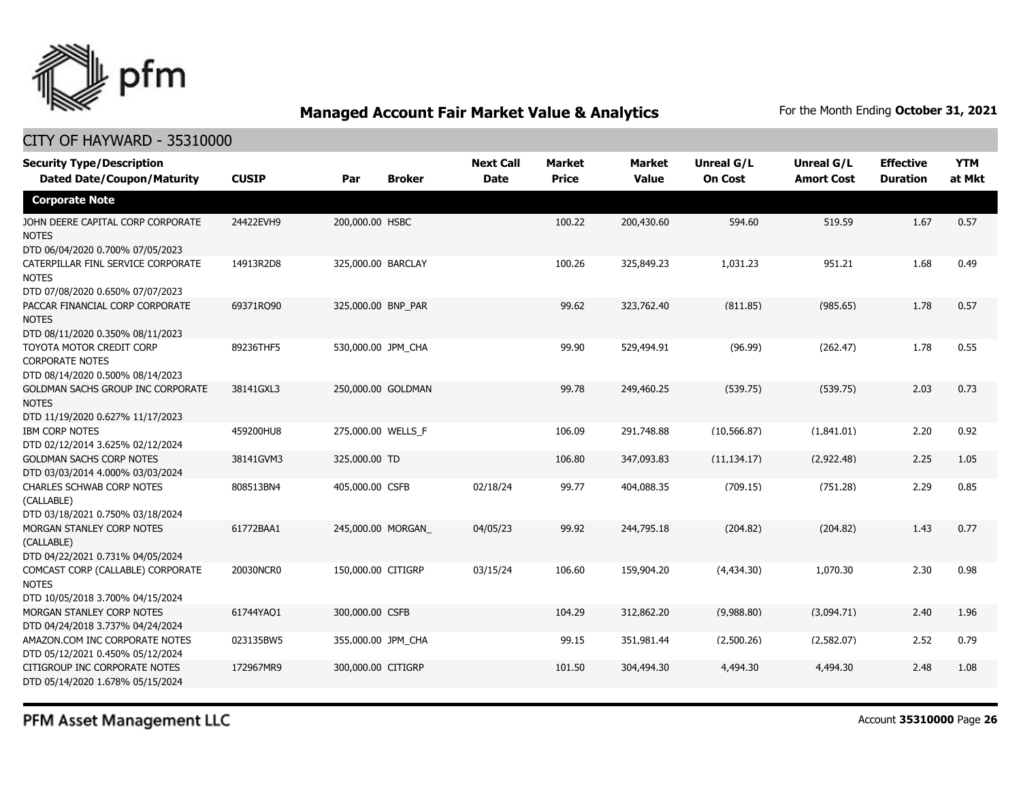

### CITY OF HAYWARD - 35310000

| <b>Security Type/Description</b><br><b>Dated Date/Coupon/Maturity</b>                  | <b>CUSIP</b> | Par                | <b>Broker</b> | <b>Next Call</b><br><b>Date</b> | <b>Market</b><br><b>Price</b> | <b>Market</b><br><b>Value</b> | <b>Unreal G/L</b><br><b>On Cost</b> | Unreal G/L<br><b>Amort Cost</b> | <b>Effective</b><br><b>Duration</b> | <b>YTM</b><br>at Mkt |
|----------------------------------------------------------------------------------------|--------------|--------------------|---------------|---------------------------------|-------------------------------|-------------------------------|-------------------------------------|---------------------------------|-------------------------------------|----------------------|
| <b>Corporate Note</b>                                                                  |              |                    |               |                                 |                               |                               |                                     |                                 |                                     |                      |
| JOHN DEERE CAPITAL CORP CORPORATE<br><b>NOTES</b><br>DTD 06/04/2020 0.700% 07/05/2023  | 24422EVH9    | 200,000.00 HSBC    |               |                                 | 100.22                        | 200,430.60                    | 594.60                              | 519.59                          | 1.67                                | 0.57                 |
| CATERPILLAR FINL SERVICE CORPORATE<br><b>NOTES</b><br>DTD 07/08/2020 0.650% 07/07/2023 | 14913R2D8    | 325,000.00 BARCLAY |               |                                 | 100.26                        | 325,849.23                    | 1,031.23                            | 951.21                          | 1.68                                | 0.49                 |
| PACCAR FINANCIAL CORP CORPORATE<br><b>NOTES</b><br>DTD 08/11/2020 0.350% 08/11/2023    | 69371RQ90    | 325,000.00 BNP_PAR |               |                                 | 99.62                         | 323,762.40                    | (811.85)                            | (985.65)                        | 1.78                                | 0.57                 |
| TOYOTA MOTOR CREDIT CORP<br><b>CORPORATE NOTES</b><br>DTD 08/14/2020 0.500% 08/14/2023 | 89236THF5    | 530,000.00 JPM_CHA |               |                                 | 99.90                         | 529,494.91                    | (96.99)                             | (262.47)                        | 1.78                                | 0.55                 |
| GOLDMAN SACHS GROUP INC CORPORATE<br><b>NOTES</b><br>DTD 11/19/2020 0.627% 11/17/2023  | 38141GXL3    | 250,000.00 GOLDMAN |               |                                 | 99.78                         | 249,460.25                    | (539.75)                            | (539.75)                        | 2.03                                | 0.73                 |
| <b>IBM CORP NOTES</b><br>DTD 02/12/2014 3.625% 02/12/2024                              | 459200HU8    | 275,000.00 WELLS_F |               |                                 | 106.09                        | 291,748.88                    | (10, 566.87)                        | (1,841.01)                      | 2.20                                | 0.92                 |
| <b>GOLDMAN SACHS CORP NOTES</b><br>DTD 03/03/2014 4.000% 03/03/2024                    | 38141GVM3    | 325,000.00 TD      |               |                                 | 106.80                        | 347,093.83                    | (11, 134.17)                        | (2,922.48)                      | 2.25                                | 1.05                 |
| <b>CHARLES SCHWAB CORP NOTES</b><br>(CALLABLE)<br>DTD 03/18/2021 0.750% 03/18/2024     | 808513BN4    | 405,000.00 CSFB    |               | 02/18/24                        | 99.77                         | 404,088.35                    | (709.15)                            | (751.28)                        | 2.29                                | 0.85                 |
| MORGAN STANLEY CORP NOTES<br>(CALLABLE)<br>DTD 04/22/2021 0.731% 04/05/2024            | 61772BAA1    | 245,000.00 MORGAN  |               | 04/05/23                        | 99.92                         | 244,795.18                    | (204.82)                            | (204.82)                        | 1.43                                | 0.77                 |
| COMCAST CORP (CALLABLE) CORPORATE<br><b>NOTES</b><br>DTD 10/05/2018 3.700% 04/15/2024  | 20030NCR0    | 150,000.00 CITIGRP |               | 03/15/24                        | 106.60                        | 159,904.20                    | (4,434.30)                          | 1,070.30                        | 2.30                                | 0.98                 |
| MORGAN STANLEY CORP NOTES<br>DTD 04/24/2018 3.737% 04/24/2024                          | 61744YAQ1    | 300,000.00 CSFB    |               |                                 | 104.29                        | 312,862.20                    | (9,988.80)                          | (3,094.71)                      | 2.40                                | 1.96                 |
| AMAZON.COM INC CORPORATE NOTES<br>DTD 05/12/2021 0.450% 05/12/2024                     | 023135BW5    | 355,000.00 JPM_CHA |               |                                 | 99.15                         | 351,981.44                    | (2,500.26)                          | (2,582.07)                      | 2.52                                | 0.79                 |
| CITIGROUP INC CORPORATE NOTES<br>DTD 05/14/2020 1.678% 05/15/2024                      | 172967MR9    | 300,000.00 CITIGRP |               |                                 | 101.50                        | 304,494.30                    | 4,494.30                            | 4,494.30                        | 2.48                                | 1.08                 |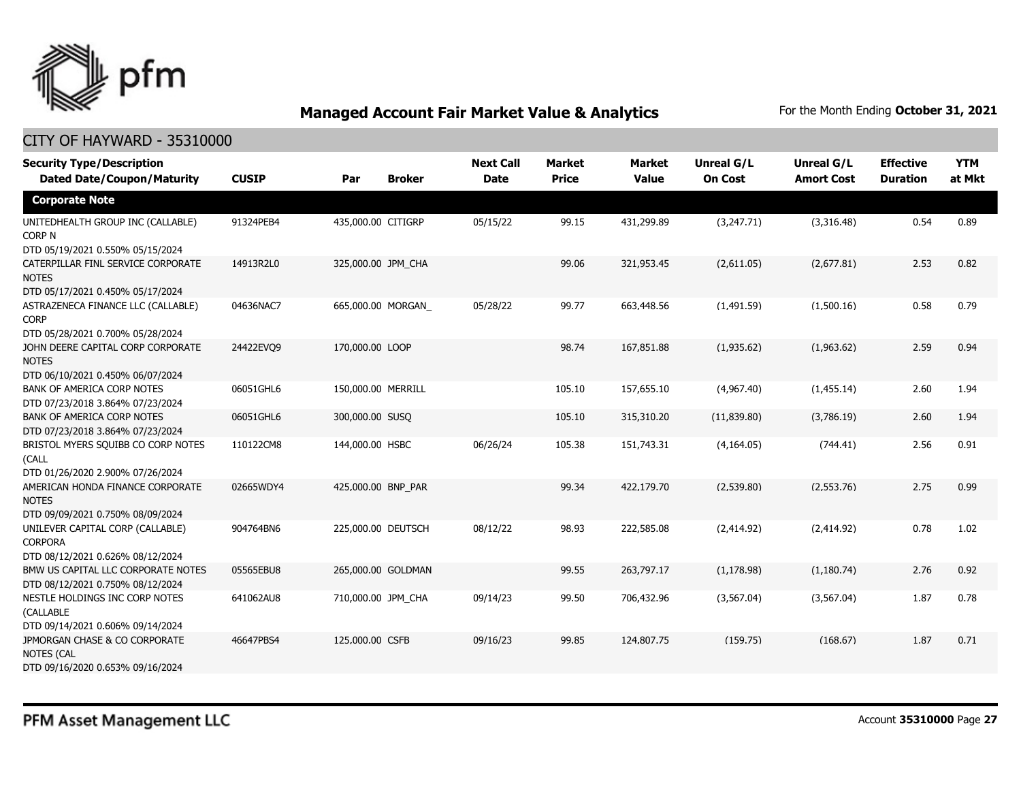

| <b>Security Type/Description</b><br><b>Dated Date/Coupon/Maturity</b>                                                      | <b>CUSIP</b> | Par                | <b>Broker</b> | <b>Next Call</b><br><b>Date</b> | <b>Market</b><br><b>Price</b> | <b>Market</b><br><b>Value</b> | <b>Unreal G/L</b><br><b>On Cost</b> | Unreal G/L<br><b>Amort Cost</b> | <b>Effective</b><br><b>Duration</b> | <b>YTM</b><br>at Mkt |
|----------------------------------------------------------------------------------------------------------------------------|--------------|--------------------|---------------|---------------------------------|-------------------------------|-------------------------------|-------------------------------------|---------------------------------|-------------------------------------|----------------------|
| <b>Corporate Note</b>                                                                                                      |              |                    |               |                                 |                               |                               |                                     |                                 |                                     |                      |
| UNITEDHEALTH GROUP INC (CALLABLE)<br>CORP N                                                                                | 91324PEB4    | 435,000.00 CITIGRP |               | 05/15/22                        | 99.15                         | 431,299.89                    | (3,247.71)                          | (3,316.48)                      | 0.54                                | 0.89                 |
| DTD 05/19/2021 0.550% 05/15/2024<br>CATERPILLAR FINL SERVICE CORPORATE<br><b>NOTES</b><br>DTD 05/17/2021 0.450% 05/17/2024 | 14913R2L0    | 325,000.00 JPM CHA |               |                                 | 99.06                         | 321,953.45                    | (2,611.05)                          | (2,677.81)                      | 2.53                                | 0.82                 |
| ASTRAZENECA FINANCE LLC (CALLABLE)<br><b>CORP</b>                                                                          | 04636NAC7    | 665,000.00 MORGAN  |               | 05/28/22                        | 99.77                         | 663,448.56                    | (1,491.59)                          | (1,500.16)                      | 0.58                                | 0.79                 |
| DTD 05/28/2021 0.700% 05/28/2024<br>JOHN DEERE CAPITAL CORP CORPORATE<br><b>NOTES</b><br>DTD 06/10/2021 0.450% 06/07/2024  | 24422EVQ9    | 170,000.00 LOOP    |               |                                 | 98.74                         | 167,851.88                    | (1,935.62)                          | (1,963.62)                      | 2.59                                | 0.94                 |
| <b>BANK OF AMERICA CORP NOTES</b><br>DTD 07/23/2018 3.864% 07/23/2024                                                      | 06051GHL6    | 150,000.00 MERRILL |               |                                 | 105.10                        | 157,655.10                    | (4,967.40)                          | (1,455.14)                      | 2.60                                | 1.94                 |
| <b>BANK OF AMERICA CORP NOTES</b><br>DTD 07/23/2018 3.864% 07/23/2024                                                      | 06051GHL6    | 300,000.00 SUSQ    |               |                                 | 105.10                        | 315,310.20                    | (11,839.80)                         | (3,786.19)                      | 2.60                                | 1.94                 |
| BRISTOL MYERS SQUIBB CO CORP NOTES<br>(CALL<br>DTD 01/26/2020 2.900% 07/26/2024                                            | 110122CM8    | 144,000.00 HSBC    |               | 06/26/24                        | 105.38                        | 151,743.31                    | (4, 164.05)                         | (744.41)                        | 2.56                                | 0.91                 |
| AMERICAN HONDA FINANCE CORPORATE<br><b>NOTES</b><br>DTD 09/09/2021 0.750% 08/09/2024                                       | 02665WDY4    | 425,000.00 BNP_PAR |               |                                 | 99.34                         | 422,179.70                    | (2,539.80)                          | (2,553.76)                      | 2.75                                | 0.99                 |
| UNILEVER CAPITAL CORP (CALLABLE)<br><b>CORPORA</b><br>DTD 08/12/2021 0.626% 08/12/2024                                     | 904764BN6    | 225,000.00 DEUTSCH |               | 08/12/22                        | 98.93                         | 222,585.08                    | (2,414.92)                          | (2,414.92)                      | 0.78                                | 1.02                 |
| BMW US CAPITAL LLC CORPORATE NOTES<br>DTD 08/12/2021 0.750% 08/12/2024                                                     | 05565EBU8    | 265,000.00 GOLDMAN |               |                                 | 99.55                         | 263,797.17                    | (1, 178.98)                         | (1, 180.74)                     | 2.76                                | 0.92                 |
| NESTLE HOLDINGS INC CORP NOTES<br>(CALLABLE<br>DTD 09/14/2021 0.606% 09/14/2024                                            | 641062AU8    | 710,000.00 JPM CHA |               | 09/14/23                        | 99.50                         | 706,432.96                    | (3, 567.04)                         | (3,567.04)                      | 1.87                                | 0.78                 |
| JPMORGAN CHASE & CO CORPORATE<br><b>NOTES (CAL</b><br>DTD 09/16/2020 0.653% 09/16/2024                                     | 46647PBS4    | 125,000.00 CSFB    |               | 09/16/23                        | 99.85                         | 124,807.75                    | (159.75)                            | (168.67)                        | 1.87                                | 0.71                 |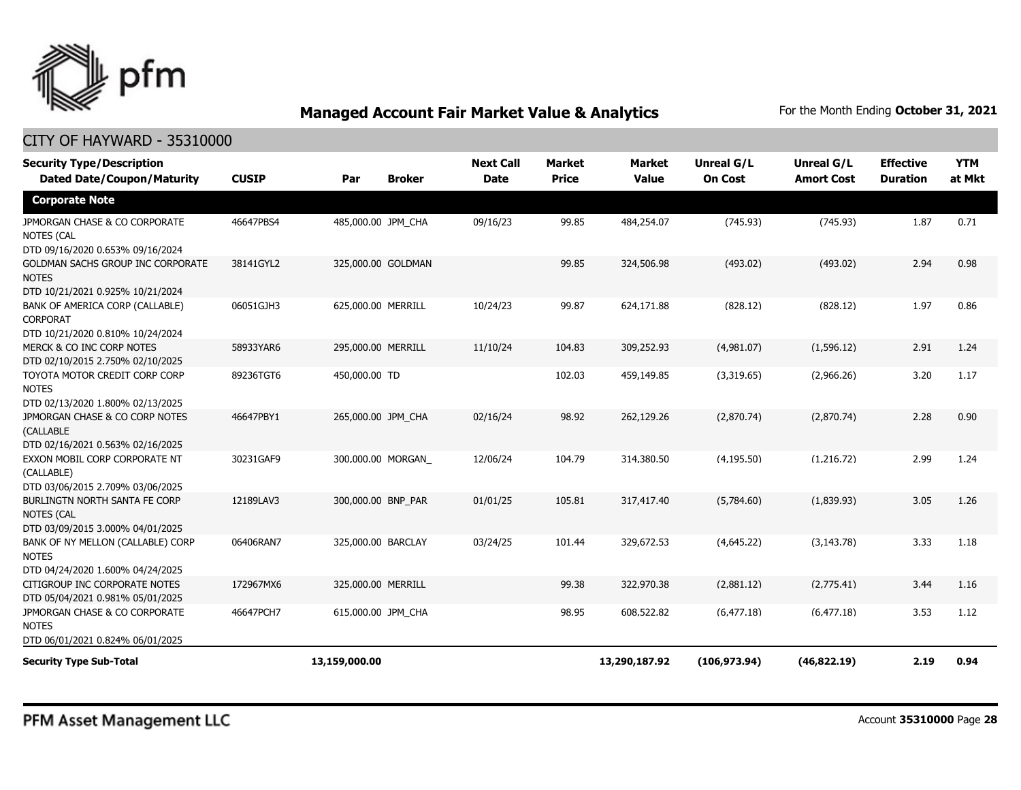

| <b>Security Type/Description</b><br><b>Dated Date/Coupon/Maturity</b>                  | <b>CUSIP</b> | Par                | <b>Broker</b> | <b>Next Call</b><br><b>Date</b> | Market<br><b>Price</b> | <b>Market</b><br><b>Value</b> | Unreal G/L<br><b>On Cost</b> | <b>Unreal G/L</b><br><b>Amort Cost</b> | <b>Effective</b><br><b>Duration</b> | <b>YTM</b><br>at Mkt |
|----------------------------------------------------------------------------------------|--------------|--------------------|---------------|---------------------------------|------------------------|-------------------------------|------------------------------|----------------------------------------|-------------------------------------|----------------------|
| <b>Corporate Note</b>                                                                  |              |                    |               |                                 |                        |                               |                              |                                        |                                     |                      |
| JPMORGAN CHASE & CO CORPORATE<br><b>NOTES (CAL</b><br>DTD 09/16/2020 0.653% 09/16/2024 | 46647PBS4    | 485,000.00 JPM CHA |               | 09/16/23                        | 99.85                  | 484,254.07                    | (745.93)                     | (745.93)                               | 1.87                                | 0.71                 |
| GOLDMAN SACHS GROUP INC CORPORATE<br><b>NOTES</b><br>DTD 10/21/2021 0.925% 10/21/2024  | 38141GYL2    | 325,000.00 GOLDMAN |               |                                 | 99.85                  | 324,506.98                    | (493.02)                     | (493.02)                               | 2.94                                | 0.98                 |
| BANK OF AMERICA CORP (CALLABLE)<br><b>CORPORAT</b><br>DTD 10/21/2020 0.810% 10/24/2024 | 06051GJH3    | 625,000.00 MERRILL |               | 10/24/23                        | 99.87                  | 624,171.88                    | (828.12)                     | (828.12)                               | 1.97                                | 0.86                 |
| MERCK & CO INC CORP NOTES<br>DTD 02/10/2015 2.750% 02/10/2025                          | 58933YAR6    | 295,000.00 MERRILL |               | 11/10/24                        | 104.83                 | 309,252.93                    | (4,981.07)                   | (1,596.12)                             | 2.91                                | 1.24                 |
| TOYOTA MOTOR CREDIT CORP CORP<br><b>NOTES</b><br>DTD 02/13/2020 1.800% 02/13/2025      | 89236TGT6    | 450,000.00 TD      |               |                                 | 102.03                 | 459,149.85                    | (3,319.65)                   | (2,966.26)                             | 3.20                                | 1.17                 |
| JPMORGAN CHASE & CO CORP NOTES<br>(CALLABLE<br>DTD 02/16/2021 0.563% 02/16/2025        | 46647PBY1    | 265,000.00 JPM CHA |               | 02/16/24                        | 98.92                  | 262,129.26                    | (2,870.74)                   | (2,870.74)                             | 2.28                                | 0.90                 |
| EXXON MOBIL CORP CORPORATE NT<br>(CALLABLE)<br>DTD 03/06/2015 2.709% 03/06/2025        | 30231GAF9    | 300,000.00 MORGAN  |               | 12/06/24                        | 104.79                 | 314,380.50                    | (4, 195.50)                  | (1,216.72)                             | 2.99                                | 1.24                 |
| BURLINGTN NORTH SANTA FE CORP<br><b>NOTES (CAL</b><br>DTD 03/09/2015 3.000% 04/01/2025 | 12189LAV3    | 300,000.00 BNP PAR |               | 01/01/25                        | 105.81                 | 317,417.40                    | (5,784.60)                   | (1,839.93)                             | 3.05                                | 1.26                 |
| BANK OF NY MELLON (CALLABLE) CORP<br><b>NOTES</b><br>DTD 04/24/2020 1.600% 04/24/2025  | 06406RAN7    | 325,000.00 BARCLAY |               | 03/24/25                        | 101.44                 | 329,672.53                    | (4,645.22)                   | (3, 143.78)                            | 3.33                                | 1.18                 |
| CITIGROUP INC CORPORATE NOTES<br>DTD 05/04/2021 0.981% 05/01/2025                      | 172967MX6    | 325,000.00 MERRILL |               |                                 | 99.38                  | 322,970.38                    | (2,881.12)                   | (2,775.41)                             | 3.44                                | 1.16                 |
| JPMORGAN CHASE & CO CORPORATE<br><b>NOTES</b><br>DTD 06/01/2021 0.824% 06/01/2025      | 46647PCH7    | 615,000.00 JPM CHA |               |                                 | 98.95                  | 608,522.82                    | (6, 477.18)                  | (6, 477.18)                            | 3.53                                | 1.12                 |
| <b>Security Type Sub-Total</b>                                                         |              | 13,159,000.00      |               |                                 |                        | 13,290,187.92                 | (106, 973.94)                | (46,822.19)                            | 2.19                                | 0.94                 |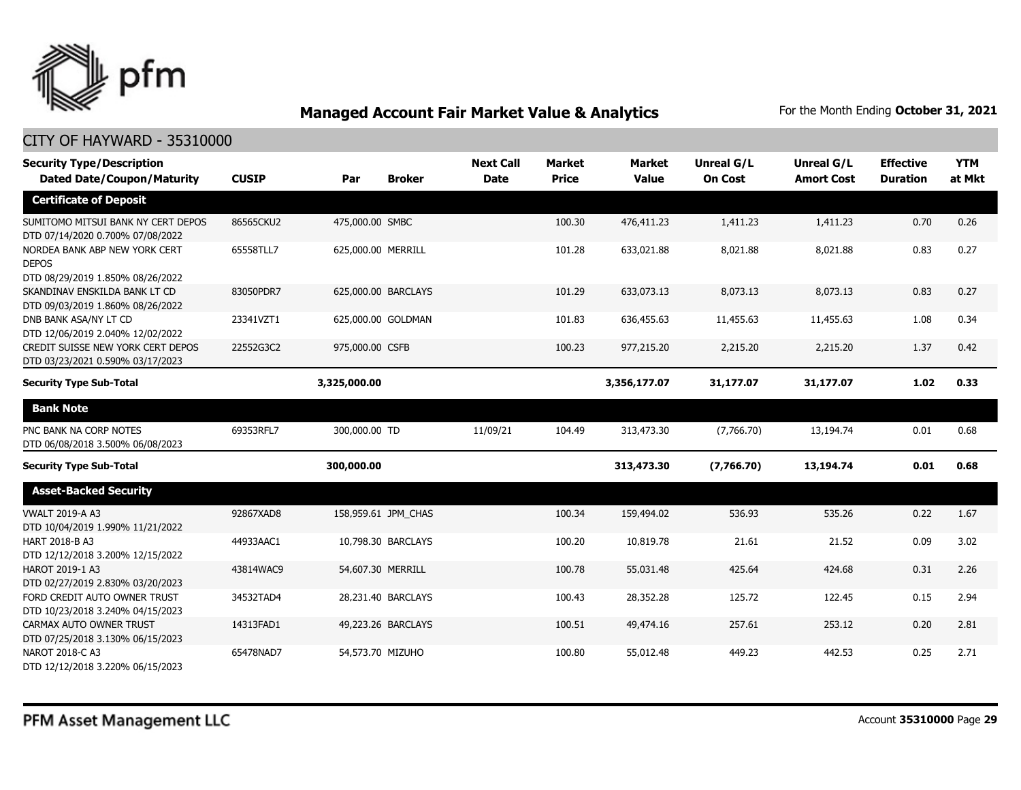

| <b>Security Type/Description</b>                                                  |              |                    |                     | <b>Next Call</b> | <b>Market</b> | <b>Market</b> | <b>Unreal G/L</b> | Unreal G/L        | <b>Effective</b> | <b>YTM</b> |
|-----------------------------------------------------------------------------------|--------------|--------------------|---------------------|------------------|---------------|---------------|-------------------|-------------------|------------------|------------|
| <b>Dated Date/Coupon/Maturity</b>                                                 | <b>CUSIP</b> | Par                | <b>Broker</b>       | <b>Date</b>      | <b>Price</b>  | <b>Value</b>  | <b>On Cost</b>    | <b>Amort Cost</b> | <b>Duration</b>  | at Mkt     |
| <b>Certificate of Deposit</b>                                                     |              |                    |                     |                  |               |               |                   |                   |                  |            |
| SUMITOMO MITSUI BANK NY CERT DEPOS<br>DTD 07/14/2020 0.700% 07/08/2022            | 86565CKU2    | 475,000.00 SMBC    |                     |                  | 100.30        | 476,411.23    | 1,411.23          | 1,411.23          | 0.70             | 0.26       |
| NORDEA BANK ABP NEW YORK CERT<br><b>DEPOS</b><br>DTD 08/29/2019 1.850% 08/26/2022 | 65558TLL7    | 625,000.00 MERRILL |                     |                  | 101.28        | 633,021.88    | 8,021.88          | 8,021.88          | 0.83             | 0.27       |
| SKANDINAV ENSKILDA BANK LT CD<br>DTD 09/03/2019 1.860% 08/26/2022                 | 83050PDR7    |                    | 625,000.00 BARCLAYS |                  | 101.29        | 633,073.13    | 8,073.13          | 8,073.13          | 0.83             | 0.27       |
| DNB BANK ASA/NY LT CD<br>DTD 12/06/2019 2.040% 12/02/2022                         | 23341VZT1    |                    | 625,000.00 GOLDMAN  |                  | 101.83        | 636,455.63    | 11,455.63         | 11,455.63         | 1.08             | 0.34       |
| CREDIT SUISSE NEW YORK CERT DEPOS<br>DTD 03/23/2021 0.590% 03/17/2023             | 22552G3C2    | 975,000.00 CSFB    |                     |                  | 100.23        | 977,215.20    | 2,215.20          | 2,215.20          | 1.37             | 0.42       |
| <b>Security Type Sub-Total</b>                                                    |              | 3,325,000.00       |                     |                  |               | 3,356,177.07  | 31,177.07         | 31,177.07         | 1.02             | 0.33       |
| <b>Bank Note</b>                                                                  |              |                    |                     |                  |               |               |                   |                   |                  |            |
| PNC BANK NA CORP NOTES<br>DTD 06/08/2018 3.500% 06/08/2023                        | 69353RFL7    | 300,000.00 TD      |                     | 11/09/21         | 104.49        | 313,473.30    | (7,766.70)        | 13,194.74         | 0.01             | 0.68       |
| <b>Security Type Sub-Total</b>                                                    |              | 300,000.00         |                     |                  |               | 313,473.30    | (7,766.70)        | 13,194.74         | 0.01             | 0.68       |
| <b>Asset-Backed Security</b>                                                      |              |                    |                     |                  |               |               |                   |                   |                  |            |
| <b>VWALT 2019-A A3</b><br>DTD 10/04/2019 1.990% 11/21/2022                        | 92867XAD8    |                    | 158,959.61 JPM CHAS |                  | 100.34        | 159,494.02    | 536.93            | 535.26            | 0.22             | 1.67       |
| HART 2018-B A3<br>DTD 12/12/2018 3.200% 12/15/2022                                | 44933AAC1    |                    | 10,798.30 BARCLAYS  |                  | 100.20        | 10,819.78     | 21.61             | 21.52             | 0.09             | 3.02       |
| HAROT 2019-1 A3<br>DTD 02/27/2019 2.830% 03/20/2023                               | 43814WAC9    | 54,607.30 MERRILL  |                     |                  | 100.78        | 55,031.48     | 425.64            | 424.68            | 0.31             | 2.26       |
| FORD CREDIT AUTO OWNER TRUST<br>DTD 10/23/2018 3.240% 04/15/2023                  | 34532TAD4    |                    | 28,231.40 BARCLAYS  |                  | 100.43        | 28,352.28     | 125.72            | 122.45            | 0.15             | 2.94       |
| CARMAX AUTO OWNER TRUST<br>DTD 07/25/2018 3.130% 06/15/2023                       | 14313FAD1    |                    | 49,223.26 BARCLAYS  |                  | 100.51        | 49,474.16     | 257.61            | 253.12            | 0.20             | 2.81       |
| NAROT 2018-C A3<br>DTD 12/12/2018 3.220% 06/15/2023                               | 65478NAD7    | 54,573.70 MIZUHO   |                     |                  | 100.80        | 55,012.48     | 449.23            | 442.53            | 0.25             | 2.71       |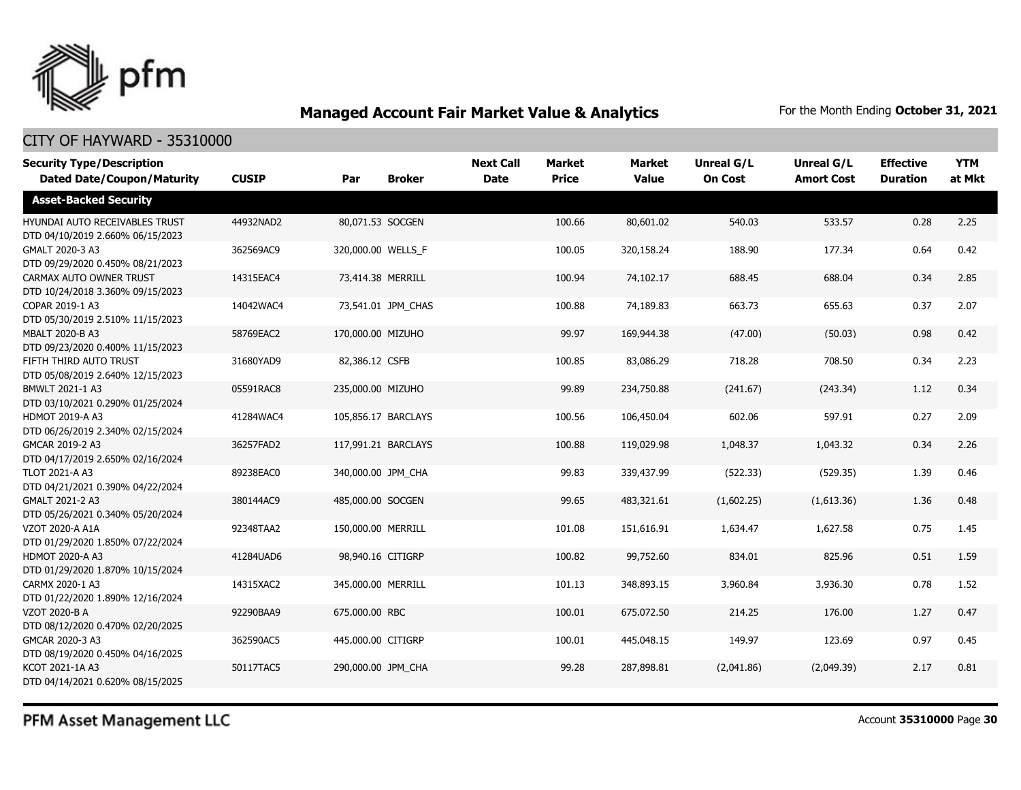

### CITY OF HAYWARD - 35310000

| <b>Security Type/Description</b><br><b>Dated Date/Coupon/Maturity</b> | <b>CUSIP</b> | Par                | <b>Broker</b>       | <b>Next Call</b><br><b>Date</b> | Market<br><b>Price</b> | <b>Market</b><br><b>Value</b> | <b>Unreal G/L</b><br><b>On Cost</b> | Unreal G/L<br><b>Amort Cost</b> | <b>Effective</b><br><b>Duration</b> | <b>YTM</b><br>at Mkt |
|-----------------------------------------------------------------------|--------------|--------------------|---------------------|---------------------------------|------------------------|-------------------------------|-------------------------------------|---------------------------------|-------------------------------------|----------------------|
| <b>Asset-Backed Security</b>                                          |              |                    |                     |                                 |                        |                               |                                     |                                 |                                     |                      |
| HYUNDAI AUTO RECEIVABLES TRUST<br>DTD 04/10/2019 2.660% 06/15/2023    | 44932NAD2    | 80,071.53 SOCGEN   |                     |                                 | 100.66                 | 80,601.02                     | 540.03                              | 533.57                          | 0.28                                | 2.25                 |
| GMALT 2020-3 A3<br>DTD 09/29/2020 0.450% 08/21/2023                   | 362569AC9    | 320,000.00 WELLS F |                     |                                 | 100.05                 | 320,158.24                    | 188.90                              | 177.34                          | 0.64                                | 0.42                 |
| CARMAX AUTO OWNER TRUST<br>DTD 10/24/2018 3.360% 09/15/2023           | 14315EAC4    | 73,414.38 MERRILL  |                     |                                 | 100.94                 | 74,102.17                     | 688.45                              | 688.04                          | 0.34                                | 2.85                 |
| COPAR 2019-1 A3<br>DTD 05/30/2019 2.510% 11/15/2023                   | 14042WAC4    |                    | 73,541.01 JPM_CHAS  |                                 | 100.88                 | 74,189.83                     | 663.73                              | 655.63                          | 0.37                                | 2.07                 |
| <b>MBALT 2020-B A3</b><br>DTD 09/23/2020 0.400% 11/15/2023            | 58769EAC2    | 170,000.00 MIZUHO  |                     |                                 | 99.97                  | 169,944.38                    | (47.00)                             | (50.03)                         | 0.98                                | 0.42                 |
| FIFTH THIRD AUTO TRUST<br>DTD 05/08/2019 2.640% 12/15/2023            | 31680YAD9    | 82,386.12 CSFB     |                     |                                 | 100.85                 | 83,086.29                     | 718.28                              | 708.50                          | 0.34                                | 2.23                 |
| BMWLT 2021-1 A3<br>DTD 03/10/2021 0.290% 01/25/2024                   | 05591RAC8    | 235,000.00 MIZUHO  |                     |                                 | 99.89                  | 234,750.88                    | (241.67)                            | (243.34)                        | 1.12                                | 0.34                 |
| HDMOT 2019-A A3<br>DTD 06/26/2019 2.340% 02/15/2024                   | 41284WAC4    |                    | 105,856.17 BARCLAYS |                                 | 100.56                 | 106,450.04                    | 602.06                              | 597.91                          | 0.27                                | 2.09                 |
| GMCAR 2019-2 A3<br>DTD 04/17/2019 2.650% 02/16/2024                   | 36257FAD2    |                    | 117,991.21 BARCLAYS |                                 | 100.88                 | 119,029.98                    | 1,048.37                            | 1,043.32                        | 0.34                                | 2.26                 |
| TLOT 2021-A A3<br>DTD 04/21/2021 0.390% 04/22/2024                    | 89238EAC0    | 340,000.00 JPM_CHA |                     |                                 | 99.83                  | 339,437.99                    | (522.33)                            | (529.35)                        | 1.39                                | 0.46                 |
| GMALT 2021-2 A3<br>DTD 05/26/2021 0.340% 05/20/2024                   | 380144AC9    | 485,000.00 SOCGEN  |                     |                                 | 99.65                  | 483,321.61                    | (1,602.25)                          | (1,613.36)                      | 1.36                                | 0.48                 |
| VZOT 2020-A A1A<br>DTD 01/29/2020 1.850% 07/22/2024                   | 92348TAA2    | 150,000.00 MERRILL |                     |                                 | 101.08                 | 151,616.91                    | 1,634.47                            | 1,627.58                        | 0.75                                | 1.45                 |
| HDMOT 2020-A A3<br>DTD 01/29/2020 1.870% 10/15/2024                   | 41284UAD6    | 98,940.16 CITIGRP  |                     |                                 | 100.82                 | 99,752.60                     | 834.01                              | 825.96                          | 0.51                                | 1.59                 |
| CARMX 2020-1 A3<br>DTD 01/22/2020 1.890% 12/16/2024                   | 14315XAC2    | 345,000.00 MERRILL |                     |                                 | 101.13                 | 348,893.15                    | 3,960.84                            | 3,936.30                        | 0.78                                | 1.52                 |
| <b>VZOT 2020-B A</b><br>DTD 08/12/2020 0.470% 02/20/2025              | 92290BAA9    | 675,000.00 RBC     |                     |                                 | 100.01                 | 675,072.50                    | 214.25                              | 176.00                          | 1.27                                | 0.47                 |
| GMCAR 2020-3 A3<br>DTD 08/19/2020 0.450% 04/16/2025                   | 362590AC5    | 445,000.00 CITIGRP |                     |                                 | 100.01                 | 445,048.15                    | 149.97                              | 123.69                          | 0.97                                | 0.45                 |
| KCOT 2021-1A A3<br>DTD 04/14/2021 0.620% 08/15/2025                   | 50117TAC5    | 290,000.00 JPM CHA |                     |                                 | 99.28                  | 287,898.81                    | (2,041.86)                          | (2,049.39)                      | 2.17                                | 0.81                 |

PFM Asset Management LLC

Account **35310000** Page **30**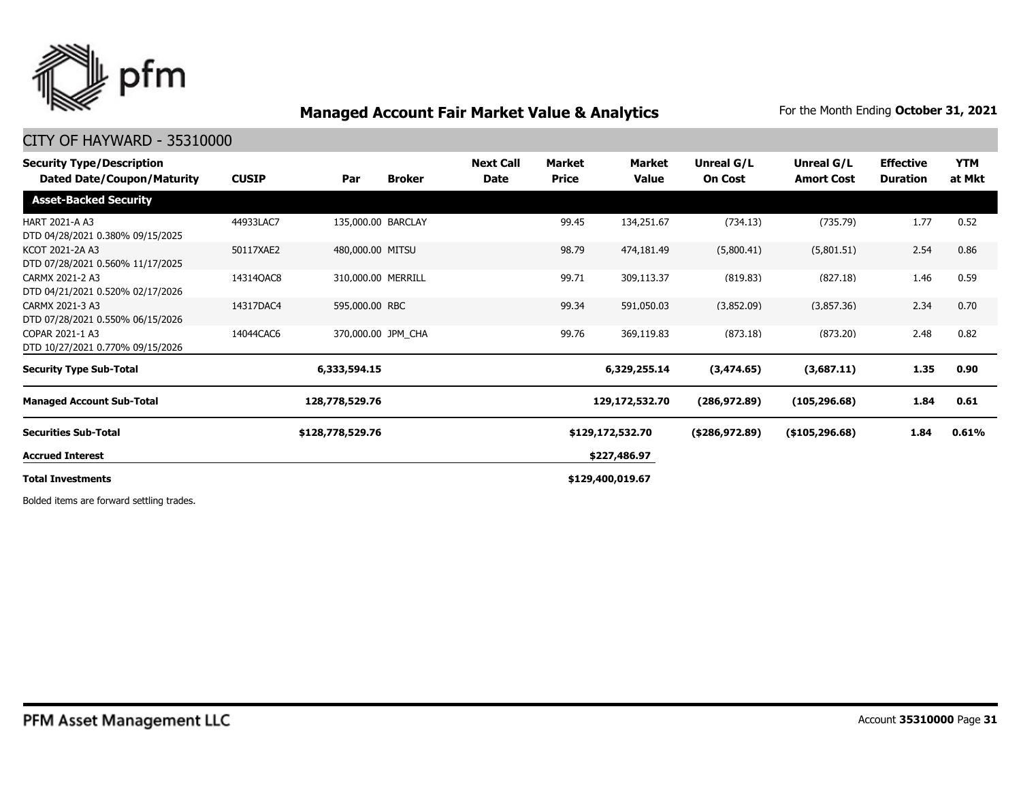

#### CITY OF HAYWARD - 35310000

| <b>Security Type/Description</b><br><b>Dated Date/Coupon/Maturity</b> | <b>CUSIP</b> | Par                | <b>Broker</b> | <b>Next Call</b><br><b>Date</b> | Market<br><b>Price</b> | <b>Market</b><br><b>Value</b> | Unreal G/L<br><b>On Cost</b> | Unreal G/L<br><b>Amort Cost</b> | <b>Effective</b><br><b>Duration</b> | <b>YTM</b><br>at Mkt |
|-----------------------------------------------------------------------|--------------|--------------------|---------------|---------------------------------|------------------------|-------------------------------|------------------------------|---------------------------------|-------------------------------------|----------------------|
| <b>Asset-Backed Security</b>                                          |              |                    |               |                                 |                        |                               |                              |                                 |                                     |                      |
| HART 2021-A A3<br>DTD 04/28/2021 0.380% 09/15/2025                    | 44933LAC7    | 135,000.00 BARCLAY |               |                                 | 99.45                  | 134,251.67                    | (734.13)                     | (735.79)                        | 1.77                                | 0.52                 |
| KCOT 2021-2A A3<br>DTD 07/28/2021 0.560% 11/17/2025                   | 50117XAE2    | 480,000.00 MITSU   |               |                                 | 98.79                  | 474,181.49                    | (5,800.41)                   | (5,801.51)                      | 2.54                                | 0.86                 |
| CARMX 2021-2 A3<br>DTD 04/21/2021 0.520% 02/17/2026                   | 14314QAC8    | 310,000.00 MERRILL |               |                                 | 99.71                  | 309,113.37                    | (819.83)                     | (827.18)                        | 1.46                                | 0.59                 |
| CARMX 2021-3 A3<br>DTD 07/28/2021 0.550% 06/15/2026                   | 14317DAC4    | 595,000.00 RBC     |               |                                 | 99.34                  | 591,050.03                    | (3,852.09)                   | (3,857.36)                      | 2.34                                | 0.70                 |
| COPAR 2021-1 A3<br>DTD 10/27/2021 0.770% 09/15/2026                   | 14044CAC6    | 370,000.00 JPM_CHA |               |                                 | 99.76                  | 369,119.83                    | (873.18)                     | (873.20)                        | 2.48                                | 0.82                 |
| <b>Security Type Sub-Total</b>                                        |              | 6,333,594.15       |               |                                 |                        | 6,329,255.14                  | (3,474.65)                   | (3,687.11)                      | 1.35                                | 0.90                 |
| <b>Managed Account Sub-Total</b>                                      |              | 128,778,529.76     |               |                                 |                        | 129,172,532.70                | (286, 972.89)                | (105, 296.68)                   | 1.84                                | 0.61                 |
| <b>Securities Sub-Total</b>                                           |              | \$128,778,529.76   |               |                                 |                        | \$129,172,532.70              | (\$286,972.89)               | (\$105, 296.68)                 | 1.84                                | 0.61%                |
| <b>Accrued Interest</b>                                               |              |                    |               |                                 |                        | \$227,486.97                  |                              |                                 |                                     |                      |
| <b>Total Investments</b>                                              |              |                    |               |                                 |                        | \$129,400,019.67              |                              |                                 |                                     |                      |

Bolded items are forward settling trades.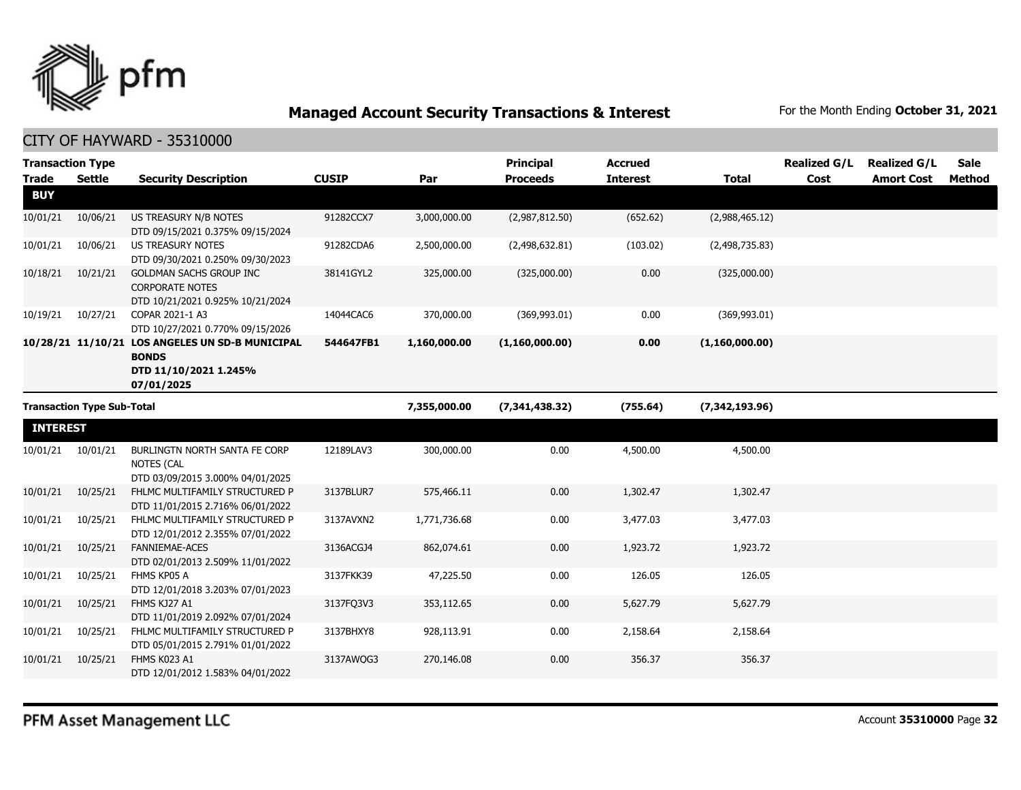

| <b>Transaction Type</b><br><b>Trade</b> | <b>Settle</b>                     | <b>Security Description</b>                                                                            | <b>CUSIP</b> | Par          | <b>Principal</b><br><b>Proceeds</b> | <b>Accrued</b><br><b>Interest</b> | <b>Total</b>   | <b>Realized G/L</b><br>Cost | <b>Realized G/L</b><br><b>Amort Cost</b> | Sale<br>Method |
|-----------------------------------------|-----------------------------------|--------------------------------------------------------------------------------------------------------|--------------|--------------|-------------------------------------|-----------------------------------|----------------|-----------------------------|------------------------------------------|----------------|
| <b>BUY</b>                              |                                   |                                                                                                        |              |              |                                     |                                   |                |                             |                                          |                |
| 10/01/21                                | 10/06/21                          | US TREASURY N/B NOTES<br>DTD 09/15/2021 0.375% 09/15/2024                                              | 91282CCX7    | 3,000,000.00 | (2,987,812.50)                      | (652.62)                          | (2,988,465.12) |                             |                                          |                |
| 10/01/21                                | 10/06/21                          | <b>US TREASURY NOTES</b><br>DTD 09/30/2021 0.250% 09/30/2023                                           | 91282CDA6    | 2,500,000.00 | (2,498,632.81)                      | (103.02)                          | (2,498,735.83) |                             |                                          |                |
| 10/18/21                                | 10/21/21                          | GOLDMAN SACHS GROUP INC<br><b>CORPORATE NOTES</b><br>DTD 10/21/2021 0.925% 10/21/2024                  | 38141GYL2    | 325,000.00   | (325,000.00)                        | 0.00                              | (325,000.00)   |                             |                                          |                |
| 10/19/21                                | 10/27/21                          | COPAR 2021-1 A3<br>DTD 10/27/2021 0.770% 09/15/2026                                                    | 14044CAC6    | 370,000.00   | (369, 993.01)                       | 0.00                              | (369,993.01)   |                             |                                          |                |
|                                         |                                   | 10/28/21 11/10/21 LOS ANGELES UN SD-B MUNICIPAL<br><b>BONDS</b><br>DTD 11/10/2021 1.245%<br>07/01/2025 | 544647FB1    | 1,160,000.00 | (1,160,000.00)                      | 0.00                              | (1,160,000.00) |                             |                                          |                |
|                                         | <b>Transaction Type Sub-Total</b> |                                                                                                        |              | 7,355,000.00 | (7,341,438.32)                      | (755.64)                          | (7,342,193.96) |                             |                                          |                |
| <b>INTEREST</b>                         |                                   |                                                                                                        |              |              |                                     |                                   |                |                             |                                          |                |
| 10/01/21                                | 10/01/21                          | BURLINGTN NORTH SANTA FE CORP<br>NOTES (CAL<br>DTD 03/09/2015 3.000% 04/01/2025                        | 12189LAV3    | 300,000.00   | 0.00                                | 4,500.00                          | 4,500.00       |                             |                                          |                |
| 10/01/21                                | 10/25/21                          | FHLMC MULTIFAMILY STRUCTURED P<br>DTD 11/01/2015 2.716% 06/01/2022                                     | 3137BLUR7    | 575,466.11   | 0.00                                | 1,302.47                          | 1,302.47       |                             |                                          |                |
| 10/01/21                                | 10/25/21                          | FHLMC MULTIFAMILY STRUCTURED P<br>DTD 12/01/2012 2.355% 07/01/2022                                     | 3137AVXN2    | 1,771,736.68 | 0.00                                | 3,477.03                          | 3,477.03       |                             |                                          |                |
| 10/01/21                                | 10/25/21                          | <b>FANNIEMAE-ACES</b><br>DTD 02/01/2013 2.509% 11/01/2022                                              | 3136ACGJ4    | 862,074.61   | 0.00                                | 1,923.72                          | 1,923.72       |                             |                                          |                |
| 10/01/21                                | 10/25/21                          | FHMS KP05 A<br>DTD 12/01/2018 3.203% 07/01/2023                                                        | 3137FKK39    | 47,225.50    | 0.00                                | 126.05                            | 126.05         |                             |                                          |                |
| 10/01/21                                | 10/25/21                          | FHMS KJ27 A1<br>DTD 11/01/2019 2.092% 07/01/2024                                                       | 3137FQ3V3    | 353,112.65   | 0.00                                | 5,627.79                          | 5,627.79       |                             |                                          |                |
| 10/01/21                                | 10/25/21                          | FHLMC MULTIFAMILY STRUCTURED P<br>DTD 05/01/2015 2.791% 01/01/2022                                     | 3137BHXY8    | 928,113.91   | 0.00                                | 2,158.64                          | 2,158.64       |                             |                                          |                |
| 10/01/21                                | 10/25/21                          | FHMS K023 A1<br>DTD 12/01/2012 1.583% 04/01/2022                                                       | 3137AWQG3    | 270,146.08   | 0.00                                | 356.37                            | 356.37         |                             |                                          |                |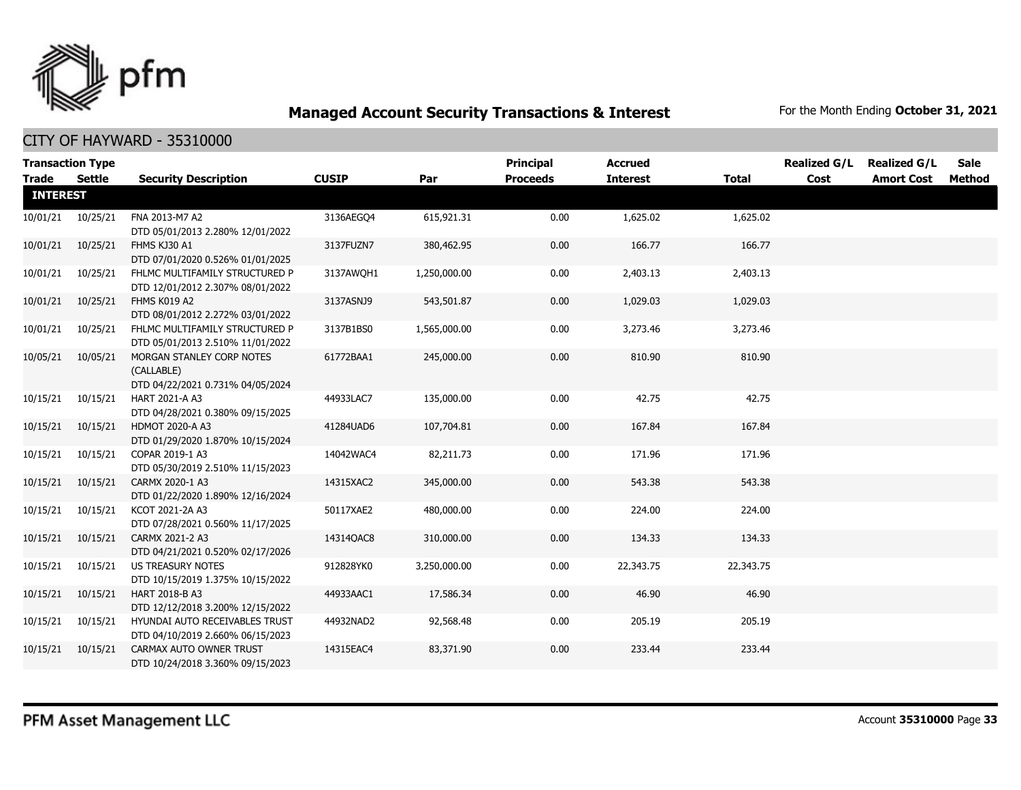

|                 | <b>Transaction Type</b> |                                                                             |              |              | <b>Principal</b> | <b>Accrued</b>  |              | <b>Realized G/L</b> | <b>Realized G/L</b> | Sale   |
|-----------------|-------------------------|-----------------------------------------------------------------------------|--------------|--------------|------------------|-----------------|--------------|---------------------|---------------------|--------|
| <b>Trade</b>    | Settle                  | <b>Security Description</b>                                                 | <b>CUSIP</b> | Par          | <b>Proceeds</b>  | <b>Interest</b> | <b>Total</b> | Cost                | <b>Amort Cost</b>   | Method |
| <b>INTEREST</b> |                         |                                                                             |              |              |                  |                 |              |                     |                     |        |
| 10/01/21        | 10/25/21                | FNA 2013-M7 A2<br>DTD 05/01/2013 2.280% 12/01/2022                          | 3136AEGQ4    | 615,921.31   | 0.00             | 1,625.02        | 1,625.02     |                     |                     |        |
| 10/01/21        | 10/25/21                | FHMS KJ30 A1<br>DTD 07/01/2020 0.526% 01/01/2025                            | 3137FUZN7    | 380,462.95   | 0.00             | 166.77          | 166.77       |                     |                     |        |
| 10/01/21        | 10/25/21                | FHLMC MULTIFAMILY STRUCTURED P<br>DTD 12/01/2012 2.307% 08/01/2022          | 3137AWOH1    | 1,250,000.00 | 0.00             | 2,403.13        | 2,403.13     |                     |                     |        |
| 10/01/21        | 10/25/21                | FHMS K019 A2<br>DTD 08/01/2012 2.272% 03/01/2022                            | 3137ASNJ9    | 543,501.87   | 0.00             | 1,029.03        | 1,029.03     |                     |                     |        |
| 10/01/21        | 10/25/21                | FHLMC MULTIFAMILY STRUCTURED P<br>DTD 05/01/2013 2.510% 11/01/2022          | 3137B1BS0    | 1,565,000.00 | 0.00             | 3,273.46        | 3,273.46     |                     |                     |        |
| 10/05/21        | 10/05/21                | MORGAN STANLEY CORP NOTES<br>(CALLABLE)<br>DTD 04/22/2021 0.731% 04/05/2024 | 61772BAA1    | 245,000.00   | 0.00             | 810.90          | 810.90       |                     |                     |        |
| 10/15/21        | 10/15/21                | HART 2021-A A3<br>DTD 04/28/2021 0.380% 09/15/2025                          | 44933LAC7    | 135,000.00   | 0.00             | 42.75           | 42.75        |                     |                     |        |
| 10/15/21        | 10/15/21                | <b>HDMOT 2020-A A3</b><br>DTD 01/29/2020 1.870% 10/15/2024                  | 41284UAD6    | 107,704.81   | 0.00             | 167.84          | 167.84       |                     |                     |        |
| 10/15/21        | 10/15/21                | COPAR 2019-1 A3<br>DTD 05/30/2019 2.510% 11/15/2023                         | 14042WAC4    | 82,211.73    | 0.00             | 171.96          | 171.96       |                     |                     |        |
| 10/15/21        | 10/15/21                | CARMX 2020-1 A3<br>DTD 01/22/2020 1.890% 12/16/2024                         | 14315XAC2    | 345,000.00   | 0.00             | 543.38          | 543.38       |                     |                     |        |
| 10/15/21        | 10/15/21                | KCOT 2021-2A A3<br>DTD 07/28/2021 0.560% 11/17/2025                         | 50117XAE2    | 480,000.00   | 0.00             | 224.00          | 224.00       |                     |                     |        |
| 10/15/21        | 10/15/21                | CARMX 2021-2 A3<br>DTD 04/21/2021 0.520% 02/17/2026                         | 14314QAC8    | 310,000.00   | 0.00             | 134.33          | 134.33       |                     |                     |        |
| 10/15/21        | 10/15/21                | US TREASURY NOTES<br>DTD 10/15/2019 1.375% 10/15/2022                       | 912828YK0    | 3,250,000.00 | 0.00             | 22,343.75       | 22,343.75    |                     |                     |        |
| 10/15/21        | 10/15/21                | HART 2018-B A3<br>DTD 12/12/2018 3.200% 12/15/2022                          | 44933AAC1    | 17,586.34    | 0.00             | 46.90           | 46.90        |                     |                     |        |
| 10/15/21        | 10/15/21                | HYUNDAI AUTO RECEIVABLES TRUST<br>DTD 04/10/2019 2.660% 06/15/2023          | 44932NAD2    | 92,568.48    | 0.00             | 205.19          | 205.19       |                     |                     |        |
| 10/15/21        | 10/15/21                | CARMAX AUTO OWNER TRUST<br>DTD 10/24/2018 3.360% 09/15/2023                 | 14315EAC4    | 83,371.90    | 0.00             | 233.44          | 233.44       |                     |                     |        |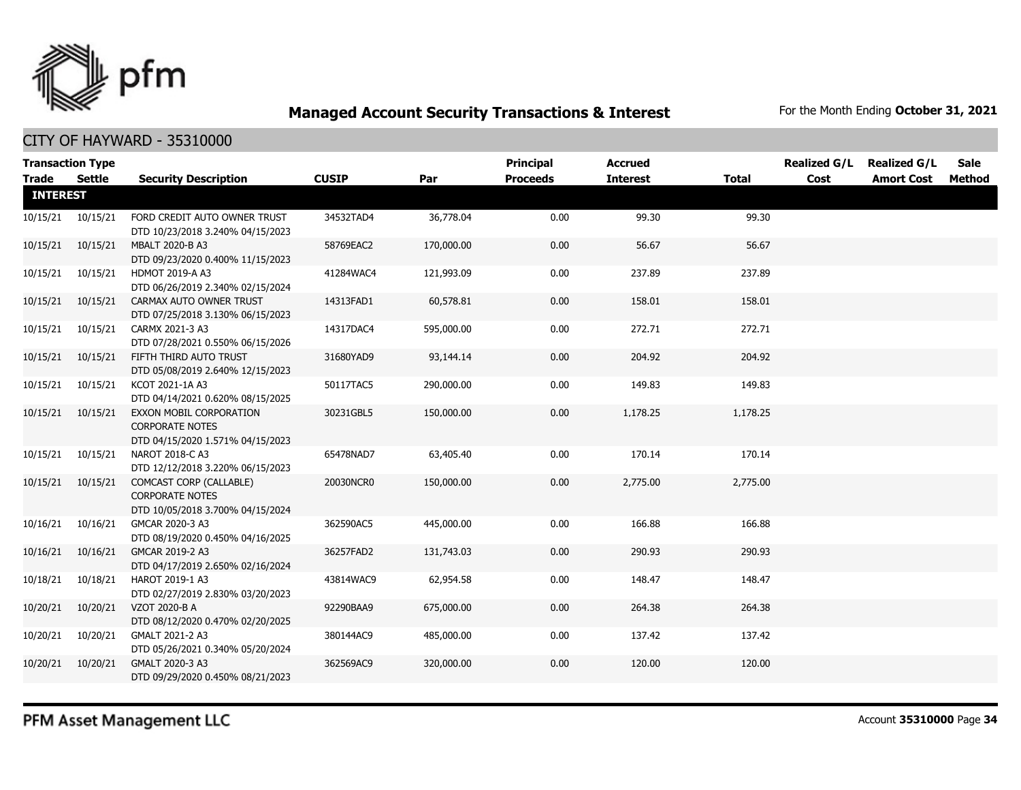

#### CITY OF HAYWARD - 35310000

| <b>Transaction Type</b><br><b>Trade</b> | Settle             | <b>Security Description</b>                                                           | <b>CUSIP</b> | Par        | <b>Principal</b><br><b>Proceeds</b> | <b>Accrued</b><br><b>Interest</b> | <b>Total</b> | <b>Realized G/L</b><br>Cost | <b>Realized G/L</b><br><b>Amort Cost</b> | Sale<br>Method |
|-----------------------------------------|--------------------|---------------------------------------------------------------------------------------|--------------|------------|-------------------------------------|-----------------------------------|--------------|-----------------------------|------------------------------------------|----------------|
| <b>INTEREST</b>                         |                    |                                                                                       |              |            |                                     |                                   |              |                             |                                          |                |
|                                         | 10/15/21  10/15/21 | FORD CREDIT AUTO OWNER TRUST<br>DTD 10/23/2018 3.240% 04/15/2023                      | 34532TAD4    | 36,778.04  | 0.00                                | 99.30                             | 99.30        |                             |                                          |                |
| 10/15/21                                | 10/15/21           | <b>MBALT 2020-B A3</b><br>DTD 09/23/2020 0.400% 11/15/2023                            | 58769EAC2    | 170,000.00 | 0.00                                | 56.67                             | 56.67        |                             |                                          |                |
| 10/15/21                                | 10/15/21           | <b>HDMOT 2019-A A3</b><br>DTD 06/26/2019 2.340% 02/15/2024                            | 41284WAC4    | 121,993.09 | 0.00                                | 237.89                            | 237.89       |                             |                                          |                |
| 10/15/21                                | 10/15/21           | CARMAX AUTO OWNER TRUST<br>DTD 07/25/2018 3.130% 06/15/2023                           | 14313FAD1    | 60,578.81  | 0.00                                | 158.01                            | 158.01       |                             |                                          |                |
| 10/15/21                                | 10/15/21           | CARMX 2021-3 A3<br>DTD 07/28/2021 0.550% 06/15/2026                                   | 14317DAC4    | 595,000.00 | 0.00                                | 272.71                            | 272.71       |                             |                                          |                |
| 10/15/21                                | 10/15/21           | FIFTH THIRD AUTO TRUST<br>DTD 05/08/2019 2.640% 12/15/2023                            | 31680YAD9    | 93,144.14  | 0.00                                | 204.92                            | 204.92       |                             |                                          |                |
| 10/15/21                                | 10/15/21           | KCOT 2021-1A A3<br>DTD 04/14/2021 0.620% 08/15/2025                                   | 50117TAC5    | 290,000.00 | 0.00                                | 149.83                            | 149.83       |                             |                                          |                |
| 10/15/21                                | 10/15/21           | EXXON MOBIL CORPORATION<br><b>CORPORATE NOTES</b><br>DTD 04/15/2020 1.571% 04/15/2023 | 30231GBL5    | 150,000.00 | 0.00                                | 1,178.25                          | 1,178.25     |                             |                                          |                |
| 10/15/21                                | 10/15/21           | NAROT 2018-C A3<br>DTD 12/12/2018 3.220% 06/15/2023                                   | 65478NAD7    | 63,405.40  | 0.00                                | 170.14                            | 170.14       |                             |                                          |                |
| 10/15/21                                | 10/15/21           | COMCAST CORP (CALLABLE)<br><b>CORPORATE NOTES</b><br>DTD 10/05/2018 3.700% 04/15/2024 | 20030NCR0    | 150,000.00 | 0.00                                | 2,775.00                          | 2,775.00     |                             |                                          |                |
| 10/16/21                                | 10/16/21           | GMCAR 2020-3 A3<br>DTD 08/19/2020 0.450% 04/16/2025                                   | 362590AC5    | 445,000.00 | 0.00                                | 166.88                            | 166.88       |                             |                                          |                |
| 10/16/21                                | 10/16/21           | GMCAR 2019-2 A3<br>DTD 04/17/2019 2.650% 02/16/2024                                   | 36257FAD2    | 131,743.03 | 0.00                                | 290.93                            | 290.93       |                             |                                          |                |
| 10/18/21                                | 10/18/21           | <b>HAROT 2019-1 A3</b><br>DTD 02/27/2019 2.830% 03/20/2023                            | 43814WAC9    | 62,954.58  | 0.00                                | 148.47                            | 148.47       |                             |                                          |                |
| 10/20/21                                | 10/20/21           | VZOT 2020-B A<br>DTD 08/12/2020 0.470% 02/20/2025                                     | 92290BAA9    | 675,000.00 | 0.00                                | 264.38                            | 264.38       |                             |                                          |                |
| 10/20/21                                | 10/20/21           | GMALT 2021-2 A3<br>DTD 05/26/2021 0.340% 05/20/2024                                   | 380144AC9    | 485,000.00 | 0.00                                | 137.42                            | 137.42       |                             |                                          |                |
| 10/20/21                                | 10/20/21           | GMALT 2020-3 A3<br>DTD 09/29/2020 0.450% 08/21/2023                                   | 362569AC9    | 320,000.00 | 0.00                                | 120.00                            | 120.00       |                             |                                          |                |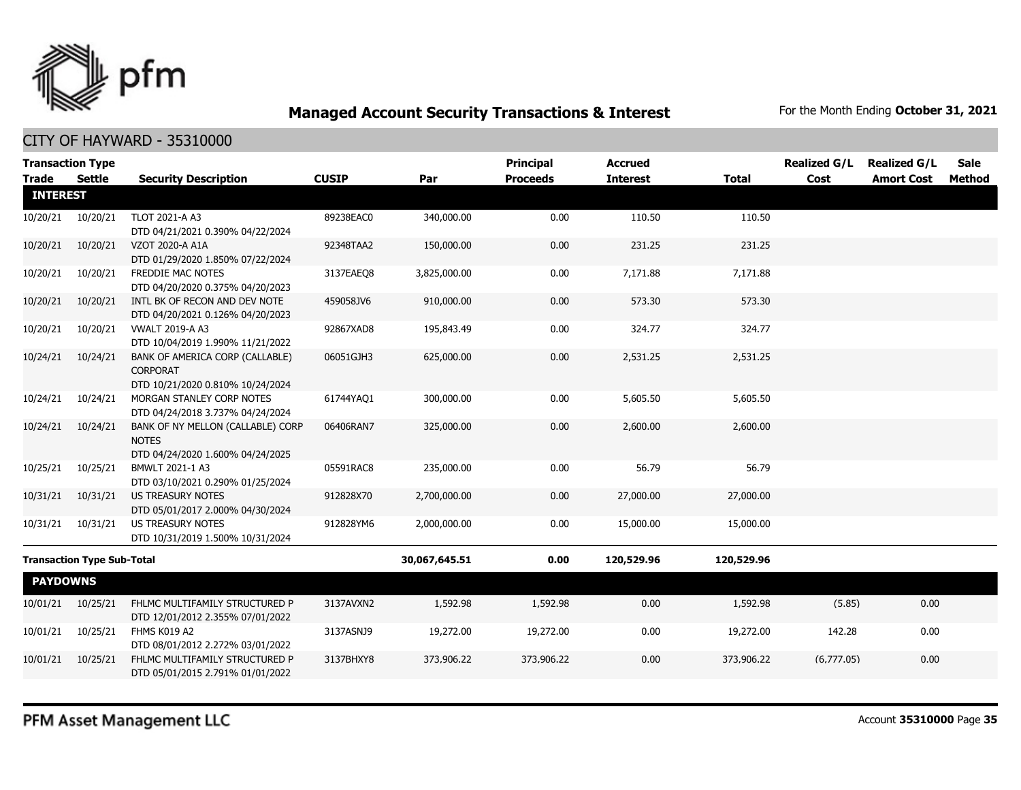

CITY OF HAYWARD - 35310000

| <b>Trade</b>    | <b>Transaction Type</b><br><b>Settle</b> | <b>Security Description</b>                                                           | <b>CUSIP</b> | Par           | <b>Principal</b><br><b>Proceeds</b> | <b>Accrued</b><br><b>Interest</b> | <b>Total</b> | <b>Realized G/L</b><br>Cost | <b>Realized G/L</b><br><b>Amort Cost</b> | Sale<br>Method |
|-----------------|------------------------------------------|---------------------------------------------------------------------------------------|--------------|---------------|-------------------------------------|-----------------------------------|--------------|-----------------------------|------------------------------------------|----------------|
| <b>INTEREST</b> |                                          |                                                                                       |              |               |                                     |                                   |              |                             |                                          |                |
| 10/20/21        | 10/20/21                                 | TLOT 2021-A A3<br>DTD 04/21/2021 0.390% 04/22/2024                                    | 89238EAC0    | 340,000.00    | 0.00                                | 110.50                            | 110.50       |                             |                                          |                |
| 10/20/21        | 10/20/21                                 | VZOT 2020-A A1A<br>DTD 01/29/2020 1.850% 07/22/2024                                   | 92348TAA2    | 150,000.00    | 0.00                                | 231.25                            | 231.25       |                             |                                          |                |
| 10/20/21        | 10/20/21                                 | FREDDIE MAC NOTES<br>DTD 04/20/2020 0.375% 04/20/2023                                 | 3137EAEO8    | 3,825,000.00  | 0.00                                | 7,171.88                          | 7,171.88     |                             |                                          |                |
| 10/20/21        | 10/20/21                                 | INTL BK OF RECON AND DEV NOTE<br>DTD 04/20/2021 0.126% 04/20/2023                     | 459058JV6    | 910,000.00    | 0.00                                | 573.30                            | 573.30       |                             |                                          |                |
| 10/20/21        | 10/20/21                                 | <b>VWALT 2019-A A3</b><br>DTD 10/04/2019 1.990% 11/21/2022                            | 92867XAD8    | 195,843.49    | 0.00                                | 324.77                            | 324.77       |                             |                                          |                |
| 10/24/21        | 10/24/21                                 | BANK OF AMERICA CORP (CALLABLE)<br>CORPORAT<br>DTD 10/21/2020 0.810% 10/24/2024       | 06051GJH3    | 625,000.00    | 0.00                                | 2,531.25                          | 2,531.25     |                             |                                          |                |
| 10/24/21        | 10/24/21                                 | MORGAN STANLEY CORP NOTES<br>DTD 04/24/2018 3.737% 04/24/2024                         | 61744YAO1    | 300,000.00    | 0.00                                | 5,605.50                          | 5,605.50     |                             |                                          |                |
| 10/24/21        | 10/24/21                                 | BANK OF NY MELLON (CALLABLE) CORP<br><b>NOTES</b><br>DTD 04/24/2020 1.600% 04/24/2025 | 06406RAN7    | 325,000.00    | 0.00                                | 2,600.00                          | 2,600.00     |                             |                                          |                |
| 10/25/21        | 10/25/21                                 | BMWLT 2021-1 A3<br>DTD 03/10/2021 0.290% 01/25/2024                                   | 05591RAC8    | 235,000.00    | 0.00                                | 56.79                             | 56.79        |                             |                                          |                |
| 10/31/21        | 10/31/21                                 | US TREASURY NOTES<br>DTD 05/01/2017 2.000% 04/30/2024                                 | 912828X70    | 2,700,000.00  | 0.00                                | 27,000.00                         | 27,000.00    |                             |                                          |                |
| 10/31/21        | 10/31/21                                 | <b>US TREASURY NOTES</b><br>DTD 10/31/2019 1.500% 10/31/2024                          | 912828YM6    | 2,000,000.00  | 0.00                                | 15,000.00                         | 15,000.00    |                             |                                          |                |
|                 | <b>Transaction Type Sub-Total</b>        |                                                                                       |              | 30,067,645.51 | 0.00                                | 120,529.96                        | 120,529.96   |                             |                                          |                |
| <b>PAYDOWNS</b> |                                          |                                                                                       |              |               |                                     |                                   |              |                             |                                          |                |
| 10/01/21        | 10/25/21                                 | FHLMC MULTIFAMILY STRUCTURED P<br>DTD 12/01/2012 2.355% 07/01/2022                    | 3137AVXN2    | 1,592.98      | 1,592.98                            | 0.00                              | 1,592.98     | (5.85)                      | 0.00                                     |                |
| 10/01/21        | 10/25/21                                 | FHMS K019 A2<br>DTD 08/01/2012 2.272% 03/01/2022                                      | 3137ASNJ9    | 19,272.00     | 19,272.00                           | 0.00                              | 19,272.00    | 142.28                      | 0.00                                     |                |
| 10/01/21        | 10/25/21                                 | FHLMC MULTIFAMILY STRUCTURED P<br>DTD 05/01/2015 2.791% 01/01/2022                    | 3137BHXY8    | 373,906.22    | 373,906.22                          | 0.00                              | 373,906.22   | (6,777.05)                  | 0.00                                     |                |
|                 |                                          |                                                                                       |              |               |                                     |                                   |              |                             |                                          |                |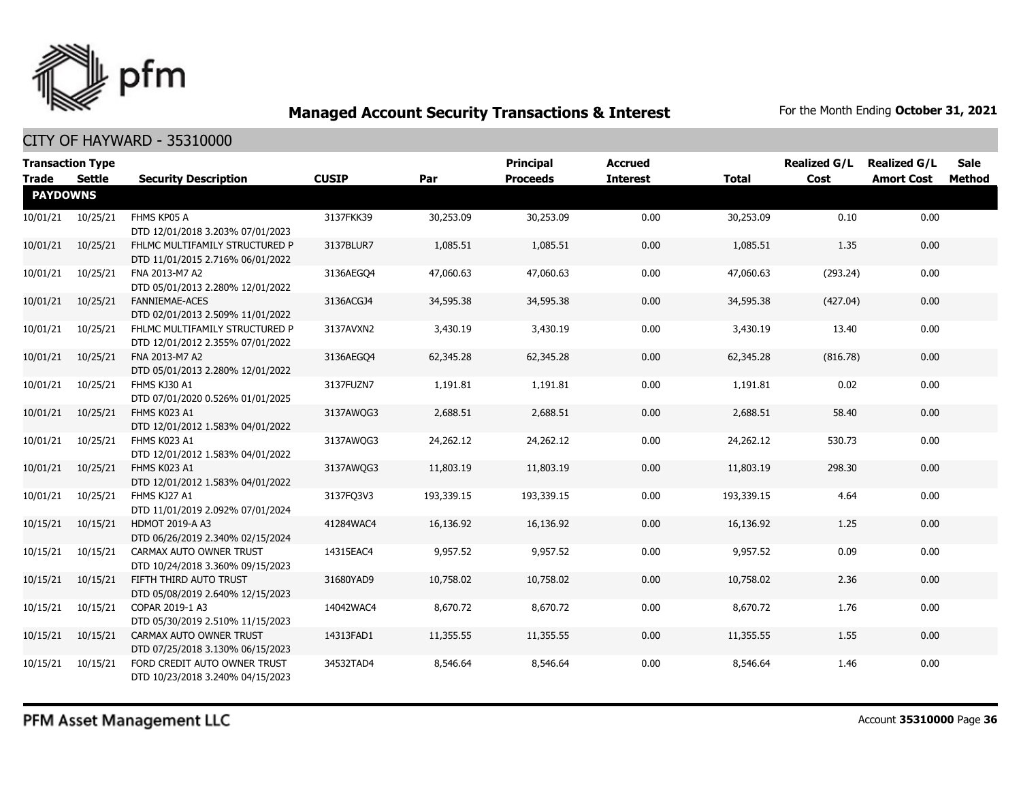

|                 | <b>Transaction Type</b> |                                                                  |              |            | <b>Principal</b> | <b>Accrued</b>  |              | <b>Realized G/L</b> | <b>Realized G/L</b> | <b>Sale</b>   |
|-----------------|-------------------------|------------------------------------------------------------------|--------------|------------|------------------|-----------------|--------------|---------------------|---------------------|---------------|
| <b>Trade</b>    | <b>Settle</b>           | <b>Security Description</b>                                      | <b>CUSIP</b> | Par        | <b>Proceeds</b>  | <b>Interest</b> | <b>Total</b> | Cost                | <b>Amort Cost</b>   | <b>Method</b> |
| <b>PAYDOWNS</b> |                         |                                                                  |              |            |                  |                 |              |                     |                     |               |
| 10/01/21        | 10/25/21                | FHMS KP05 A                                                      | 3137FKK39    | 30,253.09  | 30,253.09        | 0.00            | 30,253.09    | 0.10                | 0.00                |               |
|                 |                         | DTD 12/01/2018 3.203% 07/01/2023                                 |              |            |                  |                 |              |                     |                     |               |
| 10/01/21        | 10/25/21                | FHLMC MULTIFAMILY STRUCTURED P                                   | 3137BLUR7    | 1,085.51   | 1,085.51         | 0.00            | 1,085.51     | 1.35                | 0.00                |               |
|                 |                         | DTD 11/01/2015 2.716% 06/01/2022                                 |              |            |                  |                 |              |                     |                     |               |
| 10/01/21        | 10/25/21                | FNA 2013-M7 A2                                                   | 3136AEGO4    | 47,060.63  | 47,060.63        | 0.00            | 47,060.63    | (293.24)            | 0.00                |               |
|                 |                         | DTD 05/01/2013 2.280% 12/01/2022                                 |              |            |                  |                 |              |                     |                     |               |
| 10/01/21        | 10/25/21                | <b>FANNIEMAE-ACES</b>                                            | 3136ACGJ4    | 34,595.38  | 34,595.38        | 0.00            | 34,595.38    | (427.04)            | 0.00                |               |
|                 |                         | DTD 02/01/2013 2.509% 11/01/2022                                 |              |            |                  |                 |              |                     |                     |               |
| 10/01/21        | 10/25/21                | FHLMC MULTIFAMILY STRUCTURED P                                   | 3137AVXN2    | 3,430.19   | 3,430.19         | 0.00            | 3,430.19     | 13.40               | 0.00                |               |
|                 |                         | DTD 12/01/2012 2.355% 07/01/2022                                 |              |            |                  |                 |              |                     |                     |               |
| 10/01/21        | 10/25/21                | FNA 2013-M7 A2                                                   | 3136AEGO4    | 62,345.28  | 62,345.28        | 0.00            | 62,345.28    | (816.78)            | 0.00                |               |
|                 |                         | DTD 05/01/2013 2.280% 12/01/2022                                 |              |            |                  |                 |              |                     |                     |               |
| 10/01/21        | 10/25/21                | FHMS KJ30 A1                                                     | 3137FUZN7    | 1,191.81   | 1,191.81         | 0.00            | 1,191.81     | 0.02                | 0.00                |               |
|                 |                         | DTD 07/01/2020 0.526% 01/01/2025                                 |              |            |                  |                 |              |                     |                     |               |
| 10/01/21        | 10/25/21                | FHMS K023 A1                                                     | 3137AWQG3    | 2,688.51   | 2,688.51         | 0.00            | 2,688.51     | 58.40               | 0.00                |               |
|                 |                         | DTD 12/01/2012 1.583% 04/01/2022                                 |              |            |                  |                 |              |                     |                     |               |
| 10/01/21        | 10/25/21                | FHMS K023 A1                                                     | 3137AWQG3    | 24,262.12  | 24,262.12        | 0.00            | 24,262.12    | 530.73              | 0.00                |               |
|                 |                         | DTD 12/01/2012 1.583% 04/01/2022                                 |              |            |                  |                 |              |                     |                     |               |
| 10/01/21        | 10/25/21                | FHMS K023 A1                                                     | 3137AWQG3    | 11,803.19  | 11,803.19        | 0.00            | 11,803.19    | 298.30              | 0.00                |               |
|                 |                         | DTD 12/01/2012 1.583% 04/01/2022                                 |              |            |                  |                 |              |                     |                     |               |
| 10/01/21        | 10/25/21                | FHMS KJ27 A1                                                     | 3137FQ3V3    | 193,339.15 | 193,339.15       | 0.00            | 193,339.15   | 4.64                | 0.00                |               |
|                 |                         | DTD 11/01/2019 2.092% 07/01/2024                                 |              |            |                  |                 |              |                     |                     |               |
| 10/15/21        | 10/15/21                | <b>HDMOT 2019-A A3</b>                                           | 41284WAC4    | 16,136.92  | 16,136.92        | 0.00            | 16,136.92    | 1.25                | 0.00                |               |
|                 |                         | DTD 06/26/2019 2.340% 02/15/2024                                 |              |            |                  |                 |              |                     |                     |               |
| 10/15/21        | 10/15/21                | CARMAX AUTO OWNER TRUST                                          | 14315EAC4    | 9,957.52   | 9,957.52         | 0.00            | 9,957.52     | 0.09                | 0.00                |               |
|                 |                         | DTD 10/24/2018 3.360% 09/15/2023                                 |              |            |                  |                 |              |                     |                     |               |
| 10/15/21        | 10/15/21                | FIFTH THIRD AUTO TRUST                                           | 31680YAD9    | 10,758.02  | 10,758.02        | 0.00            | 10,758.02    | 2.36                | 0.00                |               |
|                 |                         | DTD 05/08/2019 2.640% 12/15/2023                                 |              |            |                  |                 |              |                     |                     |               |
| 10/15/21        | 10/15/21                | COPAR 2019-1 A3                                                  | 14042WAC4    | 8,670.72   | 8,670.72         | 0.00            | 8,670.72     | 1.76                | 0.00                |               |
|                 |                         | DTD 05/30/2019 2.510% 11/15/2023                                 |              |            |                  |                 |              |                     |                     |               |
| 10/15/21        | 10/15/21                | CARMAX AUTO OWNER TRUST                                          | 14313FAD1    | 11,355.55  | 11,355.55        | 0.00            | 11,355.55    | 1.55                | 0.00                |               |
|                 |                         | DTD 07/25/2018 3.130% 06/15/2023                                 |              |            |                  |                 |              |                     |                     |               |
| 10/15/21        | 10/15/21                | FORD CREDIT AUTO OWNER TRUST<br>DTD 10/23/2018 3.240% 04/15/2023 | 34532TAD4    | 8,546.64   | 8,546.64         | 0.00            | 8,546.64     | 1.46                | 0.00                |               |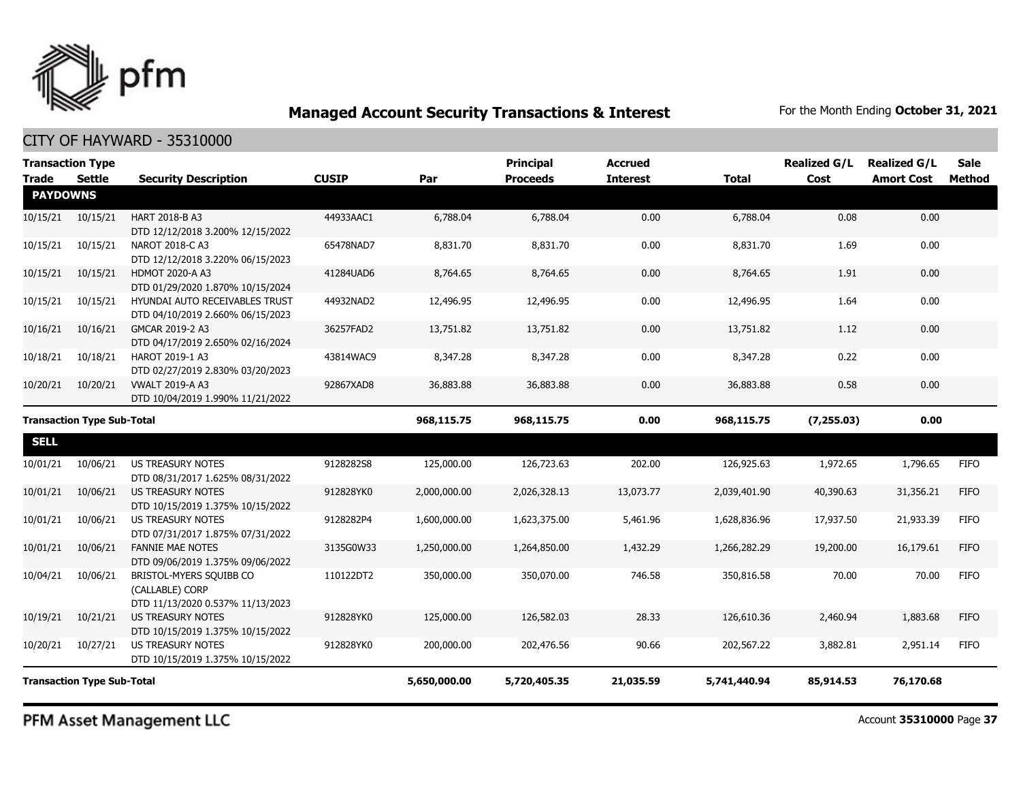

CITY OF HAYWARD - 35310000

| <b>Transaction Type</b>           |          |                                                                                |              |              | <b>Principal</b> | <b>Accrued</b>  |              | <b>Realized G/L</b> | <b>Realized G/L</b> | <b>Sale</b> |
|-----------------------------------|----------|--------------------------------------------------------------------------------|--------------|--------------|------------------|-----------------|--------------|---------------------|---------------------|-------------|
| <b>Trade</b>                      | Settle   | <b>Security Description</b>                                                    | <b>CUSIP</b> | Par          | <b>Proceeds</b>  | <b>Interest</b> | <b>Total</b> | Cost                | <b>Amort Cost</b>   | Method      |
| <b>PAYDOWNS</b>                   |          |                                                                                |              |              |                  |                 |              |                     |                     |             |
| 10/15/21                          | 10/15/21 | <b>HART 2018-B A3</b><br>DTD 12/12/2018 3.200% 12/15/2022                      | 44933AAC1    | 6,788.04     | 6,788.04         | 0.00            | 6,788.04     | 0.08                | 0.00                |             |
| 10/15/21                          | 10/15/21 | NAROT 2018-C A3<br>DTD 12/12/2018 3.220% 06/15/2023                            | 65478NAD7    | 8,831.70     | 8,831.70         | 0.00            | 8,831.70     | 1.69                | 0.00                |             |
| 10/15/21                          | 10/15/21 | <b>HDMOT 2020-A A3</b><br>DTD 01/29/2020 1.870% 10/15/2024                     | 41284UAD6    | 8,764.65     | 8,764.65         | 0.00            | 8,764.65     | 1.91                | 0.00                |             |
| 10/15/21                          | 10/15/21 | HYUNDAI AUTO RECEIVABLES TRUST<br>DTD 04/10/2019 2.660% 06/15/2023             | 44932NAD2    | 12,496.95    | 12,496.95        | 0.00            | 12,496.95    | 1.64                | 0.00                |             |
| 10/16/21                          | 10/16/21 | GMCAR 2019-2 A3<br>DTD 04/17/2019 2.650% 02/16/2024                            | 36257FAD2    | 13,751.82    | 13,751.82        | 0.00            | 13,751.82    | 1.12                | 0.00                |             |
| 10/18/21                          | 10/18/21 | <b>HAROT 2019-1 A3</b><br>DTD 02/27/2019 2.830% 03/20/2023                     | 43814WAC9    | 8,347.28     | 8,347.28         | 0.00            | 8,347.28     | 0.22                | 0.00                |             |
| 10/20/21                          | 10/20/21 | <b>VWALT 2019-A A3</b><br>DTD 10/04/2019 1.990% 11/21/2022                     | 92867XAD8    | 36,883.88    | 36,883.88        | 0.00            | 36,883.88    | 0.58                | 0.00                |             |
| <b>Transaction Type Sub-Total</b> |          |                                                                                | 968,115.75   | 968,115.75   | 0.00             | 968,115.75      | (7, 255.03)  | 0.00                |                     |             |
| <b>SELL</b>                       |          |                                                                                |              |              |                  |                 |              |                     |                     |             |
| 10/01/21                          | 10/06/21 | US TREASURY NOTES<br>DTD 08/31/2017 1.625% 08/31/2022                          | 9128282S8    | 125,000.00   | 126,723.63       | 202.00          | 126,925.63   | 1,972.65            | 1,796.65            | <b>FIFO</b> |
| 10/01/21                          | 10/06/21 | <b>US TREASURY NOTES</b><br>DTD 10/15/2019 1.375% 10/15/2022                   | 912828YK0    | 2,000,000.00 | 2,026,328.13     | 13,073.77       | 2,039,401.90 | 40,390.63           | 31,356.21           | <b>FIFO</b> |
| 10/01/21                          | 10/06/21 | <b>US TREASURY NOTES</b><br>DTD 07/31/2017 1.875% 07/31/2022                   | 9128282P4    | 1,600,000.00 | 1,623,375.00     | 5,461.96        | 1,628,836.96 | 17,937.50           | 21,933.39           | <b>FIFO</b> |
| 10/01/21                          | 10/06/21 | <b>FANNIE MAE NOTES</b><br>DTD 09/06/2019 1.375% 09/06/2022                    | 3135G0W33    | 1,250,000.00 | 1,264,850.00     | 1,432.29        | 1,266,282.29 | 19,200.00           | 16,179.61           | <b>FIFO</b> |
| 10/04/21                          | 10/06/21 | BRISTOL-MYERS SQUIBB CO<br>(CALLABLE) CORP<br>DTD 11/13/2020 0.537% 11/13/2023 | 110122DT2    | 350,000.00   | 350,070.00       | 746.58          | 350,816.58   | 70.00               | 70.00               | <b>FIFO</b> |
| 10/19/21                          | 10/21/21 | US TREASURY NOTES<br>DTD 10/15/2019 1.375% 10/15/2022                          | 912828YK0    | 125,000.00   | 126,582.03       | 28.33           | 126,610.36   | 2,460.94            | 1,883.68            | <b>FIFO</b> |
| 10/20/21                          | 10/27/21 | <b>US TREASURY NOTES</b><br>DTD 10/15/2019 1.375% 10/15/2022                   | 912828YK0    | 200,000.00   | 202,476.56       | 90.66           | 202,567.22   | 3,882.81            | 2,951.14            | <b>FIFO</b> |
| <b>Transaction Type Sub-Total</b> |          |                                                                                |              | 5,650,000.00 | 5,720,405.35     | 21,035.59       | 5,741,440.94 | 85,914.53           | 76,170.68           |             |